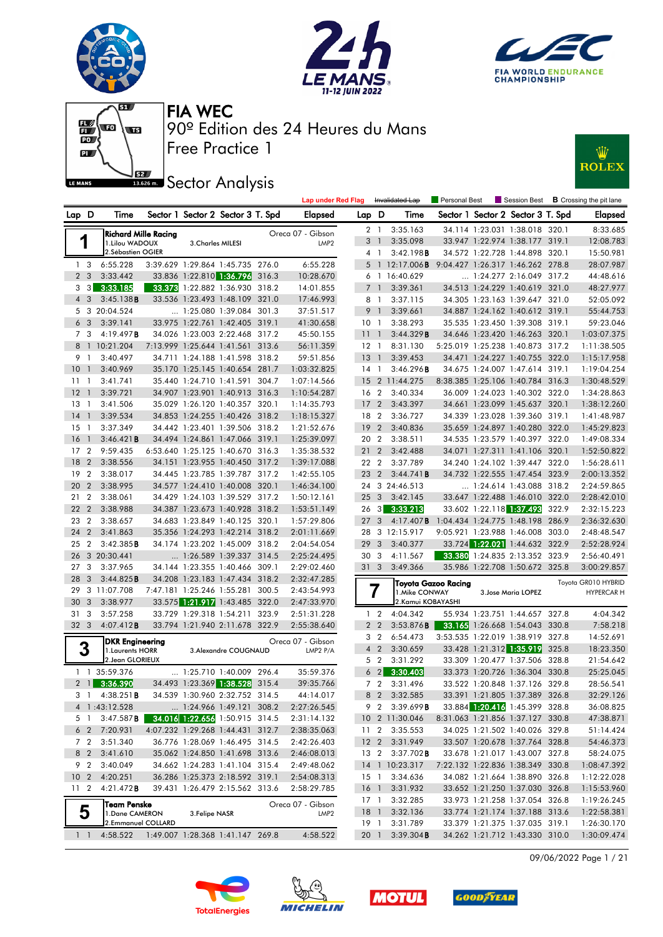







# **JEZ**<br>BREAD Sector Analysis



|                 |                   |                                               |                            |                                                                  |       | <b>Lap under Red Flag</b>             |                 |                         | Invalidated Lap                    | Personal Best                    |                                                                    |       | $\blacksquare$ Session Best $\blacksquare$ B Crossing the pit lane |
|-----------------|-------------------|-----------------------------------------------|----------------------------|------------------------------------------------------------------|-------|---------------------------------------|-----------------|-------------------------|------------------------------------|----------------------------------|--------------------------------------------------------------------|-------|--------------------------------------------------------------------|
| Lap D           |                   | Time                                          |                            | Sector 1 Sector 2 Sector 3 T. Spd                                |       | Elapsed                               | Lap D           |                         | Time                               |                                  | Sector 1 Sector 2 Sector 3 T. Spd                                  |       | <b>Elapsed</b>                                                     |
|                 |                   |                                               |                            |                                                                  |       |                                       |                 | 2 1                     | 3:35.163                           |                                  | 34.114 1:23.031 1:38.018 320.1                                     |       | 8:33.685                                                           |
| 1               |                   | <b>Richard Mille Racing</b><br>1.Lilou WADOUX | 3. Charles MILESI          |                                                                  |       | Oreca 07 - Gibson<br>LMP <sub>2</sub> | 3               | $\overline{1}$          | 3:35.098                           |                                  | 33.947 1:22.974 1:38.177 319.1                                     |       | 12:08.783                                                          |
|                 |                   | 2.Sébastien OGIER                             |                            |                                                                  |       |                                       |                 | 4 1                     | 3:42.198B                          |                                  | 34.572 1:22.728 1:44.898 320.1                                     |       | 15:50.981                                                          |
| 1 <sub>3</sub>  |                   | 6:55.228                                      |                            | 3:39.629 1:29.864 1:45.735 276.0                                 |       | 6:55.228                              | 5               |                         | 1 12:17.006 <b>B</b>               | 9:04.427 1:26.317 1:46.262 278.8 |                                                                    |       | 28:07.987                                                          |
| 2 <sub>3</sub>  |                   | 3:33.442                                      |                            | 33.836 1:22.810 1:36.796 316.3                                   |       | 10:28.670                             | 6               | $\overline{1}$          | 16:40.629                          |                                  | 1:24.277 2:16.049 317.2                                            |       | 44:48.616                                                          |
| 3               | $\lceil 3 \rceil$ | 3:33.185                                      |                            | 33.373 1:22.882 1:36.930 318.2                                   |       | 14:01.855                             | $\overline{7}$  | $\overline{1}$          | 3:39.361                           |                                  | 34.513 1:24.229 1:40.619 321.0                                     |       | 48:27.977                                                          |
| 4 3             |                   | 3:45.138B                                     |                            | 33.536 1:23.493 1:48.109 321.0                                   |       | 17:46.993                             |                 | 81                      | 3:37.115                           |                                  | 34.305 1:23.163 1:39.647 321.0                                     |       | 52:05.092                                                          |
|                 |                   | 5 3 20:04.524                                 |                            | 1:25.080 1:39.084 301.3                                          |       | 37:51.517                             |                 | 9 1                     | 3:39.661                           |                                  | 34.887 1:24.162 1:40.612 319.1                                     |       | 55:44.753                                                          |
| 6 <sub>3</sub>  |                   | 3:39.141                                      |                            | 33.975 1:22.761 1:42.405 319.1                                   |       | 41:30.658                             | 10 <sub>1</sub> |                         | 3:38.293                           |                                  | 35.535 1:23.450 1:39.308 319.1                                     |       | 59:23.046                                                          |
| 7 3             |                   | 4:19.497B                                     | 34.026 1:23.003 2:22.468   |                                                                  | 317.2 | 45:50.155                             | 11              | $\overline{1}$          | 3:44.329B                          |                                  | 34.646 1:23.420 1:46.263 320.1                                     |       | 1:03:07.375                                                        |
|                 |                   | 8 1 10:21.204                                 | 7:13.999 1:25.644 1:41.561 |                                                                  | 313.6 | 56:11.359                             | $12-1$          |                         | 8:31.130                           |                                  | 5:25.019 1:25.238 1:40.873 317.2                                   |       | 1:11:38.505                                                        |
| 9 1             |                   | 3:40.497                                      |                            | 34.711 1:24.188 1:41.598 318.2                                   |       | 59:51.856                             | 13              | $\overline{1}$          | 3:39.453                           |                                  | 34.471 1:24.227 1:40.755 322.0                                     |       | 1:15:17.958                                                        |
| $10-1$          |                   | 3:40.969                                      |                            | 35.170 1:25.145 1:40.654 281.7                                   |       | 1:03:32.825                           | 14 1            |                         | 3:46.296B                          |                                  | 34.675 1:24.007 1:47.614 319.1                                     |       | 1:19:04.254                                                        |
| 11              | -1                | 3:41.741                                      | 35.440 1:24.710 1:41.591   |                                                                  | 304.7 | 1:07:14.566                           | 15              |                         | 2 11:44.275                        |                                  | 8:38.385 1:25.106 1:40.784 316.3                                   |       | 1:30:48.529                                                        |
| 12              | $\overline{1}$    | 3:39.721                                      |                            | 34.907 1:23.901 1:40.913 316.3                                   |       | 1:10:54.287                           | 16 2            |                         | 3:40.334                           |                                  | 36.009 1:24.023 1:40.302 322.0                                     |       | 1:34:28.863                                                        |
| 13              | $\overline{1}$    | 3:41.506                                      |                            | 35.029 1:26.120 1:40.357 320.1                                   |       | 1:14:35.793                           | 17 <sub>2</sub> |                         | 3:43.397                           |                                  | 34.661 1:23.099 1:45.637 320.1                                     |       | 1:38:12.260                                                        |
| 14              | $\overline{1}$    | 3:39.534                                      |                            | 34.853 1:24.255 1:40.426 318.2                                   |       | 1:18:15.327                           | 18 2            |                         | 3:36.727                           |                                  | 34.339 1:23.028 1:39.360 319.1                                     |       | 1:41:48.987                                                        |
| 15              | $\overline{1}$    | 3:37.349                                      |                            | 34.442 1:23.401 1:39.506 318.2                                   |       | 1:21:52.676                           | 19              | $\overline{2}$          | 3:40.836                           |                                  | 35.659 1:24.897 1:40.280 322.0                                     |       | 1:45:29.823                                                        |
| 16              | $\overline{1}$    | 3:46.421B                                     |                            | 34.494 1:24.861 1:47.066 319.1                                   |       | 1:25:39.097                           | 20 2            |                         | 3:38.511                           |                                  | 34.535 1:23.579 1:40.397 322.0                                     |       | 1:49:08.334                                                        |
| 17              | $\overline{2}$    | 9:59.435                                      |                            | 6:53.640 1:25.125 1:40.670 316.3                                 |       | 1:35:38.532                           | 21 2            |                         | 3:42.488                           |                                  | 34.071 1:27.311 1:41.106 320.1                                     |       | 1:52:50.822                                                        |
| 18              | $\overline{2}$    | 3:38.556                                      |                            | 34.151 1:23.955 1:40.450 317.2                                   |       | 1:39:17.088                           | 22 2            |                         | 3:37.789                           |                                  | 34.240 1:24.102 1:39.447 322.0                                     |       | 1:56:28.611                                                        |
| 19              | $\overline{2}$    | 3:38.017                                      |                            | 34.445 1:23.785 1:39.787 317.2                                   |       | 1:42:55.105                           | 23 2            |                         | $3:44.741$ B                       |                                  | 34.732 1:22.555 1:47.454 323.9                                     |       | 2:00:13.352                                                        |
| 20              | $\overline{2}$    | 3:38.995                                      |                            | 34.577 1:24.410 1:40.008 320.1                                   |       | 1:46:34.100                           |                 |                         | 24 3 24:46.513                     |                                  | 1:24.614 1:43.088 318.2                                            |       | 2:24:59.865                                                        |
| 21              | $\overline{2}$    | 3:38.061                                      |                            | 34.429 1:24.103 1:39.529 317.2                                   |       | 1:50:12.161                           | 25 <sub>3</sub> |                         | 3:42.145                           |                                  | 33.647 1:22.488 1:46.010 322.0                                     |       | 2:28:42.010                                                        |
| 22              | $\overline{2}$    | 3:38.988                                      |                            | 34.387 1:23.673 1:40.928 318.2                                   |       | 1:53:51.149                           | $26 \quad 3$    |                         | 3:33.213                           |                                  | 33.602 1:22.118 1:37.493                                           | 322.9 | 2:32:15.223                                                        |
| 23 2            |                   | 3:38.657                                      |                            | 34.683 1:23.849 1:40.125 320.1                                   |       | 1:57:29.806                           | 27              | 3                       | $4:17.407$ <b>B</b>                |                                  | 1:04.434 1:24.775 1:48.198 286.9                                   |       | 2:36:32.630                                                        |
| 24              | $\overline{2}$    | 3:41.863                                      |                            | 35.356 1:24.293 1:42.214 318.2                                   |       | 2:01:11.669                           |                 |                         | 28 3 12:15.917                     |                                  | 9:05.921 1:23.988 1:46.008 303.0                                   |       | 2:48:48.547                                                        |
| 25              | $\overline{2}$    | 3:42.385B                                     |                            | 34.174 1:23.202 1:45.009 318.2                                   |       | 2:04:54.054                           | 29              | $\overline{\mathbf{3}}$ | 3:40.377                           |                                  | 33.724 1:22.021 1:44.632 322.9                                     |       | 2:52:28.924                                                        |
| 26              |                   | 3 20:30.441                                   |                            | $\ldots$ 1:26.589 1:39.337 314.5                                 |       | 2:25:24.495                           | 30              | 3                       | 4:11.567                           |                                  | 33.380 1:24.835 2:13.352 323.9                                     |       | 2:56:40.491                                                        |
| 27              | 3                 | 3:37.965                                      |                            | 34.144 1:23.355 1:40.466 309.1                                   |       | 2:29:02.460                           | 31 3            |                         | 3:49.366                           |                                  | 35.986 1:22.708 1:50.672 325.8                                     |       | 3:00:29.857                                                        |
| 28              | 3                 | 3:44.825B                                     |                            | 34.208 1:23.183 1:47.434 318.2                                   |       | 2:32:47.285                           |                 |                         |                                    | Toyota Gazoo Racing              |                                                                    |       | Toyota GR010 HYBRID                                                |
| 29              |                   | 3 11:07.708                                   |                            | 7:47.181 1:25.246 1:55.281 300.5                                 |       | 2:43:54.993                           |                 |                         | 1. Mike CONWAY                     |                                  | 3. Jose Maria LOPEZ                                                |       | <b>HYPERCAR H</b>                                                  |
| 30              | 3                 | 3:38.977                                      |                            | 33.575 1:21.917 1:43.485 322.0                                   |       | 2:47:33.970                           |                 |                         | 2. Kamui KOBAYASHI                 |                                  |                                                                    |       |                                                                    |
| 31              | - 3               | 3:57.258                                      | 33.729 1:29.318 1:54.211   |                                                                  | 323.9 | 2:51:31.228                           |                 | 1 <sub>2</sub>          | 4:04.342                           |                                  | 55.934 1:23.751 1:44.657 327.8                                     |       | 4:04.342                                                           |
| 32 3            |                   | 4:07.412B                                     |                            | 33.794 1:21.940 2:11.678 322.9                                   |       | 2:55:38.640                           |                 | 2 <sub>2</sub>          | 3:53.876B                          |                                  | 33.165 1:26.668 1:54.043 330.8                                     |       | 7:58.218                                                           |
|                 |                   | <b>DKR</b> Engineering                        |                            |                                                                  |       | Oreca 07 - Gibson                     |                 | 3 2                     | 6:54.473                           |                                  | 3:53.535 1:22.019 1:38.919 327.8                                   |       | 14:52.691                                                          |
| 3               |                   | 1. Laurents HORR                              |                            | 3. Alexandre COUGNAUD                                            |       | LMP2 $P/A$                            | $\overline{4}$  | $\overline{2}$          | 3:30.659                           |                                  | 33.428 1:21.312 1:35.919                                           | 325.8 | 18:23.350                                                          |
|                 |                   | 2. Jean GLORIEUX                              |                            |                                                                  |       |                                       |                 | 5 2                     | 3:31.292                           |                                  | 33.309 1:20.477 1:37.506 328.8                                     |       | 21:54.642                                                          |
|                 |                   | 1 1 35:59.376                                 |                            | 1:25.710 1:40.009 296.4                                          |       | 35:59.376                             |                 | 6 <sub>2</sub>          | 3:30.403                           |                                  | 33.373 1:20.726 1:36.304 330.8                                     |       | 25:25.045                                                          |
| $2 \mid$        |                   | 3:36.390                                      |                            | 34.493 1:23.369 1:38.528 315.4                                   |       | 39:35.766                             |                 | 7 <sub>2</sub>          | 3:31.496                           |                                  | 33.522 1:20.848 1:37.126 329.8                                     |       | 28:56.541                                                          |
|                 |                   | 3 1 4:38.251 <b>B</b>                         |                            | 34.539 1:30.960 2:32.752 314.5                                   |       | 44:14.017                             |                 |                         | 8 2 3:32.585                       |                                  | 33.391 1:21.805 1:37.389 326.8<br>33.884 1:20.416 1:45.399 328.8   |       | 32:29.126                                                          |
|                 |                   | 4 1:43:12.528                                 |                            | 1:24.966 1:49.121 308.2<br>34.016 1:22.656 1:50.915 314.5        |       | 2:27:26.545                           |                 |                         | 9 2 3:39.699 <b>B</b>              |                                  |                                                                    |       | 36:08.825                                                          |
| 5 1             |                   | 3:47.587B                                     |                            | 4:07.232 1:29.268 1:44.431 312.7                                 |       | 2:31:14.132                           |                 |                         | 10 2 11:30.046                     |                                  | 8:31.063 1:21.856 1:37.127 330.8                                   |       | 47:38.871                                                          |
| 6 <sub>2</sub>  |                   | 7:20.931<br>3:51.340                          |                            | 36.776 1:28.069 1:46.495 314.5                                   |       | 2:38:35.063                           |                 |                         | 11 2 3:35.553                      |                                  | 34.025 1:21.502 1:40.026 329.8<br>33.507 1:20.678 1:37.764 328.8   |       | 51:14.424                                                          |
| 7 <sub>2</sub>  |                   | 3:41.610                                      |                            |                                                                  |       | 2:42:26.403                           | 12 <sub>2</sub> |                         | 3:31.949<br>13 2 3:37.702 <b>B</b> |                                  |                                                                    |       | 54:46.373                                                          |
| 8 2<br>9 2      |                   | 3:40.049                                      |                            | 35.062 1:24.850 1:41.698 313.6<br>34.662 1:24.283 1:41.104 315.4 |       | 2:46:08.013<br>2:49:48.062            |                 |                         |                                    |                                  | 33.678 1:21.017 1:43.007 327.8<br>7:22.132 1:22.836 1:38.349 330.8 |       | 58:24.075                                                          |
| 10 <sub>2</sub> |                   | 4:20.251                                      |                            | 36.286 1:25.373 2:18.592 319.1                                   |       | 2:54:08.313                           | 15 1            |                         | 14 1 10:23.317<br>3:34.636         |                                  | 34.082 1:21.664 1:38.890 326.8                                     |       | 1:08:47.392<br>1:12:22.028                                         |
| 11 <sub>2</sub> |                   | 4:21.472B                                     |                            | 39.431 1:26.479 2:15.562 313.6                                   |       | 2:58:29.785                           | $16-1$          |                         | 3:31.932                           |                                  | 33.652 1:21.250 1:37.030 326.8                                     |       | 1:15:53.960                                                        |
|                 |                   |                                               |                            |                                                                  |       |                                       |                 | 17 1                    | 3:32.285                           |                                  | 33.973 1:21.258 1:37.054 326.8                                     |       | 1:19:26.245                                                        |
| 5               |                   | Team Penske                                   |                            |                                                                  |       | Oreca 07 - Gibson                     | 18 1            |                         | 3:32.136                           |                                  | 33.774 1:21.174 1:37.188 313.6                                     |       | 1:22:58.381                                                        |
|                 |                   | 1.Dane CAMERON<br>2.Emmanuel COLLARD          | 3.Felipe NASR              |                                                                  |       | LMP2                                  | 19 1            |                         | 3:31.789                           |                                  | 33.379 1:21.375 1:37.035 319.1                                     |       | 1:26:30.170                                                        |
| $1\quad$        |                   | 4:58.522                                      |                            | 1:49.007 1:28.368 1:41.147 269.8                                 |       | 4:58.522                              | 20              | $\overline{1}$          | 3:39.304B                          |                                  | 34.262 1:21.712 1:43.330 310.0                                     |       | 1:30:09.474                                                        |

09/06/2022 Page 1 / 21







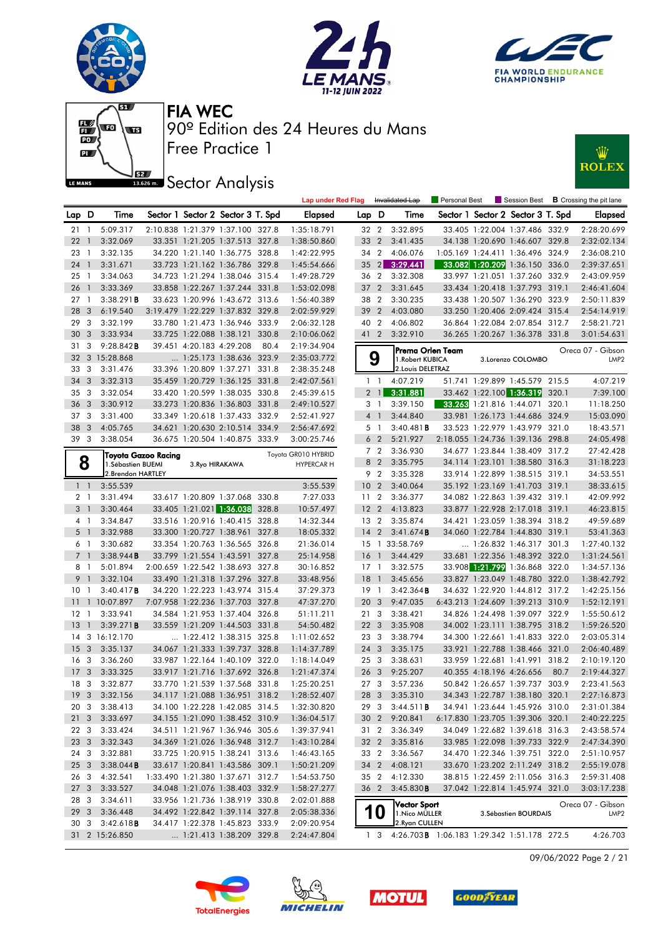







# **JEZ Sector Analysis**



|                 |                         |                        |                            |                                   |       | <b>Lap under Red Flag</b> |                 |                              | Invalidated Lap                 | Personal Best                              |                          |                                   |       | Session Best <b>B</b> Crossing the pit lane |
|-----------------|-------------------------|------------------------|----------------------------|-----------------------------------|-------|---------------------------|-----------------|------------------------------|---------------------------------|--------------------------------------------|--------------------------|-----------------------------------|-------|---------------------------------------------|
| Lap D           |                         | Time                   |                            | Sector 1 Sector 2 Sector 3 T. Spd |       | <b>Elapsed</b>            | Lap.            | D                            | Time                            |                                            |                          | Sector 1 Sector 2 Sector 3 T. Spd |       | <b>Elapsed</b>                              |
| $21 \quad 1$    |                         | 5:09.317               |                            | 2:10.838 1:21.379 1:37.100 327.8  |       | 1:35:18.791               | 32 2            |                              | 3:32.895                        |                                            |                          | 33.405 1:22.004 1:37.486 332.9    |       | 2:28:20.699                                 |
| 22              | $\overline{1}$          | 3:32.069               |                            | 33.351 1:21.205 1:37.513 327.8    |       | 1:38:50.860               | 33              | $\overline{2}$               | 3:41.435                        |                                            |                          | 34.138 1:20.690 1:46.607 329.8    |       | 2:32:02.134                                 |
| 23              | $\overline{1}$          | 3:32.135               |                            | 34.220 1:21.140 1:36.775 328.8    |       | 1:42:22.995               | 34 2            |                              | 4:06.076                        |                                            |                          | 1:05.169 1:24.411 1:36.496 324.9  |       | 2:36:08.210                                 |
| 24              | $\overline{1}$          | 3:31.671               |                            | 33.723 1:21.162 1:36.786 329.8    |       | 1:45:54.666               | 35              | $\left  \frac{2}{2} \right $ | 3:29.441                        |                                            |                          | 33.082 1:20.209 1:36.150 336.0    |       | 2:39:37.651                                 |
| 25              | $\overline{1}$          | 3:34.063               |                            | 34.723 1:21.294 1:38.046 315.4    |       | 1:49:28.729               | 36 2            |                              | 3:32.308                        |                                            |                          | 33.997 1:21.051 1:37.260 332.9    |       | 2:43:09.959                                 |
| 26 1            |                         | 3:33.369               |                            | 33.858 1:22.267 1:37.244 331.8    |       | 1:53:02.098               | 37              | $\overline{2}$               | 3:31.645                        |                                            |                          | 33.434 1:20.418 1:37.793 319.1    |       | 2:46:41.604                                 |
| 27              | $\overline{1}$          | 3:38.291B              |                            | 33.623 1:20.996 1:43.672 313.6    |       | 1:56:40.389               | 38 2            |                              | 3:30.235                        |                                            |                          | 33.438 1:20.507 1:36.290 323.9    |       | 2:50:11.839                                 |
| 28              | $\overline{\mathbf{3}}$ | 6:19.540               |                            | 3:19.479 1:22.229 1:37.832 329.8  |       | 2:02:59.929               | 39              | $\overline{2}$               | 4:03.080                        |                                            |                          | 33.250 1:20.406 2:09.424 315.4    |       | 2:54:14.919                                 |
| 29              | $\overline{\mathbf{3}}$ | 3:32.199               |                            | 33.780 1:21.473 1:36.946 333.9    |       | 2:06:32.128               | 40 2            |                              | 4:06.802                        |                                            |                          | 36.864 1:22.084 2:07.854 312.7    |       | 2:58:21.721                                 |
| 30 <sub>3</sub> |                         | 3:33.934               |                            | 33.725 1:22.088 1:38.121          | 330.8 | 2:10:06.062               | 41 2            |                              | 3:32.910                        |                                            |                          | 36.265 1:20.267 1:36.378 331.8    |       | 3:01:54.631                                 |
| 31              | 3                       | $9:28.842$ <b>B</b>    |                            | 39.451 4:20.183 4:29.208          | 80.4  | 2:19:34.904               |                 |                              | Prema Orlen Team                |                                            |                          |                                   |       | Oreca 07 - Gibson                           |
|                 |                         | 32 3 15:28.868         |                            | 1:25.173 1:38.636 323.9           |       | 2:35:03.772               |                 | 9                            | 1. Robert KUBICA                |                                            |                          | 3.Lorenzo COLOMBO                 |       | LMP <sub>2</sub>                            |
| 33 3            |                         | 3:31.476               |                            | 33.396 1:20.809 1:37.271 331.8    |       | 2:38:35.248               |                 |                              | 2. Louis DELETRAZ               |                                            |                          |                                   |       |                                             |
| 34              | 3                       | 3:32.313               |                            | 35.459 1:20.729 1:36.125 331.8    |       | 2:42:07.561               | 1 <sub>1</sub>  |                              | 4:07.219                        |                                            |                          | 51.741 1:29.899 1:45.579 215.5    |       | 4:07.219                                    |
| 35 <sub>3</sub> |                         | 3:32.054               |                            | 33.420 1:20.599 1:38.035 330.8    |       | 2:45:39.615               |                 | 2 <sub>1</sub>               | 3:31.881                        |                                            |                          | 33.462 1:22.100 1:36.319 320.1    |       | 7:39.100                                    |
| 36 <sub>3</sub> |                         | 3:30.912               |                            | 33.273 1:20.836 1:36.803 331.8    |       | 2:49:10.527               |                 | 3 1                          | 3:39.150                        |                                            |                          | 33.263 1:21.816 1:44.071          | 320.1 | 11:18.250                                   |
| 37 3            |                         | 3:31.400               |                            | 33.349 1:20.618 1:37.433 332.9    |       | 2:52:41.927               |                 | 4 1                          | 3:44.840                        |                                            |                          | 33.981 1:26.173 1:44.686 324.9    |       | 15:03.090                                   |
| 38 3            |                         | 4:05.765               |                            | 34.621 1:20.630 2:10.514 334.9    |       | 2:56:47.692               |                 | 5 1                          | $3:40.481$ <b>B</b>             |                                            |                          | 33.523 1:22.979 1:43.979 321.0    |       | 18:43.571                                   |
| 39 3            |                         | 3:38.054               |                            | 36.675 1:20.504 1:40.875 333.9    |       | 3:00:25.746               |                 | 6 <sub>2</sub>               | 5:21.927                        |                                            |                          | 2:18.055 1:24.736 1:39.136 298.8  |       | 24:05.498                                   |
|                 |                         |                        | <b>Toyota Gazoo Racing</b> |                                   |       | Toyota GR010 HYBRID       |                 | 7 <sub>2</sub>               | 3:36.930                        |                                            |                          | 34.677 1:23.844 1:38.409 317.2    |       | 27:42.428                                   |
|                 | 8                       | 1. Sébastien BUEMI     |                            | 3. Ryo HIRAKAWA                   |       | <b>HYPERCAR H</b>         |                 | 8 2                          | 3:35.795                        |                                            |                          | 34.114 1:23.101 1:38.580 316.3    |       | 31:18.223                                   |
|                 |                         | 2.Brendon HARTLEY      |                            |                                   |       |                           |                 | 9 2                          | 3:35.328                        |                                            |                          | 33.914 1:22.899 1:38.515 319.1    |       | 34:53.551                                   |
| $1\quad$        |                         | 3:55.539               |                            |                                   |       | 3:55.539                  | 10 <sub>2</sub> |                              | 3:40.064                        |                                            |                          | 35.192 1:23.169 1:41.703 319.1    |       | 38:33.615                                   |
| 2 1             |                         | 3:31.494               |                            | 33.617 1:20.809 1:37.068 330.8    |       | 7:27.033                  | 11              | $\overline{2}$               | 3:36.377                        |                                            |                          | 34.082 1:22.863 1:39.432 319.1    |       | 42:09.992                                   |
| 3 1             |                         | 3:30.464               |                            | 33.405 1:21.021 1:36.038          | 328.8 | 10:57.497                 | 12 <sub>2</sub> |                              | 4:13.823                        |                                            |                          | 33.877 1:22.928 2:17.018 319.1    |       | 46:23.815                                   |
| 4 1             |                         | 3:34.847               |                            | 33.516 1:20.916 1:40.415 328.8    |       | 14:32.344                 | 13 <sub>2</sub> |                              | 3:35.874                        |                                            |                          | 34.421 1:23.059 1:38.394 318.2    |       | 49:59.689                                   |
| 5 <sub>1</sub>  |                         | 3:32.988               |                            | 33.300 1:20.727 1:38.961 327.8    |       | 18:05.332                 | 14              | $\overline{2}$               | 3:41.674B                       |                                            |                          | 34.060 1:22.784 1:44.830 319.1    |       | 53:41.363                                   |
| 6 <sub>1</sub>  |                         | 3:30.682               |                            | 33.354 1:20.763 1:36.565 326.8    |       | 21:36.014                 |                 |                              | 15 1 33:58.769                  |                                            |                          | 1:26.832 1:46.317 301.3           |       | 1:27:40.132                                 |
| 7 <sub>1</sub>  |                         | 3:38.944B              |                            | 33.799 1:21.554 1:43.591 327.8    |       | 25:14.958                 | 16              | $\overline{1}$               | 3:44.429                        |                                            |                          | 33.681 1:22.356 1:48.392 322.0    |       | 1:31:24.561                                 |
| 8 1             |                         | 5:01.894               |                            | 2:00.659 1:22.542 1:38.693 327.8  |       | 30:16.852                 | $17-1$          |                              | 3:32.575                        |                                            |                          | 33.908 1:21.799 1:36.868 322.0    |       | 1:34:57.136                                 |
| 9 <sub>1</sub>  |                         | 3:32.104               |                            | 33.490 1:21.318 1:37.296 327.8    |       | 33:48.956                 | 18              | $\overline{1}$               | 3:45.656                        |                                            |                          | 33.827 1:23.049 1:48.780 322.0    |       | 1:38:42.792                                 |
| 10              | $\mathbf{1}$            | 3:40.417B              |                            | 34.220 1:22.223 1:43.974 315.4    |       | 37:29.373                 | $19-1$          |                              | 3:42.364B                       |                                            |                          | 34.632 1:22.920 1:44.812 317.2    |       | 1:42:25.156                                 |
|                 |                         | 11 10:07.897           |                            | 7:07.958 1:22.236 1:37.703 327.8  |       | 47:37.270                 | 20 <sub>3</sub> |                              | 9:47.035                        |                                            |                          | 6:43.213 1:24.609 1:39.213 310.9  |       | 1:52:12.191                                 |
| $12-1$          |                         | 3:33.941               |                            | 34.584 1:21.953 1:37.404 326.8    |       | 51:11.211                 | 21 <sub>3</sub> |                              | 3:38.421                        |                                            |                          | 34.826 1:24.498 1:39.097 322.9    |       | 1:55:50.612                                 |
| 13              | $\overline{1}$          | 3:39.271B              |                            | 33.559 1:21.209 1:44.503 331.8    |       | 54:50.482                 | 22 <sub>3</sub> |                              | 3:35.908                        |                                            |                          | 34.002 1:23.111 1:38.795 318.2    |       | 1:59:26.520                                 |
|                 |                         | 14 3 16:12.170         |                            | 1:22.412 1:38.315 325.8           |       | 1:11:02.652               | 23 3            |                              | 3:38.794                        |                                            |                          | 34.300 1:22.661 1:41.833 322.0    |       | 2:03:05.314                                 |
| 15              | $\overline{\mathbf{3}}$ | 3:35.137               |                            | 34.067 1:21.333 1:39.737 328.8    |       | 1:14:37.789               | 24 <sub>3</sub> |                              | 3:35.175                        |                                            |                          | 33.921 1:22.788 1:38.466 321.0    |       | 2:06:40.489                                 |
| 16 <sub>3</sub> |                         | 3:36.260               |                            | 33.987 1:22.164 1:40.109 322.0    |       | 1:18:14.049               | 25 3            |                              | 3:38.631                        |                                            |                          | 33.959 1:22.681 1:41.991 318.2    |       | 2:10:19.120                                 |
| 17 <sub>3</sub> |                         | 3:33.325               |                            | 33.917 1:21.716 1:37.692 326.8    |       | 1:21:47.374               | 26              | 3                            | 9:25.207                        |                                            | 40.355 4:18.196 4:26.656 |                                   | 80.7  | 2:19:44.327                                 |
| 18 3            |                         | 3:32.877               |                            | 33.770 1:21.539 1:37.568 331.8    |       | 1:25:20.251               | 27 3            |                              | 3:57.236                        |                                            |                          | 50.842 1:26.657 1:39.737 303.9    |       | 2:23:41.563                                 |
| 193             |                         | 3:32.156               |                            | 34.117 1:21.088 1:36.951 318.2    |       | 1:28:52.407               |                 | 28 3                         | 3:35.310                        |                                            |                          | 34.343 1:22.787 1:38.180 320.1    |       | 2:27:16.873                                 |
| 20 3            |                         | 3:38.413               |                            | 34.100 1:22.228 1:42.085 314.5    |       | 1:32:30.820               |                 | 29 3                         | 3:44.511B                       |                                            |                          | 34.941 1:23.644 1:45.926 310.0    |       | 2:31:01.384                                 |
| 21 3            |                         | 3:33.697               |                            | 34.155 1:21.090 1:38.452 310.9    |       | 1:36:04.517               | 30 2            |                              | 9:20.841                        |                                            |                          | 6:17.830 1:23.705 1:39.306 320.1  |       | 2:40:22.225                                 |
| 22 3            |                         | 3:33.424               |                            | 34.511 1:21.967 1:36.946 305.6    |       | 1:39:37.941               | 31 2            |                              | 3:36.349                        |                                            |                          | 34.049 1:22.682 1:39.618 316.3    |       | 2:43:58.574                                 |
|                 | 23 3                    | 3:32.343               |                            | 34.369 1:21.026 1:36.948 312.7    |       | 1:43:10.284               | 32 2            |                              | 3:35.816                        |                                            |                          | 33.985 1:22.098 1:39.733 322.9    |       | 2:47:34.390                                 |
| 24 3            |                         | 3:32.881               |                            | 33.725 1:20.915 1:38.241 313.6    |       | 1:46:43.165               | 33 2            |                              | 3:36.567                        |                                            |                          | 34.470 1:22.346 1:39.751 322.0    |       | 2:51:10.957                                 |
|                 | 25 <sub>3</sub>         | 3:38.044B              |                            | 33.617 1:20.841 1:43.586 309.1    |       | 1:50:21.209               |                 |                              | 34 2 4:08.121                   |                                            |                          | 33.670 1:23.202 2:11.249 318.2    |       | 2:55:19.078                                 |
|                 | 26 3                    | 4:32.541               |                            | 1:33.490 1:21.380 1:37.671 312.7  |       | 1:54:53.750               | 35 2            |                              | 4:12.330                        |                                            |                          | 38.815 1:22.459 2:11.056 316.3    |       | 2:59:31.408                                 |
| 27 3            |                         | 3:33.527               |                            | 34.048 1:21.076 1:38.403 332.9    |       | 1:58:27.277               |                 | 36 2                         | 3:45.830B                       |                                            |                          | 37.042 1:22.814 1:45.974 321.0    |       | 3:03:17.238                                 |
| 28 3            |                         | 3:34.611               |                            | 33.956 1:21.736 1:38.919 330.8    |       | 2:02:01.888               |                 |                              |                                 |                                            |                          |                                   |       |                                             |
|                 | 29 3                    | 3:36.448               |                            | 34.492 1:22.842 1:39.114 327.8    |       | 2:05:38.336               |                 | <b>10</b>                    | Vector Sport                    |                                            |                          | 3. Sébastien BOURDAIS             |       | Oreca 07 - Gibson                           |
|                 |                         | 30 3 3:42.618 <b>B</b> |                            | 34.417 1:22.378 1:45.823 333.9    |       | 2:09:20.954               |                 |                              | 1. Nico MÜLLER<br>2.Ryan CULLEN |                                            |                          |                                   |       | LMP <sub>2</sub>                            |
|                 |                         | 31 2 15:26.850         |                            | 1:21.413 1:38.209 329.8           |       | 2:24:47.804               |                 | 1 <sub>3</sub>               |                                 | 4:26.703B 1:06.183 1:29.342 1:51.178 272.5 |                          |                                   |       | 4:26.703                                    |
|                 |                         |                        |                            |                                   |       |                           |                 |                              |                                 |                                            |                          |                                   |       |                                             |

09/06/2022 Page 2 / 21





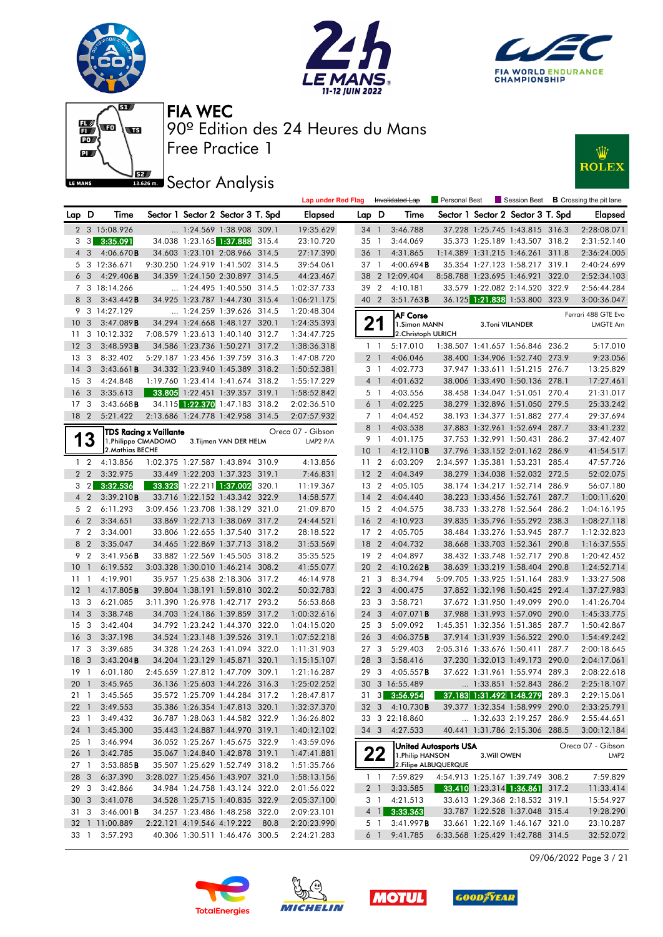











|                       |                                           |                           |                               |                                                                  |       | <b>Lap under Red Flag</b>  |                 |                         | Invalidated Lap                           | <b>Personal Best</b>  |                 | <b>Session Best</b>                                              |       | <b>B</b> Crossing the pit lane |
|-----------------------|-------------------------------------------|---------------------------|-------------------------------|------------------------------------------------------------------|-------|----------------------------|-----------------|-------------------------|-------------------------------------------|-----------------------|-----------------|------------------------------------------------------------------|-------|--------------------------------|
| Lap D                 |                                           | Time                      |                               | Sector 1 Sector 2 Sector 3 T. Spd                                |       | Elapsed                    | Lap D           |                         | Time                                      |                       |                 | Sector 1 Sector 2 Sector 3 T. Spd                                |       | <b>Elapsed</b>                 |
|                       |                                           | 2 3 15:08.926             |                               | $\ldots$ 1:24.569 1:38.908 309.1                                 |       | 19:35.629                  | $34 \quad 1$    |                         | 3:46.788                                  |                       |                 | 37.228 1:25.745 1:43.815 316.3                                   |       | 2:28:08.071                    |
|                       |                                           | $3\quad 3\quad 3:35.091$  |                               | 34.038 1:23.165 1:37.888                                         | 315.4 | 23:10.720                  | 35              | $\overline{1}$          | 3:44.069                                  |                       |                 | 35.373 1:25.189 1:43.507 318.2                                   |       | 2:31:52.140                    |
| $4\quad3$             |                                           | 4:06.670B                 |                               | 34.603 1:23.101 2:08.966 314.5                                   |       | 27:17.390                  | 36              | $\overline{1}$          | 4:31.865                                  |                       |                 | 1:14.389 1:31.215 1:46.261 311.8                                 |       | 2:36:24.005                    |
|                       |                                           | 5 3 12:36.671             |                               | 9:30.250 1:24.919 1:41.502 314.5                                 |       | 39:54.061                  | 37 1            |                         | 4:00.694B                                 |                       |                 | 35.354 1:27.123 1:58.217 319.1                                   |       | 2:40:24.699                    |
|                       | 6 <sub>3</sub>                            | 4:29.406B                 |                               | 34.359 1:24.150 2:30.897 314.5                                   |       | 44:23.467                  | 38              |                         | 2 12:09.404                               |                       |                 | 8:58.788 1:23.695 1:46.921 322.0                                 |       | 2:52:34.103                    |
|                       |                                           | 7 3 18:14.266             |                               | $\ldots$ 1:24.495 1:40.550 314.5                                 |       | 1:02:37.733                |                 | 39 2                    | 4:10.181                                  |                       |                 | 33.579 1:22.082 2:14.520 322.9                                   |       | 2:56:44.284                    |
| 8 3                   |                                           | 3:43.442B                 |                               | 34.925 1:23.787 1:44.730 315.4                                   |       | 1:06:21.175                | 40 2            |                         | 3:51.763B                                 |                       |                 | 36.125 1:21.838 1:53.800 323.9                                   |       | 3:00:36.047                    |
|                       |                                           | 9 3 14:27.129             |                               | 1:24.259 1:39.626 314.5                                          |       | 1:20:48.304                |                 |                         | <b>AF Corse</b>                           |                       |                 |                                                                  |       | Ferrari 488 GTE Evo            |
| 10                    | $\mathbf{3}$                              | 3:47.089B                 |                               | 34.294 1:24.668 1:48.127 320.1                                   |       | 1:24:35.393                |                 | 21                      | 1.Simon MANN                              |                       | 3.Toni VILANDER |                                                                  |       | <b>LMGTE Am</b>                |
| 11                    |                                           | 3 10:12.332               |                               | 7:08.579 1:23.613 1:40.140 312.7                                 |       | 1:34:47.725                |                 |                         | 2. Christoph ULRICH                       |                       |                 |                                                                  |       |                                |
| 12                    | $\overline{\mathbf{3}}$                   | 3:48.593B                 |                               | 34.586 1:23.736 1:50.271 317.2                                   |       | 1:38:36.318                |                 | 1 <sub>1</sub>          | 5:17.010                                  |                       |                 | 1:38.507 1:41.657 1:56.846 236.2                                 |       | 5:17.010                       |
| 13                    | $\mathbf{3}$                              | 8:32.402                  |                               | 5:29.187 1:23.456 1:39.759 316.3                                 |       | 1:47:08.720                |                 | 2 <sub>1</sub>          | 4:06.046                                  |                       |                 | 38.400 1:34.906 1:52.740 273.9                                   |       | 9:23.056                       |
| 14                    | $\overline{3}$                            | 3:43.661B                 |                               | 34.332 1:23.940 1:45.389 318.2                                   |       | 1:50:52.381                |                 | 3 1                     | 4:02.773                                  |                       |                 | 37.947 1:33.611 1:51.215 276.7                                   |       | 13:25.829                      |
| 15                    | $\overline{\mathbf{3}}$                   | 4:24.848                  |                               | 1:19.760 1:23.414 1:41.674 318.2                                 |       | 1:55:17.229                |                 | 4 <sup>1</sup>          | 4:01.632                                  |                       |                 | 38.006 1:33.490 1:50.136 278.1                                   |       | 17:27.461                      |
| 16                    | $\overline{\mathbf{3}}$                   | 3:35.613                  |                               | 33.805 1:22.451 1:39.357 319.1                                   |       | 1:58:52.842                |                 | 5 1                     | 4:03.556                                  |                       |                 | 38.458 1:34.047 1:51.051 270.4                                   |       | 21:31.017                      |
| 17                    | $\mathbf{3}$                              | 3:43.668B                 |                               | 34.115 1:22.370 1:47.183 318.2                                   |       | 2:02:36.510                |                 | 6 1                     | 4:02.225                                  |                       |                 | 38.279 1:32.896 1:51.050 279.5                                   |       | 25:33.242                      |
| 18 <sup>2</sup>       |                                           | 5:21.422                  |                               | 2:13.686 1:24.778 1:42.958 314.5                                 |       | 2:07:57.932                |                 | 7 1                     | 4:04.452                                  |                       |                 | 38.193 1:34.377 1:51.882 277.4                                   |       | 29:37.694                      |
|                       |                                           |                           | <b>TDS Racing x Vaillante</b> |                                                                  |       | Oreca 07 - Gibson          |                 | 8 1                     | 4:03.538                                  |                       |                 | 37.883 1:32.961 1:52.694 287.7                                   |       | 33:41.232                      |
| 1                     | 3                                         | 1.Philippe CIMADOMO       |                               | 3. Tijmen VAN DER HELM                                           |       | LMP2 $P/A$                 |                 | 91                      | 4:01.175                                  |                       |                 | 37.753 1:32.991 1:50.431 286.2                                   |       | 37:42.407                      |
|                       |                                           | 2.Mathias BECHE           |                               |                                                                  |       |                            | $10-1$          |                         | 4:12.110B                                 |                       |                 | 37.796 1:33.152 2:01.162 286.9                                   |       | 41:54.517                      |
|                       | $1\quad 2$                                | 4:13.856                  |                               | 1:02.375 1:27.587 1:43.894 310.9                                 |       | 4:13.856                   | 11 <sub>2</sub> |                         | 6:03.209                                  |                       |                 | 2:34.597 1:35.381 1:53.231                                       | 285.4 | 47:57.726                      |
| 2 <sub>2</sub>        |                                           | 3:32.975                  |                               | 33.449 1:22.203 1:37.323 319.1                                   |       | 7:46.831                   | 12 <sub>2</sub> |                         | 4:04.349                                  |                       |                 | 38.279 1:34.038 1:52.032 272.5                                   |       | 52:02.075                      |
|                       |                                           | $3\quad 2\quad 3:32.536$  |                               | 33.323 1:22.211 1:37.002 320.1                                   |       | 11:19.367                  | 13 <sub>2</sub> |                         | 4:05.105                                  |                       |                 | 38.174 1:34.217 1:52.714 286.9                                   |       | 56:07.180                      |
| 4 <sup>2</sup>        |                                           | 3:39.210B                 |                               | 33.716 1:22.152 1:43.342 322.9                                   |       | 14:58.577                  | $14 \quad 2$    |                         | 4:04.440                                  |                       |                 | 38.223 1:33.456 1:52.761 287.7                                   |       | 1:00:11.620                    |
|                       | 5 <sub>2</sub>                            | 6:11.293                  |                               | 3:09.456 1:23.708 1:38.129 321.0                                 |       | 21:09.870                  |                 | 15 2                    | 4:04.575                                  |                       |                 | 38.733 1:33.278 1:52.564 286.2                                   |       | 1:04:16.195                    |
| 6 <sub>2</sub>        |                                           | 3:34.651                  |                               | 33.869 1:22.713 1:38.069 317.2                                   |       | 24:44.521                  | 16              | $\overline{2}$          | 4:10.923                                  |                       |                 | 39.835 1:35.796 1:55.292 238.3                                   |       | 1:08:27.118                    |
|                       | 7 <sub>2</sub>                            | 3:34.001                  |                               | 33.806 1:22.655 1:37.540 317.2                                   |       | 28:18.522                  | 17 <sub>2</sub> |                         | 4:05.705                                  |                       |                 | 38.484 1:33.276 1:53.945 287.7                                   |       | 1:12:32.823                    |
|                       | 8 2                                       | 3:35.047                  |                               | 34.465 1:22.869 1:37.713 318.2                                   |       | 31:53.569                  | 18              | $\overline{2}$          | 4:04.732                                  |                       |                 | 38.668 1:33.703 1:52.361 290.8                                   |       | 1:16:37.555                    |
| 9 2                   |                                           | 3:41.956B                 |                               | 33.882 1:22.569 1:45.505 318.2                                   |       | 35:35.525                  |                 | 19 2                    | 4:04.897                                  |                       |                 | 38.432 1:33.748 1:52.717                                         | 290.8 | 1:20:42.452                    |
| 10                    | $\overline{1}$                            | 6:19.552                  |                               | 3:03.328 1:30.010 1:46.214 308.2                                 |       | 41:55.077                  | 20              | $\overline{2}$          | $4:10.262$ B                              |                       |                 | 38.639 1:33.219 1:58.404 290.8                                   |       | 1:24:52.714                    |
| 11                    | $\overline{1}$                            | 4:19.901                  |                               | 35.957 1:25.638 2:18.306 317.2                                   |       | 46:14.978                  | 21 3            |                         | 8:34.794                                  |                       |                 | 5:09.705 1:33.925 1:51.164 283.9                                 |       | 1:33:27.508                    |
| 12                    | $\overline{1}$                            | 4:17.805B                 |                               | 39.804 1:38.191 1:59.810 302.2                                   |       | 50:32.783                  | 22 <sub>3</sub> |                         | 4:00.475                                  |                       |                 | 37.852 1:32.198 1:50.425 292.4                                   |       | 1:37:27.983                    |
| 13                    | -3                                        | 6:21.085                  |                               | 3:11.390 1:26.978 1:42.717 293.2                                 |       | 56:53.868                  | 23 3            |                         | 3:58.721                                  |                       |                 | 37.672 1:31.950 1:49.099 290.0                                   |       | 1:41:26.704                    |
| 14                    | $\overline{\mathbf{3}}$                   | 3:38.748                  |                               | 34.703 1:24.186 1:39.859 317.2                                   |       | 1:00:32.616                | 24              | 3                       | 4:07.071 <b>B</b>                         |                       |                 | 37.988 1:31.993 1:57.090 290.0                                   |       | 1:45:33.775                    |
| 15                    | $\mathbf{3}$                              | 3:42.404                  |                               | 34.792 1:23.242 1:44.370 322.0<br>34.524 1:23.148 1:39.526 319.1 |       | 1:04:15.020                | 25 <sub>3</sub> |                         | 5:09.092                                  |                       |                 | 1:45.351 1:32.356 1:51.385 287.7                                 |       | 1:50:42.867                    |
| <b>16</b>             | $\overline{3}$                            | 3:37.198                  |                               |                                                                  |       | 1:07:52.218                | 26              | $\overline{\mathbf{3}}$ | 4:06.375B                                 |                       |                 | 37.914 1:31.939 1:56.522 290.0                                   |       | 1:54:49.242                    |
| 17 <sub>3</sub><br>18 |                                           | 3:39.685                  |                               | 34.328 1:24.263 1:41.094 322.0<br>34.204 1:23.129 1:45.871 320.1 |       | 1:11:31.903                | 27 <sub>3</sub> | 3                       | 5:29.403                                  |                       |                 | 2:05.316 1:33.676 1:50.411                                       | 287.7 | 2:00:18.645                    |
| 19                    | $\overline{\mathbf{3}}$<br>$\overline{1}$ | $3:43.204$ B              |                               | 2:45.659 1:27.812 1:47.709 309.1                                 |       | 1:15:15.107                | 28              | 3                       | 3:58.416<br>4:05.557B                     |                       |                 | 37.230 1:32.013 1:49.173 290.0<br>37.622 1:31.961 1:55.974 289.3 |       | 2:04:17.061<br>2:08:22.618     |
| 20                    | $\overline{1}$                            | 6:01.180<br>3:45.965      |                               | 36.136 1:25.603 1:44.226 316.3                                   |       | 1:21:16.287<br>1:25:02.252 | 29              |                         | 30 3 16:55.489                            |                       |                 | 1:33.851 1:52.843 286.2                                          |       | 2:25:18.107                    |
| $21 \quad 1$          |                                           | 3:45.565                  |                               | 35.572 1:25.709 1:44.284 317.2                                   |       | 1:28:47.817                |                 |                         | 31 3 3:56.954                             |                       |                 | 37.183 1:31.492 1:48.279 289.3                                   |       | 2:29:15.061                    |
|                       |                                           |                           |                               |                                                                  |       |                            |                 |                         | 32 3 4:10.730 <b>B</b>                    |                       |                 |                                                                  |       | 2:33:25.791                    |
| 23 1                  |                                           | 22 1 3:49.553<br>3:49.432 |                               | 35.386 1:26.354 1:47.813 320.1<br>36.787 1:28.063 1:44.582 322.9 |       | 1:32:37.370                |                 |                         | 33 3 22:18.860                            |                       |                 | 39.377 1:32.354 1:58.999 290.0<br>1:32.633 2:19.257 286.9        |       |                                |
|                       |                                           | 24 1 3:45.300             |                               | 35.443 1:24.887 1:44.970 319.1                                   |       | 1:36:26.802<br>1:40:12.102 |                 |                         | 34 3 4:27.533                             |                       |                 | 40.441 1:31.786 2:15.306 288.5                                   |       | 2:55:44.651<br>3:00:12.184     |
| $25 \quad 1$          |                                           | 3:46.994                  |                               | 36.052 1:25.267 1:45.675 322.9                                   |       | 1:43:59.096                |                 |                         |                                           |                       |                 |                                                                  |       |                                |
| 26 1                  |                                           | 3:42.785                  |                               | 35.067 1:24.840 1:42.878 319.1                                   |       | 1:47:41.881                |                 |                         |                                           | United Autosports USA |                 |                                                                  |       | Oreca 07 - Gibson              |
| 27 1                  |                                           | 3:53.885B                 |                               | 35.507 1:25.629 1:52.749 318.2                                   |       | 1:51:35.766                |                 | 22                      | 1. Philip HANSON<br>2. Filipe ALBUQUERQUE |                       | 3. Will OWEN    |                                                                  |       | LMP <sub>2</sub>               |
| 28 3                  |                                           | 6:37.390                  |                               | 3:28.027 1:25.456 1:43.907 321.0                                 |       | 1:58:13.156                |                 | $1\quad1$               | 7:59.829                                  |                       |                 | 4:54.913 1:25.167 1:39.749 308.2                                 |       | 7:59.829                       |
| 29 3                  |                                           | 3:42.866                  |                               | 34.984 1:24.758 1:43.124 322.0                                   |       | 2:01:56.022                |                 | 2 <sub>1</sub>          | 3:33.585                                  |                       |                 | 33.410 1:23.314 1:36.861 317.2                                   |       | 11:33.414                      |
| 30 <sub>3</sub>       |                                           | 3:41.078                  |                               | 34.528 1:25.715 1:40.835 322.9                                   |       | 2:05:37.100                |                 | 3 1                     | 4:21.513                                  |                       |                 | 33.613 1:29.368 2:18.532 319.1                                   |       | 15:54.927                      |
| 31 3                  |                                           | 3:46.001B                 |                               | 34.257 1:23.486 1:48.258 322.0                                   |       | 2:09:23.101                |                 |                         | $4$ 1 3:33.363                            |                       |                 | 33.787 1:22.528 1:37.048 315.4                                   |       | 19:28.290                      |
|                       |                                           | 32 1 11:00.889            |                               | 2:22.121 4:19.546 4:19.222 80.8                                  |       | 2:20:23.990                |                 | 5 1                     | 3:41.997B                                 |                       |                 | 33.661 1:22.169 1:46.167 321.0                                   |       | 23:10.287                      |
| 33 1                  |                                           | 3:57.293                  |                               | 40.306 1:30.511 1:46.476 300.5                                   |       | 2:24:21.283                |                 | 6 1                     | 9:41.785                                  |                       |                 | 6:33.568 1:25.429 1:42.788 314.5                                 |       | 32:52.072                      |
|                       |                                           |                           |                               |                                                                  |       |                            |                 |                         |                                           |                       |                 |                                                                  |       |                                |

09/06/2022 Page 3 / 21







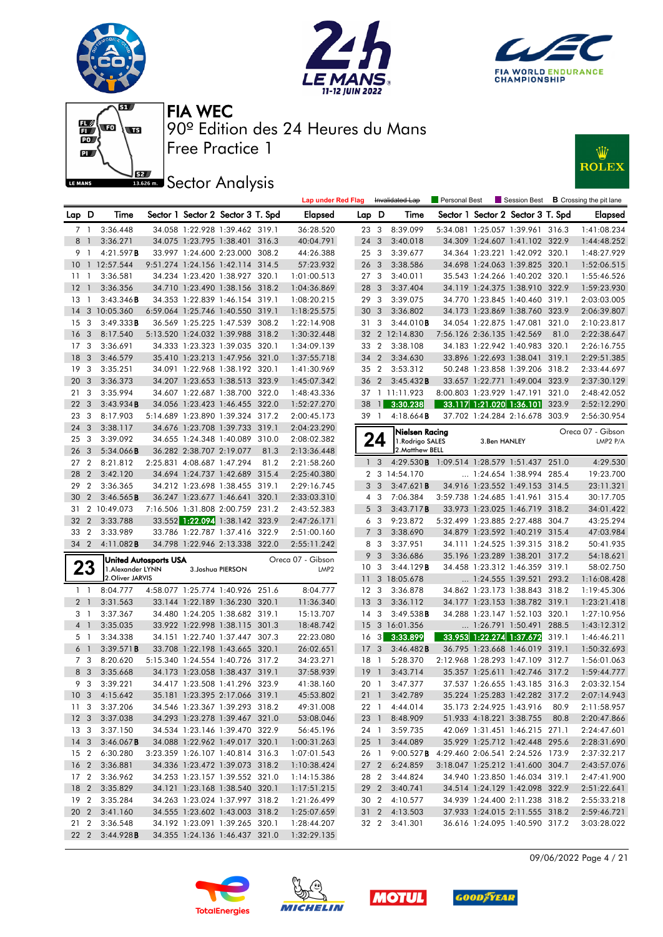







# **JEZ Sector Analysis**



|                 |                |                        |                              |                            |                                   |       | <b>Lap under Red Flag</b>             |                 |                         | Invalidated Lap                             | Personal Best |                            |                                   |       | Session Best <b>B</b> Crossing the pit lane |
|-----------------|----------------|------------------------|------------------------------|----------------------------|-----------------------------------|-------|---------------------------------------|-----------------|-------------------------|---------------------------------------------|---------------|----------------------------|-----------------------------------|-------|---------------------------------------------|
| Lap D           |                | Time                   |                              |                            | Sector 1 Sector 2 Sector 3 T. Spd |       | <b>Elapsed</b>                        | Lap D           |                         | Time                                        |               |                            | Sector 1 Sector 2 Sector 3 T. Spd |       | <b>Elapsed</b>                              |
| 7 1             |                | 3:36.448               |                              |                            | 34.058 1:22.928 1:39.462 319.1    |       | 36:28.520                             | 23 3            |                         | 8:39.099                                    |               |                            | 5:34.081 1:25.057 1:39.961 316.3  |       | 1:41:08.234                                 |
| 8               | $\overline{1}$ | 3:36.271               |                              |                            | 34.075 1:23.795 1:38.401 316.3    |       | 40:04.791                             | 24 3            |                         | 3:40.018                                    |               |                            | 34.309 1:24.607 1:41.102 322.9    |       | 1:44:48.252                                 |
| 9               | $\overline{1}$ | 4:21.597B              |                              |                            | 33.997 1:24.600 2:23.000 308.2    |       | 44:26.388                             | 25 3            |                         | 3:39.677                                    |               |                            | 34.364 1:23.221 1:42.092 320.1    |       | 1:48:27.929                                 |
| 10              |                | 1 12:57.544            |                              |                            | 9:51.274 1:24.156 1:42.114 314.5  |       | 57:23.932                             | 26 <sub>3</sub> |                         | 3:38.586                                    |               |                            | 34.698 1:24.063 1:39.825 320.1    |       | 1:52:06.515                                 |
| 1111            |                | 3:36.581               |                              |                            | 34.234 1:23.420 1:38.927 320.1    |       | 1:01:00.513                           | 273             |                         | 3:40.011                                    |               |                            | 35.543 1:24.266 1:40.202 320.1    |       | 1:55:46.526                                 |
| 12              | $\mathbf{1}$   | 3:36.356               |                              |                            | 34.710 1:23.490 1:38.156 318.2    |       | 1:04:36.869                           | 28 3            |                         | 3:37.404                                    |               |                            | 34.119 1:24.375 1:38.910 322.9    |       | 1:59:23.930                                 |
| 13              | $\overline{1}$ | 3:43.346B              |                              |                            | 34.353 1:22.839 1:46.154 319.1    |       | 1:08:20.215                           | 29              | $\mathbf{3}$            | 3:39.075                                    |               |                            | 34.770 1:23.845 1:40.460 319.1    |       | 2:03:03.005                                 |
| 14              |                | 3 10:05.360            |                              |                            | 6:59.064 1:25.746 1:40.550 319.1  |       | 1:18:25.575                           | 30              | $\overline{\mathbf{3}}$ | 3:36.802                                    |               |                            | 34.173 1:23.869 1:38.760 323.9    |       | 2:06:39.807                                 |
| 15              | 3              | 3:49.333B              |                              |                            | 36.569 1:25.225 1:47.539 308.2    |       | 1:22:14.908                           | 313             |                         | 3:44.010B                                   |               |                            | 34.054 1:22.875 1:47.081 321.0    |       | 2:10:23.817                                 |
| 16              | 3              | 8:17.540               |                              |                            | 5:13.520 1:24.032 1:39.988 318.2  |       | 1:30:32.448                           |                 |                         | 32 2 12:14.830                              |               | 7:56.126 2:36.135 1:42.569 |                                   | 81.0  | 2:22:38.647                                 |
| 17              | 3              | 3:36.691               |                              |                            | 34.333 1:23.323 1:39.035 320.1    |       | 1:34:09.139                           | 33 2            |                         | 3:38.108                                    |               |                            | 34.183 1:22.942 1:40.983 320.1    |       | 2:26:16.755                                 |
| 18              | 3              | 3:46.579               |                              |                            | 35.410 1:23.213 1:47.956 321.0    |       | 1:37:55.718                           | 34 2            |                         | 3:34.630                                    |               |                            | 33.896 1:22.693 1:38.041 319.1    |       | 2:29:51.385                                 |
| 19              | -3             | 3:35.251               |                              |                            | 34.091 1:22.968 1:38.192 320.1    |       | 1:41:30.969                           | 35 2            |                         | 3:53.312                                    |               |                            | 50.248 1:23.858 1:39.206 318.2    |       | 2:33:44.697                                 |
| 20              | 3              | 3:36.373               |                              |                            | 34.207 1:23.653 1:38.513 323.9    |       | 1:45:07.342                           | 36 <sub>2</sub> |                         | 3:45.432B                                   |               |                            | 33.657 1:22.771 1:49.004 323.9    |       | 2:37:30.129                                 |
| 21              | 3              | 3:35.994               |                              |                            | 34.607 1:22.687 1:38.700 322.0    |       | 1:48:43.336                           |                 |                         | 37 1 11:11.923                              |               |                            | 8:00.803 1:23.929 1:47.191        | 321.0 | 2:48:42.052                                 |
| 22              | 3              | 3:43.934B              |                              |                            | 34.056 1:23.423 1:46.455 322.0    |       | 1:52:27.270                           | 38              | $\mathbf{1}$            | 3:30.238                                    |               |                            | 33.117 1:21.020 1:36.101          | 323.9 | 2:52:12.290                                 |
| 23              | 3              | 8:17.903               |                              |                            | 5:14.689 1:23.890 1:39.324 317.2  |       | 2:00:45.173                           | 39 1            |                         | $4:18.664$ <b>B</b>                         |               |                            | 37.702 1:24.284 2:16.678 303.9    |       | 2:56:30.954                                 |
| 24              | 3              | 3:38.117               |                              |                            | 34.676 1:23.708 1:39.733 319.1    |       | 2:04:23.290                           |                 |                         |                                             |               |                            |                                   |       |                                             |
| 25              | 3              | 3:39.092               |                              |                            | 34.655 1:24.348 1:40.089 310.0    |       | 2:08:02.382                           |                 | 24                      | Nielsen Racing<br>1.Rodrigo SALES           |               | 3.Ben HANLEY               |                                   |       | Oreca 07 - Gibson<br>LMP <sub>2</sub> $P/A$ |
| 26              | 3              | $5:34.066$ B           |                              | 36.282 2:38.707 2:19.077   |                                   | 81.3  | 2:13:36.448                           |                 |                         | 2. Matthew BELL                             |               |                            |                                   |       |                                             |
| 27              | $\overline{2}$ | 8:21.812               |                              | 2:25.831 4:08.687 1:47.294 |                                   | 81.2  | 2:21:58.260                           |                 | 1 <sub>3</sub>          | 4:29.530 B 1:09.514 1:28.579 1:51.437 251.0 |               |                            |                                   |       | 4:29.530                                    |
| 28              | $\overline{2}$ | 3:42.120               |                              |                            | 34.694 1:24.737 1:42.689 315.4    |       | 2:25:40.380                           |                 |                         | 2 3 14:54.170                               |               |                            | 1:24.654 1:38.994 285.4           |       | 19:23.700                                   |
| 29              | $\overline{2}$ | 3:36.365               |                              |                            | 34.212 1:23.698 1:38.455 319.1    |       | 2:29:16.745                           |                 | 3 <sub>3</sub>          | 3:47.621B                                   |               |                            | 34.916 1:23.552 1:49.153 314.5    |       | 23:11.321                                   |
| 30              | $\overline{2}$ | 3:46.565B              |                              |                            | 36.247 1:23.677 1:46.641          | 320.1 | 2:33:03.310                           |                 | 4 3                     | 7:06.384                                    |               |                            | 3:59.738 1:24.685 1:41.961 315.4  |       | 30:17.705                                   |
| 31              |                | 2 10:49.073            |                              |                            | 7:16.506 1:31.808 2:00.759 231.2  |       | 2:43:52.383                           |                 | 5 <sub>3</sub>          | 3:43.717B                                   |               |                            | 33.973 1:23.025 1:46.719 318.2    |       | 34:01.422                                   |
| 32              | $\overline{2}$ | 3:33.788               |                              |                            | 33.552 1:22.094 1:38.142 323.9    |       | 2:47:26.171                           |                 | 6 3                     | 9:23.872                                    |               |                            | 5:32.499 1:23.885 2:27.488 304.7  |       | 43:25.294                                   |
| 33              | $\overline{2}$ | 3:33.989               |                              |                            | 33.786 1:22.787 1:37.416 322.9    |       | 2:51:00.160                           |                 | 7 <sub>3</sub>          | 3:38.690                                    |               |                            | 34.879 1:23.592 1:40.219 315.4    |       | 47:03.984                                   |
| 34 2            |                | 4:11.082B              |                              |                            | 34.798 1:22.946 2:13.338 322.0    |       | 2:55:11.242                           |                 | 8 3                     | 3:37.951                                    |               |                            | 34.111 1:24.525 1:39.315 318.2    |       | 50:41.935                                   |
|                 |                |                        |                              |                            |                                   |       |                                       | 9               | $\overline{\mathbf{3}}$ | 3:36.686                                    |               |                            | 35.196 1:23.289 1:38.201 317.2    |       | 54:18.621                                   |
| 23              |                | 1. Alexander LYNN      | <b>United Autosports USA</b> |                            | 3. Joshua PIERSON                 |       | Oreca 07 - Gibson<br>LMP <sub>2</sub> | 10 <sup>3</sup> |                         | 3:44.129B                                   |               |                            | 34.458 1:23.312 1:46.359 319.1    |       | 58:02.750                                   |
|                 |                | 2.Oliver JARVIS        |                              |                            |                                   |       |                                       | 11              |                         | 3 18:05.678                                 |               |                            | $\ldots$ 1:24.555 1:39.521        | 293.2 | 1:16:08.428                                 |
| $1\quad$        |                | 8:04.777               |                              |                            | 4:58.077 1:25.774 1:40.926 251.6  |       | 8:04.777                              | 12 <sup>3</sup> |                         | 3:36.878                                    |               |                            | 34.862 1:23.173 1:38.843 318.2    |       | 1:19:45.306                                 |
| 2 <sub>1</sub>  |                | 3:31.563               |                              |                            | 33.144 1:22.189 1:36.230 320.1    |       | 11:36.340                             | 13 <sup>3</sup> |                         | 3:36.112                                    |               |                            | 34.177 1:23.153 1:38.782 319.1    |       | 1:23:21.418                                 |
| 3 1             |                | 3:37.367               |                              |                            | 34.480 1:24.205 1:38.682 319.1    |       | 15:13.707                             | 14              | 3                       | 3:49.538B                                   |               |                            | 34.288 1:23.147 1:52.103 320.1    |       | 1:27:10.956                                 |
| 4 <sup>1</sup>  |                | 3:35.035               |                              |                            | 33.922 1:22.998 1:38.115 301.3    |       | 18:48.742                             | 15              |                         | 3 16:01.356                                 |               |                            | 1:26.791 1:50.491 288.5           |       | 1:43:12.312                                 |
| 5 1             |                | 3:34.338               |                              |                            | 34.151 1:22.740 1:37.447 307.3    |       | 22:23.080                             | 16 <sub>3</sub> |                         | 3:33.899                                    |               |                            | 33.953 1:22.274 1:37.672          | 319.1 | 1:46:46.211                                 |
| 6 <sup>1</sup>  |                | 3:39.571B              |                              |                            | 33.708 1:22.198 1:43.665 320.1    |       | 26:02.651                             | 17              | 3                       | 3:46.482B                                   |               |                            | 36.795 1:23.668 1:46.019 319.1    |       | 1:50:32.693                                 |
| 7 <sub>3</sub>  |                | 8:20.620               |                              |                            | 5:15.340 1:24.554 1:40.726 317.2  |       | 34:23.271                             | 18 1            |                         | 5:28.370                                    |               |                            | 2:12.968 1:28.293 1:47.109 312.7  |       | 1:56:01.063                                 |
| 8 3             |                | 3:35.668               |                              |                            | 34.173 1:23.058 1:38.437 319.1    |       | 37:58.939                             | 19              | $\overline{1}$          | 3:43.714                                    |               |                            | 35.357 1:25.611 1:42.746 317.2    |       | 1:59:44.777                                 |
|                 | 9 3            | 3:39.221               |                              |                            | 34.417 1:23.508 1:41.296 323.9    |       | 41:38.160                             | 20 1            |                         | 3:47.377                                    |               |                            | 37.537 1:26.655 1:43.185 316.3    |       | 2:03:32.154                                 |
|                 |                | 10 3 4:15.642          |                              |                            | 35.181 1:23.395 2:17.066 319.1    |       | 45:53.802                             |                 |                         | 21 1 3:42.789                               |               |                            | 35.224 1:25.283 1:42.282 317.2    |       | 2:07:14.943                                 |
| 11 3            |                | 3:37.206               |                              |                            | 34.546 1:23.367 1:39.293 318.2    |       | 49:31.008                             |                 |                         | 22 1 4:44.014                               |               |                            | 35.173 2:24.925 1:43.916          | 80.9  | 2:11:58.957                                 |
| 12 <sub>3</sub> |                | 3:37.038               |                              |                            | 34.293 1:23.278 1:39.467 321.0    |       | 53:08.046                             | 23 1            |                         | 8:48.909                                    |               |                            | 51.933 4:18.221 3:38.755          | 80.8  | 2:20:47.866                                 |
| 13 3            |                | 3:37.150               |                              |                            | 34.534 1:23.146 1:39.470 322.9    |       | 56:45.196                             |                 |                         | 24 1 3:59.735                               |               |                            | 42.069 1:31.451 1:46.215 271.1    |       | 2:24:47.601                                 |
|                 |                | 14 3 3:46.067 <b>B</b> |                              |                            | 34.088 1:22.962 1:49.017 320.1    |       | 1:00:31.263                           | $25 \quad 1$    |                         | 3:44.089                                    |               |                            | 35.929 1:25.712 1:42.448 295.6    |       | 2:28:31.690                                 |
|                 |                | 15 2 6:30.280          |                              |                            | 3:23.359 1:26.107 1:40.814 316.3  |       | 1:07:01.543                           | 26 1            |                         | $9:00.527$ <b>B</b>                         |               |                            | 4:29.460 2:06.541 2:24.526 173.9  |       | 2:37:32.217                                 |
|                 |                | 16 2 3:36.881          |                              |                            | 34.336 1:23.472 1:39.073 318.2    |       | 1:10:38.424                           | 27 <sub>2</sub> |                         | 6:24.859                                    |               |                            | 3:18.047 1:25.212 1:41.600 304.7  |       | 2:43:57.076                                 |
|                 |                | 17 2 3:36.962          |                              |                            | 34.253 1:23.157 1:39.552 321.0    |       | 1:14:15.386                           | 282             |                         | 3:44.824                                    |               |                            | 34.940 1:23.850 1:46.034 319.1    |       | 2:47:41.900                                 |
|                 |                | 18 2 3:35.829          |                              |                            | 34.121 1:23.168 1:38.540 320.1    |       | 1:17:51.215                           |                 |                         | 29 2 3:40.741                               |               |                            | 34.514 1:24.129 1:42.098 322.9    |       | 2:51:22.641                                 |
| 19 2            |                | 3:35.284               |                              |                            | 34.263 1:23.024 1:37.997 318.2    |       | 1:21:26.499                           | 30 2            |                         | 4:10.577                                    |               |                            | 34.939 1:24.400 2:11.238 318.2    |       | 2:55:33.218                                 |
|                 |                | 20 2 3:41.160          |                              |                            | 34.555 1:23.602 1:43.003 318.2    |       | 1:25:07.659                           |                 |                         | 31 2 4:13.503                               |               |                            | 37.933 1:24.015 2:11.555 318.2    |       | 2:59:46.721                                 |
|                 |                | 21 2 3:36.548          |                              |                            | 34.192 1:23.091 1:39.265 320.1    |       | 1:28:44.207                           |                 |                         | 32 2 3:41.301                               |               |                            | 36.616 1:24.095 1:40.590 317.2    |       | 3:03:28.022                                 |
|                 |                | 22 2 3:44.928 <b>B</b> |                              |                            | 34.355 1:24.136 1:46.437 321.0    |       | 1:32:29.135                           |                 |                         |                                             |               |                            |                                   |       |                                             |

09/06/2022 Page 4 / 21







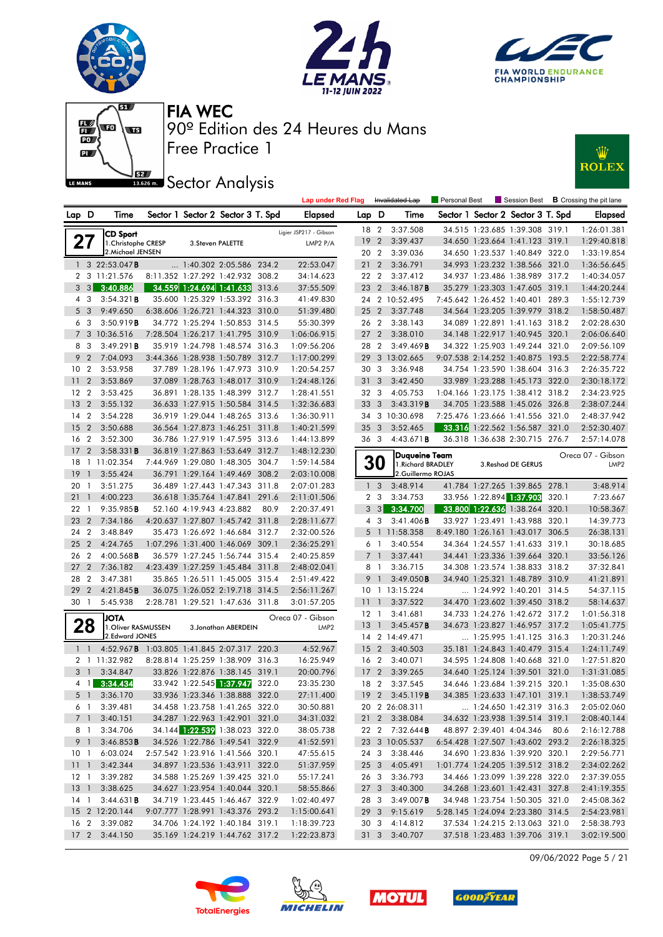







### **ISSECT:** Sector Analysis



|                 |                         |                                                    |  |                                   |       | <b>Lap under Red Flag</b> |                 |                         | Invalidated Lap                     | Personal Best |                          | Session Best                      |       | <b>B</b> Crossing the pit lane        |
|-----------------|-------------------------|----------------------------------------------------|--|-----------------------------------|-------|---------------------------|-----------------|-------------------------|-------------------------------------|---------------|--------------------------|-----------------------------------|-------|---------------------------------------|
| Lap D           |                         | Time                                               |  | Sector 1 Sector 2 Sector 3 T. Spd |       | <b>Elapsed</b>            | Lap D           |                         | Time                                |               |                          | Sector 1 Sector 2 Sector 3 T. Spd |       | Elapsed                               |
|                 |                         | <b>CD Sport</b>                                    |  |                                   |       | Ligier JSP217 - Gibson    | 18 2            |                         | 3:37.508                            |               |                          | 34.515 1:23.685 1:39.308 319.1    |       | 1:26:01.381                           |
| 27              |                         | 1. Christophe CRESP                                |  | 3. Steven PALETTE                 |       | LMP2 P/A                  | 19              | $\overline{2}$          | 3:39.437                            |               |                          | 34.650 1:23.664 1:41.123 319.1    |       | 1:29:40.818                           |
|                 |                         | 2. Michael JENSEN                                  |  |                                   |       |                           | 20 2            |                         | 3:39.036                            |               |                          | 34.650 1:23.537 1:40.849 322.0    |       | 1:33:19.854                           |
|                 |                         | 1 3 22:53.047 <b>B</b>                             |  | 1:40.302 2:05.586 234.2           |       | 22:53.047                 | 21              | $\overline{2}$          | 3:36.791                            |               |                          | 34.993 1:23.232 1:38.566 321.0    |       | 1:36:56.645                           |
|                 |                         | 2 3 11:21.576                                      |  | 8:11.352 1:27.292 1:42.932 308.2  |       | 34:14.623                 | 22 2            |                         | 3:37.412                            |               |                          | 34.937 1:23.486 1:38.989 317.2    |       | 1:40:34.057                           |
|                 | $3 \quad 3$             | 3:40.886                                           |  | 34.559 1:24.694 1:41.633          | 313.6 | 37:55.509                 | 23 2            |                         | 3:46.187B                           |               |                          | 35.279 1:23.303 1:47.605 319.1    |       | 1:44:20.244                           |
|                 | 4 3                     | 3:54.321B                                          |  | 35.600 1:25.329 1:53.392 316.3    |       | 41:49.830                 |                 |                         | 24 2 10:52.495                      |               |                          | 7:45.642 1:26.452 1:40.401 289.3  |       | 1:55:12.739                           |
| 5               | $\overline{\mathbf{3}}$ | 9:49.650                                           |  | 6:38.606 1:26.721 1:44.323 310.0  |       | 51:39.480                 | 25 <sub>2</sub> |                         | 3:37.748                            |               |                          | 34.564 1:23.205 1:39.979 318.2    |       | 1:58:50.487                           |
|                 | 6 3                     | 3:50.919B                                          |  | 34.772 1:25.294 1:50.853 314.5    |       | 55:30.399                 | 26 2            |                         | 3:38.143                            |               |                          | 34.089 1:22.891 1:41.163 318.2    |       | 2:02:28.630                           |
|                 |                         | 7 3 10:36.516                                      |  | 7:28.504 1:26.217 1:41.795 310.9  |       | 1:06:06.915               | 27 <sub>2</sub> |                         | 3:38.010                            |               |                          | 34.148 1:22.917 1:40.945 320.1    |       | 2:06:06.640                           |
| 8               | 3                       | 3:49.291B                                          |  | 35.919 1:24.798 1:48.574 316.3    |       | 1:09:56.206               | 28 2            |                         | 3:49.469B                           |               |                          | 34.322 1:25.903 1:49.244 321.0    |       | 2:09:56.109                           |
| 9               | $\overline{2}$          | 7:04.093                                           |  | 3:44.366 1:28.938 1:50.789 312.7  |       | 1:17:00.299               | 29              |                         | 3 13:02.665                         |               |                          | 9:07.538 2:14.252 1:40.875 193.5  |       | 2:22:58.774                           |
| 10 <sub>2</sub> |                         | 3:53.958                                           |  | 37.789 1:28.196 1:47.973 310.9    |       | 1:20:54.257               | 30              | 3                       | 3:36.948                            |               |                          | 34.754 1:23.590 1:38.604 316.3    |       | 2:26:35.722                           |
| 11              | $\overline{2}$          | 3:53.869                                           |  | 37.089 1:28.763 1:48.017 310.9    |       | 1:24:48.126               | 31              | 3                       | 3:42.450                            |               |                          | 33.989 1:23.288 1:45.173 322.0    |       | 2:30:18.172                           |
| 12              | $\overline{2}$          | 3:53.425                                           |  | 36.891 1:28.135 1:48.399 312.7    |       | 1:28:41.551               | 32 3            |                         | 4:05.753                            |               |                          | 1:04.166 1:23.175 1:38.412 318.2  |       | 2:34:23.925                           |
| 13              | $\overline{2}$          | 3:55.132                                           |  | 36.633 1:27.915 1:50.584          | 314.5 | 1:32:36.683               | 33              | 3                       | 3:43.319B                           |               |                          | 34.705 1:23.588 1:45.026 326.8    |       | 2:38:07.244                           |
| 14              | $\overline{2}$          | 3:54.228                                           |  | 36.919 1:29.044 1:48.265 313.6    |       | 1:36:30.911               |                 |                         | 34 3 10:30.698                      |               |                          | 7:25.476 1:23.666 1:41.556 321.0  |       | 2:48:37.942                           |
| 15              | $\overline{2}$          | 3:50.688                                           |  | 36.564 1:27.873 1:46.251 311.8    |       | 1:40:21.599               | 35              | $\overline{\mathbf{3}}$ | 3:52.465                            |               |                          | 33.316 1:22.562 1:56.587          | 321.0 | 2:52:30.407                           |
| 16              | $\overline{2}$          | 3:52.300                                           |  | 36.786 1:27.919 1:47.595          | 313.6 | 1:44:13.899               | 36 3            |                         | 4:43.671B                           |               |                          | 36.318 1:36.638 2:30.715 276.7    |       | 2:57:14.078                           |
| 17              | $\overline{2}$          | 3:58.331B                                          |  | 36.819 1:27.863 1:53.649 312.7    |       | 1:48:12.230               |                 |                         |                                     |               |                          |                                   |       |                                       |
| 18              |                         | 1 11:02.354                                        |  | 7:44.969 1:29.080 1:48.305        | 304.7 | 1:59:14.584               |                 | <b>30</b>               | Duqueine Team<br>1. Richard BRADLEY |               |                          | 3. Reshad DE GERUS                |       | Oreca 07 - Gibson<br>LMP <sub>2</sub> |
| 19              | $\mathbf{1}$            | 3:55.424                                           |  | 36.791 1:29.164 1:49.469          | 308.2 | 2:03:10.008               |                 |                         | 2.Guillermo ROJAS                   |               |                          |                                   |       |                                       |
| 20              | $\overline{1}$          | 3:51.275                                           |  | 36.489 1:27.443 1:47.343          | 311.8 | 2:07:01.283               | $\mathbf{1}$    | 3                       | 3:48.914                            |               |                          | 41.784 1:27.265 1:39.865 278.1    |       | 3:48.914                              |
| 21              | $\mathbf{1}$            | 4:00.223                                           |  | 36.618 1:35.764 1:47.841          | 291.6 | 2:11:01.506               |                 | 2 <sub>3</sub>          | 3:34.753                            |               | 33.956 1:22.894 1:37.903 |                                   | 320.1 | 7:23.667                              |
| 22              | $\overline{1}$          | 9:35.985B                                          |  | 52.160 4:19.943 4:23.882          | 80.9  | 2:20:37.491               |                 | 3 <sup>3</sup>          | 3:34.700                            |               |                          | <b>33.800 1:22.636 1:38.264</b>   | 320.1 | 10:58.367                             |
| 23              | $\overline{2}$          | 7:34.186                                           |  | 4:20.637 1:27.807 1:45.742 311.8  |       | 2:28:11.677               |                 | 4 3                     | 3:41.406B                           |               |                          | 33.927 1:23.491 1:43.988 320.1    |       | 14:39.773                             |
| 24              | $\overline{2}$          | 3:48.849                                           |  | 35.473 1:26.692 1:46.684          | 312.7 | 2:32:00.526               |                 | 5 <sub>1</sub>          | 11:58.358                           |               |                          | 8:49.180 1:26.161 1:43.017        | 306.5 | 26:38.131                             |
| 25              | $\overline{2}$          | 4:24.765                                           |  | 1:07.296 1:31.400 1:46.069        | 309.1 | 2:36:25.291               |                 | 6 1                     | 3:40.554                            |               |                          | 34.364 1:24.557 1:41.633 319.1    |       | 30:18.685                             |
| 26              | $\overline{2}$          | $4:00.568$ B                                       |  | 36.579 1:27.245 1:56.744 315.4    |       | 2:40:25.859               |                 | 7 <sup>1</sup>          | 3:37.441                            |               |                          | 34.441 1:23.336 1:39.664 320.1    |       | 33:56.126                             |
| 27              | $\overline{2}$          | 7:36.182                                           |  | 4:23.439 1:27.259 1:45.484 311.8  |       | 2:48:02.041               |                 | 8 1                     | 3:36.715                            |               |                          | 34.308 1:23.574 1:38.833 318.2    |       | 37:32.841                             |
| 28              | $\overline{2}$          | 3:47.381                                           |  | 35.865 1:26.511 1:45.005          | 315.4 | 2:51:49.422               | 9               | $\overline{1}$          | 3:49.050B                           |               |                          | 34.940 1:25.321 1:48.789 310.9    |       | 41:21.891                             |
| 29              | $\overline{2}$          | 4:21.845B                                          |  | 36.075 1:26.052 2:19.718 314.5    |       | 2:56:11.267               |                 |                         | 10 1 13:15.224                      |               |                          | 1:24.992 1:40.201 314.5           |       | 54:37.115                             |
| 30 1            |                         | 5:45.938                                           |  | 2:28.781 1:29.521 1:47.636 311.8  |       | 3:01:57.205               | 11 <sub>1</sub> |                         | 3:37.522                            |               |                          | 34.470 1:23.602 1:39.450 318.2    |       | 58:14.637                             |
|                 |                         | <b>JOTA</b>                                        |  |                                   |       | Oreca 07 - Gibson         | $12-1$          |                         | 3:41.681                            |               |                          | 34.733 1:24.276 1:42.672 317.2    |       | 1:01:56.318                           |
|                 | 28                      | 1. Oliver RASMUSSEN                                |  | 3. Jonathan ABERDEIN              |       | LMP <sub>2</sub>          | 13              | $\mathbb{C}$            | 3:45.457B                           |               |                          | 34.673 1:23.827 1:46.957 317.2    |       | 1:05:41.775                           |
|                 |                         | 2.Edward JONES                                     |  |                                   |       |                           |                 |                         | 14 2 14:49.471                      |               |                          | $\ldots$ 1:25.995 1:41.125 316.3  |       | 1:20:31.246                           |
|                 | $1\quad$                | 4:52.967 <b>B</b> 1:03.805 1:41.845 2:07.317 220.3 |  |                                   |       | 4:52.967                  | 15 <sub>2</sub> |                         | 3:40.503                            |               |                          | 35.181 1:24.843 1:40.479 315.4    |       | 1:24:11.749                           |
|                 |                         | 2 1 11:32.982                                      |  | 8:28.814 1:25.259 1:38.909 316.3  |       | 16:25.949                 | 16 <sub>2</sub> |                         | 3:40.071                            |               |                          | 34.595 1:24.808 1:40.668 321.0    |       | 1:27:51.820                           |
|                 | 3 <sup>1</sup>          | 3:34.847                                           |  | 33.826 1:22.876 1:38.145 319.1    |       | 20:00.796                 | 17              | $\overline{2}$          | 3:39.265                            |               |                          | 34.640 1:25.124 1:39.501          | 321.0 | 1:31:31.085                           |
|                 | 4 1                     | 3:34.434                                           |  | 33.942 1:22.545 1:37.947          | 322.0 | 23:35.230                 | 18 2            |                         | 3:37.545                            |               |                          | 34.646 1:23.684 1:39.215 320.1    |       | 1:35:08.630                           |
|                 | 5 1                     | 3:36.170                                           |  | 33.936 1:23.346 1:38.888 322.0    |       | 27:11.400                 |                 |                         | 19 2 3:45.119 <b>B</b>              |               |                          | 34.385 1:23.633 1:47.101 319.1    |       | 1:38:53.749                           |
|                 | 6 1                     | 3:39.481                                           |  | 34.458 1:23.758 1:41.265 322.0    |       | 30:50.881                 |                 |                         | 20 2 26:08.311                      |               |                          | $\ldots$ 1:24.650 1:42.319 316.3  |       | 2:05:02.060                           |
|                 | 7 <sup>1</sup>          | 3:40.151                                           |  | 34.287 1:22.963 1:42.901 321.0    |       | 34:31.032                 |                 |                         | 21 2 3:38.084                       |               |                          | 34.632 1:23.938 1:39.514 319.1    |       | 2:08:40.144                           |
|                 | 8 1                     | 3:34.706                                           |  | 34.144 1:22.539 1:38.023 322.0    |       | 38:05.738                 |                 |                         | 22 2 7:32.644 <b>B</b>              |               |                          | 48.897 2:39.401 4:04.346 80.6     |       | 2:16:12.788                           |
|                 | 9 <sup>1</sup>          | 3:46.853B                                          |  | 34.526 1:22.786 1:49.541 322.9    |       | 41:52.591                 |                 |                         | 23 3 10:05.537                      |               |                          | 6:54.428 1:27.507 1:43.602 293.2  |       | 2:26:18.325                           |
|                 | 101                     | 6:03.024                                           |  | 2:57.542 1:23.916 1:41.566 320.1  |       | 47:55.615                 |                 |                         | 24 3 3:38.446                       |               |                          | 34.690 1:23.836 1:39.920 320.1    |       | 2:29:56.771                           |
|                 |                         | 11 1 3:42.344                                      |  | 34.897 1:23.536 1:43.911 322.0    |       | 51:37.959                 |                 |                         | 25 3 4:05.491                       |               |                          | 1:01.774 1:24.205 1:39.512 318.2  |       | 2:34:02.262                           |
|                 |                         | 12 1 3:39.282                                      |  | 34.588 1:25.269 1:39.425 321.0    |       | 55:17.241                 |                 |                         | 26 3 3:36.793                       |               |                          | 34.466 1:23.099 1:39.228 322.0    |       | 2:37:39.055                           |
|                 |                         | 13 1 3:38.625                                      |  | 34.627 1:23.954 1:40.044 320.1    |       | 58:55.866                 | 27 3            |                         | 3:40.300                            |               |                          | 34.268 1:23.601 1:42.431 327.8    |       | 2:41:19.355                           |
|                 | 14 1                    | 3:44.631B                                          |  | 34.719 1:23.445 1:46.467 322.9    |       | 1:02:40.497               | 28 3            |                         | $3:49.007$ <b>B</b>                 |               |                          | 34.948 1:23.754 1:50.305 321.0    |       | 2:45:08.362                           |
|                 |                         | 15 2 12:20.144                                     |  | 9:07.777 1:28.991 1:43.376 293.2  |       | 1:15:00.641               |                 |                         | 29 3 9:15.619                       |               |                          | 5:28.145 1:24.094 2:23.380 314.5  |       | 2:54:23.981                           |
|                 |                         | 16 2 3:39.082                                      |  | 34.706 1:24.192 1:40.184 319.1    |       | 1:18:39.723               |                 |                         | 30 3 4:14.812                       |               |                          | 37.534 1:24.215 2:13.063 321.0    |       | 2:58:38.793                           |
|                 |                         | 17 2 3:44.150                                      |  | 35.169 1:24.219 1:44.762 317.2    |       | 1:22:23.873               |                 |                         | 31 3 3:40.707                       |               |                          | 37.518 1:23.483 1:39.706 319.1    |       | 3:02:19.500                           |

09/06/2022 Page 5 / 21







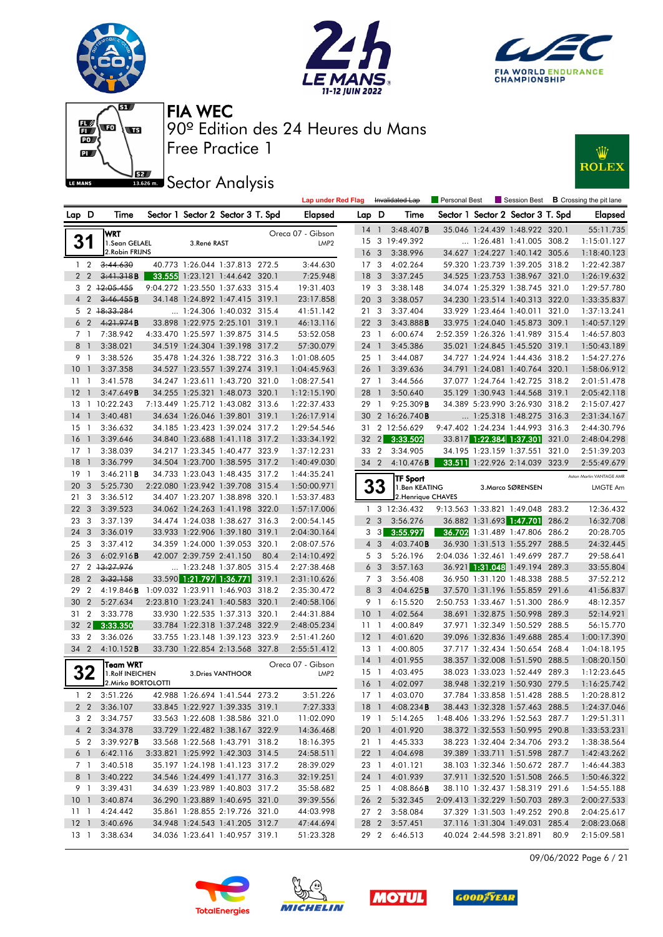







**JEZ**<br>BREAD Sector Analysis



|                 |                |                            |                          |                                   |       | <b>Lap under Red Flag</b> |    |                              | Invalidated Lap        | Personal Best |                                   |       | Session Best <b>B</b> Crossing the pit lane |
|-----------------|----------------|----------------------------|--------------------------|-----------------------------------|-------|---------------------------|----|------------------------------|------------------------|---------------|-----------------------------------|-------|---------------------------------------------|
| Lap D           |                | Time                       |                          | Sector 1 Sector 2 Sector 3 T. Spd |       | Elapsed                   |    | Lap D                        | Time                   |               | Sector 1 Sector 2 Sector 3 T. Spd |       | <b>Elapsed</b>                              |
|                 |                | WRT                        |                          |                                   |       | Oreca 07 - Gibson         |    | 14 <sup>1</sup>              | 3:48.407B              |               | 35.046 1:24.439 1:48.922 320.1    |       | 55:11.735                                   |
|                 | 31             | 1.Sean GELAEL              | 3.René RAST              |                                   |       | LMP <sub>2</sub>          | 15 |                              | 3 19:49.392            |               | $\ldots$ 1:26.481 1:41.005 308.2  |       | 1:15:01.127                                 |
|                 |                | 2. Robin FRIJNS            |                          |                                   |       |                           |    | 16 <sub>3</sub>              | 3:38.996               |               | 34.627 1:24.227 1:40.142 305.6    |       | 1:18:40.123                                 |
|                 | 1 <sub>2</sub> | 3:44.630                   |                          | 40.773 1:26.044 1:37.813 272.5    |       | 3:44.630                  |    | 17 <sub>3</sub>              | 4:02.264               |               | 59.320 1:23.739 1:39.205 318.2    |       | 1:22:42.387                                 |
|                 | 2 <sub>2</sub> | 3:41.318B                  |                          | 33.555 1:23.121 1:44.642 320.1    |       | 7:25.948                  | 18 | -3                           | 3:37.245               |               | 34.525 1:23.753 1:38.967 321.0    |       | 1:26:19.632                                 |
|                 |                | 3 2 12:05.455              |                          | 9:04.272 1:23.550 1:37.633 315.4  |       | 19:31.403                 |    | 19 <sup>3</sup>              | 3:38.148               |               | 34.074 1:25.329 1:38.745 321.0    |       | 1:29:57.780                                 |
| $\overline{4}$  | $\overline{2}$ | 3:46.455B                  |                          | 34.148 1:24.892 1:47.415 319.1    |       | 23:17.858                 | 20 | 3                            | 3:38.057               |               | 34.230 1:23.514 1:40.313 322.0    |       | 1:33:35.837                                 |
|                 |                | 5 2 18:33.284              |                          | 1:24.306 1:40.032 315.4           |       | 41:51.142                 |    | 213                          | 3:37.404               |               | 33.929 1:23.464 1:40.011 321.0    |       | 1:37:13.241                                 |
|                 | 6 <sub>2</sub> | 4:21.974B                  |                          | 33.898 1:22.975 2:25.101 319.1    |       | 46:13.116                 | 22 | -3                           | 3:43.888B              |               | 33.975 1:24.040 1:45.873 309.1    |       | 1:40:57.129                                 |
|                 | 7 1            | 7:38.942                   |                          | 4:33.470 1:25.597 1:39.875 314.5  |       | 53:52.058                 | 23 | $\overline{1}$               | 6:00.674               |               | 2:52.359 1:26.326 1:41.989 315.4  |       | 1:46:57.803                                 |
| 8               | $\overline{1}$ | 3:38.021                   |                          | 34.519 1:24.304 1:39.198 317.2    |       | 57:30.079                 |    | 24 1                         | 3:45.386               |               | 35.021 1:24.845 1:45.520 319.1    |       | 1:50:43.189                                 |
|                 | 9 1            | 3:38.526                   |                          | 35.478 1:24.326 1:38.722 316.3    |       | 1:01:08.605               |    | $25-1$                       | 3:44.087               |               | 34.727 1:24.924 1:44.436 318.2    |       | 1:54:27.276                                 |
| 10 <sup>°</sup> | $\overline{1}$ | 3:37.358                   |                          | 34.527 1:23.557 1:39.274 319.1    |       | 1:04:45.963               |    | 26 1                         | 3:39.636               |               | 34.791 1:24.081 1:40.764 320.1    |       | 1:58:06.912                                 |
| 11              | $\overline{1}$ | 3:41.578                   |                          | 34.247 1:23.611 1:43.720 321.0    |       | 1:08:27.541               |    | $27-1$                       | 3:44.566               |               | 37.077 1:24.764 1:42.725 318.2    |       | 2:01:51.478                                 |
| 12              | $\overline{1}$ | 3:47.649B                  |                          | 34.255 1:25.321 1:48.073 320.1    |       | 1:12:15.190               | 28 | $\mathbf{J}$                 | 3:50.640               |               | 35.129 1:30.943 1:44.568 319.1    |       | 2:05:42.118                                 |
|                 |                | 13 1 10:22.243             |                          | 7:13.449 1:25.712 1:43.082 313.6  |       | 1:22:37.433               | 29 | $\overline{1}$               | 9:25.309B              |               | 34.389 5:23.990 3:26.930 318.2    |       | 2:15:07.427                                 |
| 14              | $\overline{1}$ | 3:40.481                   |                          | 34.634 1:26.046 1:39.801 319.1    |       | 1:26:17.914               | 30 |                              | 2 16:26.740 <b>B</b>   |               | $\ldots$ 1:25.318 1:48.275 316.3  |       | 2:31:34.167                                 |
| 15              | $\overline{1}$ | 3:36.632                   |                          | 34.185 1:23.423 1:39.024 317.2    |       | 1:29:54.546               | 31 |                              | 2 12:56.629            |               | 9:47.402 1:24.234 1:44.993 316.3  |       | 2:44:30.796                                 |
| 16              | $\overline{1}$ | 3:39.646                   |                          | 34.840 1:23.688 1:41.118 317.2    |       | 1:33:34.192               | 32 | $\vert$ 2                    | 3:33.502               |               | 33.817 1:22.384 1:37.301          | 321.0 | 2:48:04.298                                 |
| $17-1$          |                | 3:38.039                   |                          | 34.217 1:23.345 1:40.477 323.9    |       | 1:37:12.231               | 33 | $\overline{2}$               | 3:34.905               |               | 34.195 1:23.159 1:37.551 321.0    |       | 2:51:39.203                                 |
| 18              | $\overline{1}$ | 3:36.799                   |                          | 34.504 1:23.700 1:38.595 317.2    |       | 1:40:49.030               |    | 34 2                         | 4:10.476B              |               | 33.511 1:22.926 2:14.039 323.9    |       | 2:55:49.679                                 |
| 19              | $\overline{1}$ | 3:46.211B                  |                          | 34.733 1:23.043 1:48.435 317.2    |       | 1:44:35.241               |    |                              | <b>TF Sport</b>        |               |                                   |       | Aston Martin VANTAGE AMR                    |
| 20              | $\overline{3}$ | 5:25.730                   |                          | 2:22.080 1:23.942 1:39.708 315.4  |       | 1:50:00.971               |    | 33                           | 1.Ben KEATING          |               | 3. Marco SØRENSEN                 |       | LMGTE Am                                    |
| 21 3            |                | 3:36.512                   |                          | 34.407 1:23.207 1:38.898 320.1    |       | 1:53:37.483               |    |                              | 2. Henrique CHAVES     |               |                                   |       |                                             |
| 22 <sub>3</sub> |                | 3:39.523                   |                          | 34.062 1:24.263 1:41.198 322.0    |       | 1:57:17.006               |    |                              | 1 3 12:36.432          |               | 9:13.563 1:33.821 1:49.048 283.2  |       | 12:36.432                                   |
| 23              | 3              | 3:37.139                   |                          | 34.474 1:24.038 1:38.627 316.3    |       | 2:00:54.145               |    | 2 <sub>3</sub>               | 3:56.276               |               | 36.882 1:31.693 1:47.701          | 286.2 | 16:32.708                                   |
| 24 3            |                | 3:36.019                   |                          | 33.933 1:22.906 1:39.180 319.1    |       | 2:04:30.164               |    | 3 <sub>3</sub>               | 3:55.997               |               | 36.702 1:31.489 1:47.806 286.2    |       | 20:28.705                                   |
| 25 <sub>3</sub> |                | 3:37.412                   |                          | 34.359 1:24.000 1:39.053 320.1    |       | 2:08:07.576               |    | $4\quad3$                    | 4:03.740B              |               | 36.930 1:31.513 1:55.297 288.5    |       | 24:32.445                                   |
| 26 3            |                | 6:02.916B                  | 42.007 2:39.759 2:41.150 |                                   | 80.4  | 2:14:10.492               |    | 5 3                          | 5:26.196               |               | 2:04.036 1:32.461 1:49.699 287.7  |       | 29:58.641                                   |
| 27              |                | 2 13:27.976                |                          | 1:23.248 1:37.805 315.4           |       | 2:27:38.468               |    | 6 <sub>3</sub>               | 3:57.163               |               | 36.921 1:31.048 1:49.194 289.3    |       | 33:55.804                                   |
| 28              | $\overline{2}$ | 3:32.158                   |                          | 33.590 1:21.797 1:36.771          | 319.1 | 2:31:10.626               |    | 7 <sub>3</sub>               | 3:56.408               |               | 36.950 1:31.120 1:48.338          | 288.5 | 37:52.212                                   |
| 29              | $\overline{2}$ | 4:19.846B                  |                          | 1:09.032 1:23.911 1:46.903 318.2  |       | 2:35:30.472               |    | 8<br>$\overline{\mathbf{3}}$ | 4:04.625B              |               | 37.570 1:31.196 1:55.859 291.6    |       | 41:56.837                                   |
| 30              | $\overline{2}$ | 5:27.634                   |                          | 2:23.810 1:23.241 1:40.583 320.1  |       | 2:40:58.106               |    | 9 1                          | 6:15.520               |               | 2:50.753 1:33.467 1:51.300 286.9  |       | 48:12.357                                   |
| 31              | $\overline{2}$ | 3:33.778                   |                          | 33.930 1:22.535 1:37.313 320.1    |       | 2:44:31.884               | 10 | $\overline{1}$               | 4:02.564               |               | 38.691 1:32.875 1:50.998          | 289.3 | 52:14.921                                   |
| 32              | $\vert$ 2      | 3:33.350                   |                          | 33.784 1:22.318 1:37.248 322.9    |       | 2:48:05.234               | 11 | $\overline{1}$               | 4:00.849               |               | 37.971 1:32.349 1:50.529 288.5    |       | 56:15.770                                   |
| 33              | $\overline{2}$ | 3:36.026                   |                          | 33.755 1:23.148 1:39.123 323.9    |       | 2:51:41.260               |    | $12-1$                       | 4:01.620               |               | 39.096 1:32.836 1:49.688 285.4    |       | 1:00:17.390                                 |
| 34 2            |                | 4:10.152B                  |                          | 33.730 1:22.854 2:13.568 327.8    |       | 2:55:51.412               |    | 13 1                         | 4:00.805               |               | 37.717 1:32.434 1:50.654 268.4    |       | 1:04:18.195                                 |
|                 |                | <b>Team WRT</b>            |                          |                                   |       | Oreca 07 - Gibson         |    | $14-1$                       | 4:01.955               |               | 38.357 1:32.008 1:51.590 288.5    |       | 1:08:20.150                                 |
|                 | 32             | 1. Rolf INEICHEN           |                          | 3. Dries VANTHOOR                 |       | LMP <sub>2</sub>          |    | $15-1$                       | 4:03.495               |               | 38.023 1:33.023 1:52.449 289.3    |       | 1:12:23.645                                 |
|                 |                | 2. Mirko BORTOLOTTI        |                          |                                   |       |                           |    | 16 <sup>1</sup>              | 4:02.097               |               | 38.948 1:32.219 1:50.930 279.5    |       | 1:16:25.742                                 |
|                 | $1\quad 2$     | 3:51.226                   |                          | 42.988 1:26.694 1:41.544 273.2    |       | 3:51.226                  |    |                              | 17 1 4:03.070          |               | 37.784 1:33.858 1:51.428 288.5    |       | 1:20:28.812                                 |
|                 |                | 2 2 3:36.107               |                          | 33.845 1:22.927 1:39.335 319.1    |       | 7:27.333                  |    |                              | 18 1 4:08.234 <b>B</b> |               | 38.443 1:32.328 1:57.463 288.5    |       | 1:24:37.046                                 |
|                 |                | 3 2 3:34.757               |                          | 33.563 1:22.608 1:38.586 321.0    |       | 11:02.090                 |    |                              | 19 1 5:14.265          |               | 1:48.406 1:33.296 1:52.563 287.7  |       | 1:29:51.311                                 |
|                 |                | 4 2 3:34.378               |                          | 33.729 1:22.482 1:38.167 322.9    |       | 14:36.468                 |    |                              | 20 1 4:01.920          |               | 38.372 1:32.553 1:50.995 290.8    |       | 1:33:53.231                                 |
|                 |                | 5 2 3:39.927 <b>B</b>      |                          | 33.568 1:22.568 1:43.791 318.2    |       | 18:16.395                 |    |                              | 21 1 4:45.333          |               | 38.223 1:32.404 2:34.706 293.2    |       | 1:38:38.564                                 |
|                 |                | $6 \quad 1 \quad 6:42.116$ |                          | 3:33.821 1:25.992 1:42.303 314.5  |       | 24:58.511                 |    |                              | 22 1 4:04.698          |               | 39.389 1:33.711 1:51.598 287.7    |       | 1:42:43.262                                 |
|                 | 7 1            | 3:40.518                   |                          | 35.197 1:24.198 1:41.123 317.2    |       | 28:39.029                 |    |                              | 23 1 4:01.121          |               | 38.103 1:32.346 1:50.672 287.7    |       | 1:46:44.383                                 |
|                 | 8 1            | 3:40.222                   |                          | 34.546 1:24.499 1:41.177 316.3    |       | 32:19.251                 |    |                              | 24 1 4:01.939          |               | 37.911 1:32.520 1:51.508 266.5    |       | 1:50:46.322                                 |
|                 |                | 9 1 3:39.431               |                          | 34.639 1:23.989 1:40.803 317.2    |       | 35:58.682                 |    |                              | 25 1 4:08.866 <b>B</b> |               | 38.110 1:32.437 1:58.319 291.6    |       | 1:54:55.188                                 |
|                 |                | 10 1 3:40.874              |                          | 36.290 1:23.889 1:40.695 321.0    |       | 39:39.556                 |    |                              | 26 2 5:32.345          |               | 2:09.413 1:32.229 1:50.703 289.3  |       | 2:00:27.533                                 |
|                 |                | 11 1 4:24.442              |                          | 35.861 1:28.855 2:19.726 321.0    |       | 44:03.998                 |    |                              | 27 2 3:58.084          |               | 37.329 1:31.503 1:49.252 290.8    |       | 2:04:25.617                                 |
|                 |                | 12 1 3:40.696              |                          | 34.948 1:24.543 1:41.205 312.7    |       | 47:44.694                 |    |                              | 28 2 3:57.451          |               | 37.116 1:31.304 1:49.031 285.4    |       | 2:08:23.068                                 |
|                 |                | 13 1 3:38.634              |                          | 34.036 1:23.641 1:40.957 319.1    |       | 51:23.328                 |    |                              | 29 2 6:46.513          |               | 40.024 2:44.598 3:21.891 80.9     |       | 2:15:09.581                                 |

09/06/2022 Page 6 / 21







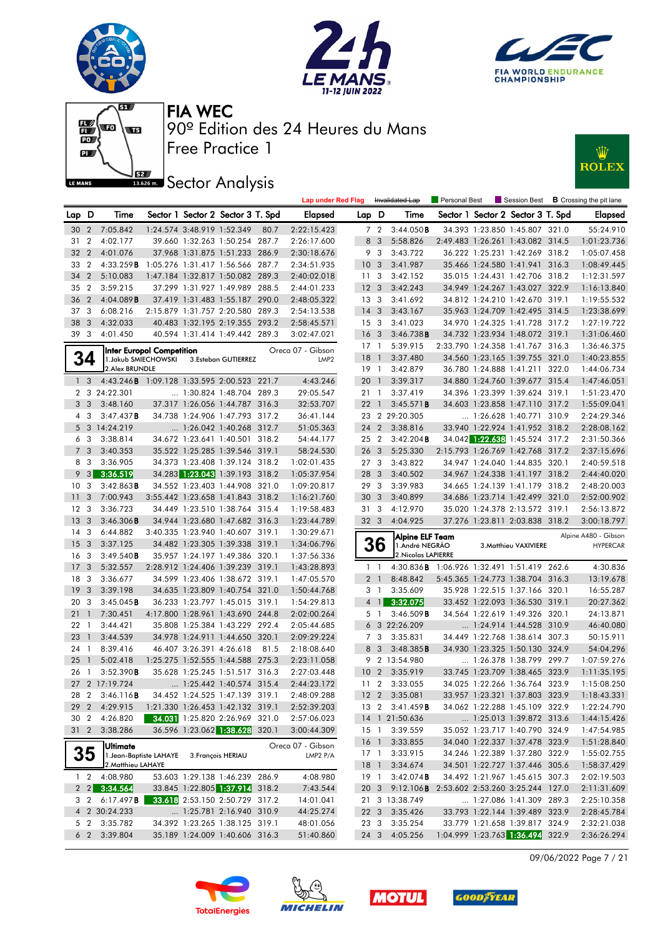







# **JEZ**<br>BREAD Sector Analysis



|                 |                         |                                             |                                  |                            |                                                                  |      | <b>Lap under Red Flag</b> |                 |                         | Invalidated Lap                            | Personal Best |                                                                    | Session Best $\,$ <b>B</b> Crossing the pit lane |
|-----------------|-------------------------|---------------------------------------------|----------------------------------|----------------------------|------------------------------------------------------------------|------|---------------------------|-----------------|-------------------------|--------------------------------------------|---------------|--------------------------------------------------------------------|--------------------------------------------------|
| Lap D           |                         | Time                                        |                                  |                            | Sector 1 Sector 2 Sector 3 T. Spd                                |      | Elapsed                   | Lap D           |                         | Time                                       |               | Sector 1 Sector 2 Sector 3 T. Spd                                  | Elapsed                                          |
|                 | 30 2                    | 7:05.842                                    |                                  | 1:24.574 3:48.919 1:52.349 |                                                                  | 80.7 | 2:22:15.423               |                 | 7 <sub>2</sub>          | 3:44.050B                                  |               | 34.393 1:23.850 1:45.807 321.0                                     | 55:24.910                                        |
| 31              | $\overline{2}$          | 4:02.177                                    |                                  |                            | 39.660 1:32.263 1:50.254 287.7                                   |      | 2:26:17.600               | 8               | $\mathbf{3}$            | 5:58.826                                   |               | 2:49.483 1:26.261 1:43.082 314.5                                   | 1:01:23.736                                      |
| 32 2            |                         | 4:01.076                                    |                                  |                            | 37.968 1:31.875 1:51.233 286.9                                   |      | 2:30:18.676               |                 | 9 3                     | 3:43.722                                   |               | 36.222 1:25.231 1:42.269 318.2                                     | 1:05:07.458                                      |
| 33              | $\overline{2}$          | 4:33.259B                                   | 1:05.276 1:31.417 1:56.566 287.7 |                            |                                                                  |      | 2:34:51.935               | 10 <sub>3</sub> |                         | 3:41.987                                   |               | 35.466 1:24.580 1:41.941 316.3                                     | 1:08:49.445                                      |
| 34 2            |                         | 5:10.083                                    |                                  |                            | 1:47.184 1:32.817 1:50.082 289.3                                 |      | 2:40:02.018               | 11 <sub>3</sub> |                         | 3:42.152                                   |               | 35.015 1:24.431 1:42.706 318.2                                     | 1:12:31.597                                      |
| 35 2            |                         | 3:59.215                                    |                                  |                            | 37.299 1:31.927 1:49.989 288.5                                   |      | 2:44:01.233               | 12 <sup>3</sup> |                         | 3:42.243                                   |               | 34.949 1:24.267 1:43.027 322.9                                     | 1:16:13.840                                      |
| 36 2            |                         | 4:04.089B                                   |                                  |                            | 37.419 1:31.483 1:55.187 290.0                                   |      | 2:48:05.322               | 13 <sub>3</sub> |                         | 3:41.692                                   |               | 34.812 1:24.210 1:42.670 319.1                                     | 1:19:55.532                                      |
| 37 3            |                         | 6:08.216                                    |                                  |                            | 2:15.879 1:31.757 2:20.580 289.3                                 |      | 2:54:13.538               | 14 <sub>3</sub> |                         | 3:43.167                                   |               | 35.963 1:24.709 1:42.495 314.5                                     | 1:23:38.699                                      |
| 38              | $\overline{\mathbf{3}}$ | 4:32.033                                    |                                  |                            | 40.483 1:32.195 2:19.355 293.2                                   |      | 2:58:45.571               | 15 <sub>3</sub> |                         | 3:41.023                                   |               | 34.970 1:24.325 1:41.728 317.2                                     | 1:27:19.722                                      |
| 39 3            |                         | 4:01.450                                    |                                  |                            | 40.594 1:31.414 1:49.442 289.3                                   |      | 3:02:47.021               | 16 <sub>3</sub> |                         | 3:46.738B                                  |               | 34.732 1:23.934 1:48.072 319.1                                     | 1:31:06.460                                      |
|                 |                         |                                             | Inter Europol Competition        |                            |                                                                  |      | Oreca 07 - Gibson         | $17-1$          |                         | 5:39.915                                   |               | 2:33.790 1:24.358 1:41.767 316.3                                   | 1:36:46.375                                      |
|                 | 34                      |                                             | 1. Jakub SMIECHOWSKI             |                            | 3.Esteban GUTIERREZ                                              |      | LMP <sub>2</sub>          | 18 <sup>1</sup> |                         | 3:37.480                                   |               | 34.560 1:23.165 1:39.755 321.0                                     | 1:40:23.855                                      |
|                 |                         | 2. Alex BRUNDLE                             |                                  |                            |                                                                  |      |                           | $19-1$          |                         | 3:42.879                                   |               | 36.780 1:24.888 1:41.211 322.0                                     | 1:44:06.734                                      |
|                 | 1 <sub>3</sub>          | 4:43.246 B 1:09.128 1:33.595 2:00.523 221.7 |                                  |                            |                                                                  |      | 4:43.246                  | 20              | $\overline{1}$          | 3:39.317                                   |               | 34.880 1:24.760 1:39.677 315.4                                     | 1:47:46.051                                      |
|                 |                         | 2 3 24:22.301                               |                                  |                            | 1:30.824 1:48.704 289.3                                          |      | 29:05.547                 | 21 1            |                         | 3:37.419                                   |               | 34.396 1:23.399 1:39.624 319.1                                     | 1:51:23.470                                      |
|                 | 3 <sup>3</sup>          | 3:48.160                                    |                                  |                            | 37.317 1:26.056 1:44.787 316.3                                   |      | 32:53.707                 | $22 \quad 1$    |                         | 3:45.571B                                  |               | 34.603 1:23.858 1:47.110 317.2                                     | 1:55:09.041                                      |
| 4               | 3                       | 3:47.437B                                   |                                  |                            | 34.738 1:24.906 1:47.793 317.2                                   |      | 36:41.144                 |                 |                         | 23 2 29:20.305                             |               | 1:26.628 1:40.771 310.9                                            | 2:24:29.346                                      |
|                 |                         | 5 3 14:24.219                               |                                  |                            | $\ldots$ 1:26.042 1:40.268 312.7                                 |      | 51:05.363                 | 24 2            |                         | 3:38.816                                   |               | 33.940 1:22.924 1:41.952 318.2                                     | 2:28:08.162                                      |
|                 | 6 3                     | 3:38.814                                    |                                  |                            | 34.672 1:23.641 1:40.501 318.2                                   |      | 54:44.177                 | 25 2            |                         | 3:42.204B                                  |               | 34.042 1:22.638 1:45.524 317.2                                     | 2:31:50.366                                      |
| $7^{\circ}$     | 3                       | 3:40.353                                    |                                  |                            | 35.522 1:25.285 1:39.546 319.1                                   |      | 58:24.530                 | 26 <sub>3</sub> |                         | 5:25.330                                   |               | 2:15.793 1:26.769 1:42.768 317.2                                   | 2:37:15.696                                      |
|                 | 8 3                     | 3:36.905                                    |                                  |                            | 34.373 1:23.408 1:39.124 318.2                                   |      | 1:02:01.435               | 27 <sub>3</sub> |                         | 3:43.822                                   |               | 34.947 1:24.040 1:44.835 320.1                                     | 2:40:59.518                                      |
|                 | $9 \quad 3$             | 3:36.519                                    |                                  |                            | 34.283 1:23.043 1:39.193 318.2                                   |      | 1:05:37.954               | 28              | 3                       | 3:40.502                                   |               | 34.967 1:24.338 1:41.197 318.2                                     | 2:44:40.020                                      |
| 10 <sub>3</sub> |                         | 3:42.863B                                   |                                  |                            | 34.552 1:23.403 1:44.908 321.0                                   |      | 1:09:20.817               | 29 3            |                         | 3:39.983                                   |               | 34.665 1:24.139 1:41.179 318.2                                     | 2:48:20.003                                      |
| 11              | 3                       | 7:00.943                                    |                                  |                            | 3:55.442 1:23.658 1:41.843 318.2                                 |      | 1:16:21.760               | 30 <sub>3</sub> |                         | 3:40.899                                   |               | 34.686 1:23.714 1:42.499 321.0                                     | 2:52:00.902                                      |
| 12 <sup>3</sup> |                         | 3:36.723                                    |                                  |                            | 34.449 1:23.510 1:38.764 315.4                                   |      | 1:19:58.483               | 31 3            |                         | 4:12.970                                   |               | 35.020 1:24.378 2:13.572 319.1                                     | 2:56:13.872                                      |
| 13 <sub>3</sub> |                         | 3:46.306B                                   |                                  |                            | 34.944 1:23.680 1:47.682 316.3                                   |      | 1:23:44.789               | 32 <sub>3</sub> |                         | 4:04.925                                   |               | 37.276 1:23.811 2:03.838 318.2                                     | 3:00:18.797                                      |
| 14 <sup>3</sup> |                         | 6:44.882                                    |                                  |                            | 3:40.335 1:23.940 1:40.607 319.1                                 |      | 1:30:29.671               |                 |                         | Alpine ELF Team                            |               |                                                                    | Alpine A480 - Gibson                             |
| 15 <sub>3</sub> |                         | 3:37.125                                    |                                  |                            | 34.482 1:23.305 1:39.338 319.1                                   |      | 1:34:06.796               |                 | 36                      | 1.André NEGRÃO                             |               | 3. Matthieu VAXIVIERE                                              | <b>HYPERCAR</b>                                  |
| 16              | 3                       | 3:49.540B                                   |                                  |                            | 35.957 1:24.197 1:49.386 320.1                                   |      | 1:37:56.336               |                 |                         | 2. Nicolas LAPIERRE                        |               |                                                                    |                                                  |
| 17 <sub>3</sub> |                         | 5:32.557                                    |                                  |                            | 2:28.912 1:24.406 1:39.239 319.1                                 |      | 1:43:28.893               |                 | $1\quad1$               | 4:30.836B 1:06.926 1:32.491 1:51.419 262.6 |               |                                                                    | 4:30.836                                         |
| 18 3            |                         | 3:36.677                                    |                                  |                            | 34.599 1:23.406 1:38.672 319.1                                   |      | 1:47:05.570               |                 | 2 <sub>1</sub>          | 8:48.842                                   |               | 5:45.365 1:24.773 1:38.704 316.3                                   | 13:19.678                                        |
| 19              | 3                       | 3:39.198                                    |                                  |                            | 34.635 1:23.809 1:40.754 321.0                                   |      | 1:50:44.768               | 3               | $\overline{1}$          | 3:35.609                                   |               | 35.928 1:22.515 1:37.166 320.1                                     | 16:55.287                                        |
| 20 3            |                         | 3:45.045B                                   |                                  |                            | 36.233 1:23.797 1:45.015 319.1                                   |      | 1:54:29.813               |                 | $4 \mid$                | 3:32.075                                   |               | 33.452 1:22.093 1:36.530 319.1                                     | 20:27.362                                        |
| 21              | $\overline{1}$          | 7:30.451                                    |                                  |                            | 4:17.800 1:28.961 1:43.690 244.8                                 |      | 2:02:00.264               |                 | 5 1                     | 3:46.509B                                  |               | 34.564 1:22.619 1:49.326 320.1                                     | 24:13.871                                        |
| 22 <sub>1</sub> |                         | 3:44.421                                    |                                  |                            | 35.808 1:25.384 1:43.229 292.4                                   |      | 2:05:44.685               |                 |                         | 6 3 22:26.209                              |               | 1:24.914 1:44.528 310.9                                            | 46:40.080                                        |
| 23              | $\overline{1}$          | 3:44.539                                    |                                  |                            | 34.978 1:24.911 1:44.650 320.1                                   |      | 2:09:29.224               | 7               | 3                       | 3:35.831                                   |               | 34.449 1:22.768 1:38.614 307.3                                     | 50:15.911                                        |
| 24              | -1                      | 8:39.416                                    |                                  | 46.407 3:26.391 4:26.618   |                                                                  | 81.5 | 2:18:08.640               | 8               | $\overline{\mathbf{3}}$ | 3:48.385B                                  |               | 34.930 1:23.325 1:50.130 324.9                                     | 54:04.296                                        |
| 25              | $\overline{1}$          | 5:02.418                                    |                                  |                            | 1:25.275 1:52.555 1:44.588 275.3                                 |      | 2:23:11.058               |                 |                         | 9 2 13:54.980                              |               | 1:26.378 1:38.799 299.7                                            | 1:07:59.276                                      |
| 26              | $\overline{1}$          | 3:52.390B                                   |                                  |                            | 35.628 1:25.245 1:51.517 316.3                                   |      | 2:27:03.448               | 10 <sub>2</sub> |                         | 3:35.919                                   |               | 33.745 1:23.709 1:38.465 323.9                                     | 1:11:35.195                                      |
|                 |                         | 27 2 17:19.724                              |                                  |                            | 1:25.442 1:40.574 315.4                                          |      | 2:44:23.172               | 11 <sub>2</sub> |                         | 3:33.055                                   |               | 34.025 1:22.266 1:36.764 323.9                                     | 1:15:08.250                                      |
|                 |                         | 28 2 3:46.116 <b>B</b>                      |                                  |                            | 34.452 1:24.525 1:47.139 319.1                                   |      | 2:48:09.288               |                 |                         | 12 2 3:35.081                              |               | 33.957 1:23.321 1:37.803 323.9                                     | 1:18:43.331                                      |
|                 |                         | 29 2 4:29.915                               |                                  |                            | 1:21.330 1:26.453 1:42.132 319.1                                 |      | 2:52:39.203               |                 |                         | 13 2 3:41.459 <b>B</b>                     |               | 34.062 1:22.288 1:45.109 322.9                                     | 1:22:24.790                                      |
|                 |                         | 30 2 4:26.820                               |                                  |                            | 34.031 1:25.820 2:26.969 321.0                                   |      | 2:57:06.023               |                 |                         | 14 1 21:50.636                             |               | 1:25.013 1:39.872 313.6                                            | 1:44:15.426                                      |
| 31 <sub>2</sub> |                         | 3:38.286                                    |                                  |                            | 36.596 1:23.062 1:38.628 320.1                                   |      | 3:00:44.309               |                 | $15-1$                  | 3:39.559                                   |               | 35.052 1:23.717 1:40.790 324.9                                     | 1:47:54.985                                      |
|                 |                         | <b>Ultimate</b>                             |                                  |                            |                                                                  |      | Oreca 07 - Gibson         |                 | 16 1                    | 3:33.855                                   |               | 34.040 1:22.337 1:37.478 323.9                                     | 1:51:28.840                                      |
|                 | 35                      |                                             | 1. Jean-Baptiste LAHAYE          |                            | 3. François HERIAU                                               |      | LMP2 P/A                  |                 | $17-1$                  | 3:33.915                                   |               | 34.246 1:22.389 1:37.280 322.9                                     | 1:55:02.755                                      |
|                 |                         | 2. Matthieu LAHAYE                          |                                  |                            |                                                                  |      |                           | 18 <sup>1</sup> |                         | 3:34.674                                   |               | 34.501 1:22.727 1:37.446 305.6                                     | 1:58:37.429                                      |
|                 | $1\quad 2$              | 4:08.980                                    |                                  |                            | 53.603 1:29.138 1:46.239 286.9                                   |      | 4:08.980                  |                 | 19 1                    | 3:42.074B                                  |               | 34.492 1:21.967 1:45.615 307.3                                     | 2:02:19.503                                      |
|                 |                         | $2 \quad 2 \quad 3:34.564$                  |                                  |                            | 33.845 1:22.805 1:37.914 318.2                                   |      | 7:43.544                  |                 | 20 3                    | $9:12.106$ <b>B</b>                        |               | 2:53.602 2:53.260 3:25.244 127.0                                   | 2:11:31.609                                      |
|                 | 3 2                     | 6:17.497B                                   |                                  |                            | 33.618 2:53.150 2:50.729 317.2                                   |      | 14:01.041                 |                 |                         | 21 3 13:38.749                             |               | 1:27.086 1:41.309 289.3                                            | 2:25:10.358                                      |
|                 |                         | 4 2 30:24.233                               |                                  |                            | 1:25.781 2:16.940 310.9                                          |      | 44:25.274                 |                 |                         | 22 3 3:35.426                              |               | 33.793 1:22.144 1:39.489 323.9                                     | 2:28:45.784<br>2:32:21.038                       |
|                 | 5 2<br>6 <sub>2</sub>   | 3:35.782<br>3:39.804                        |                                  |                            | 34.392 1:23.265 1:38.125 319.1<br>35.189 1:24.009 1:40.606 316.3 |      | 48:01.056<br>51:40.860    |                 | 23 3                    | 3:35.254<br>24 3 4:05.256                  |               | 33.779 1:21.658 1:39.817 324.9<br>1:04.999 1:23.763 1:36.494 322.9 | 2:36:26.294                                      |
|                 |                         |                                             |                                  |                            |                                                                  |      |                           |                 |                         |                                            |               |                                                                    |                                                  |

09/06/2022 Page 7 / 21







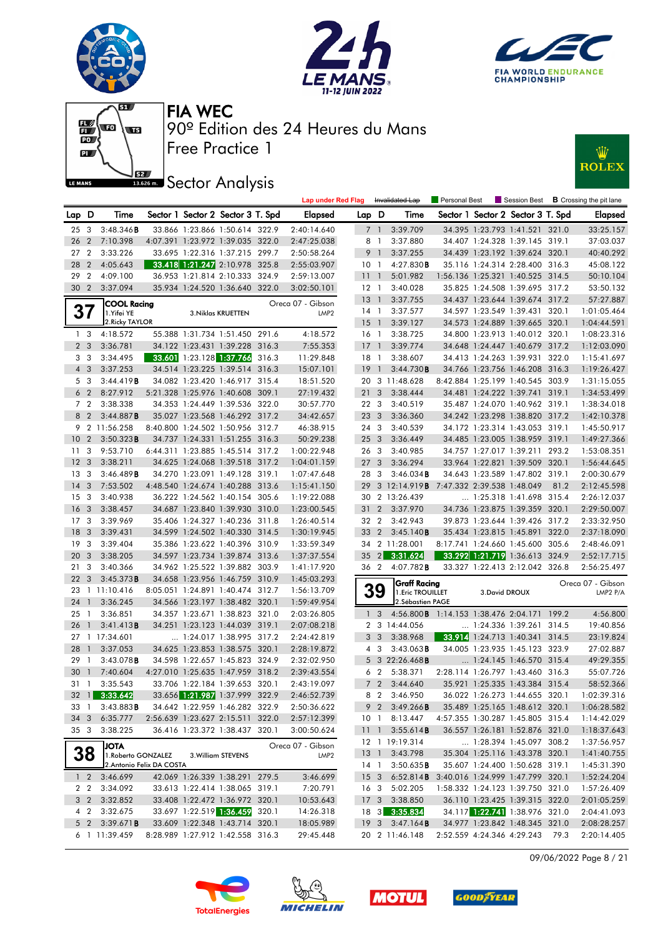







# **JEZ Sector Analysis**



|                 |                 |                            |                           |                                   | <b>Lap under Red Flag</b> |                 |                         | Invalidated Lap                                         | Personal Best |                | Session Best                      |      | <b>B</b> Crossing the pit lane |
|-----------------|-----------------|----------------------------|---------------------------|-----------------------------------|---------------------------|-----------------|-------------------------|---------------------------------------------------------|---------------|----------------|-----------------------------------|------|--------------------------------|
| Lap D           |                 | Time                       |                           | Sector 1 Sector 2 Sector 3 T. Spd | Elapsed                   | Lap D           |                         | Time                                                    |               |                | Sector 1 Sector 2 Sector 3 T. Spd |      | <b>Elapsed</b>                 |
|                 | 25 <sub>3</sub> | $3:48.346$ <b>B</b>        |                           | 33.866 1:23.866 1:50.614 322.9    | 2:40:14.640               |                 | 7 <sup>1</sup>          | 3:39.709                                                |               |                | 34.395 1:23.793 1:41.521 321.0    |      | 33:25.157                      |
| 26 2            |                 | 7:10.398                   |                           | 4:07.391 1:23.972 1:39.035 322.0  | 2:47:25.038               | 8               | $\overline{1}$          | 3:37.880                                                |               |                | 34.407 1:24.328 1:39.145 319.1    |      | 37:03.037                      |
| 27 <sub>2</sub> |                 | 3:33.226                   |                           | 33.695 1:22.316 1:37.215 299.7    | 2:50:58.264               | 9               | $\overline{1}$          | 3:37.255                                                |               |                | 34.439 1:23.192 1:39.624 320.1    |      | 40:40.292                      |
| 28 2            |                 | 4:05.643                   |                           | 33.418 1:21.247 2:10.978 325.8    | 2:55:03.907               | 10 <sub>1</sub> |                         | 4:27.830B                                               |               |                | 35.116 1:24.314 2:28.400 316.3    |      | 45:08.122                      |
| 29              | $\overline{2}$  | 4:09.100                   |                           | 36.953 1:21.814 2:10.333 324.9    | 2:59:13.007               | 111             |                         | 5:01.982                                                |               |                | 1:56.136 1:25.321 1:40.525 314.5  |      | 50:10.104                      |
|                 | 30 2            | 3:37.094                   |                           | 35.934 1:24.520 1:36.640 322.0    | 3:02:50.101               | $12-1$          |                         | 3:40.028                                                |               |                | 35.825 1:24.508 1:39.695 317.2    |      | 53:50.132                      |
|                 |                 | <b>COOL Racing</b>         |                           |                                   | Oreca 07 - Gibson         | $13-1$          |                         | 3:37.755                                                |               |                | 34.437 1:23.644 1:39.674 317.2    |      | 57:27.887                      |
|                 | 37              | 1.Yifei YE                 |                           | 3. Niklas KRUETTEN                | LMP <sub>2</sub>          | $14-1$          |                         | 3:37.577                                                |               |                | 34.597 1:23.549 1:39.431 320.1    |      | 1:01:05.464                    |
|                 |                 | 2. Ricky TAYLOR            |                           |                                   |                           | 15 <sub>1</sub> |                         | 3:39.127                                                |               |                | 34.573 1:24.889 1:39.665 320.1    |      | 1:04:44.591                    |
|                 | 1 <sub>3</sub>  | 4:18.572                   |                           | 55.388 1:31.734 1:51.450 291.6    | 4:18.572                  | 16 <sub>1</sub> |                         | 3:38.725                                                |               |                | 34.800 1:23.913 1:40.012 320.1    |      | 1:08:23.316                    |
|                 | 2 <sub>3</sub>  | 3:36.781                   |                           | 34.122 1:23.431 1:39.228 316.3    | 7:55.353                  | $17-1$          |                         | 3:39.774                                                |               |                | 34.648 1:24.447 1:40.679 317.2    |      | 1:12:03.090                    |
|                 | 3 <sub>3</sub>  | 3:34.495                   |                           | 33.601 1:23.128 1:37.766 316.3    | 11:29.848                 | 18 1            |                         | 3:38.607                                                |               |                | 34.413 1:24.263 1:39.931 322.0    |      | 1:15:41.697                    |
|                 | $4 \quad 3$     | 3:37.253                   |                           | 34.514 1:23.225 1:39.514 316.3    | 15:07.101                 | 19              | $\overline{1}$          | 3:44.730B                                               |               |                | 34.766 1:23.756 1:46.208 316.3    |      | 1:19:26.427                    |
|                 | 5 3             | 3:44.419B                  |                           | 34.082 1:23.420 1:46.917 315.4    | 18:51.520                 | 20              |                         | 3 11:48.628                                             |               |                | 8:42.884 1:25.199 1:40.545 303.9  |      | 1:31:15.055                    |
|                 | 6 <sub>2</sub>  | 8:27.912                   |                           | 5:21.328 1:25.976 1:40.608 309.1  | 27:19.432                 | 21 <sub>3</sub> |                         | 3:38.444                                                |               |                | 34.481 1:24.222 1:39.741 319.1    |      | 1:34:53.499                    |
|                 | 7 <sub>2</sub>  | 3:38.338                   |                           | 34.353 1:24.449 1:39.536 322.0    | 30:57.770                 | 22 3            |                         | 3:40.519                                                |               |                | 35.487 1:24.070 1:40.962 319.1    |      | 1:38:34.018                    |
|                 | 8 2             | 3:44.887B                  |                           | 35.027 1:23.568 1:46.292 317.2    | 34:42.657                 | 23              | $\overline{\mathbf{3}}$ | 3:36.360                                                |               |                | 34.242 1:23.298 1:38.820 317.2    |      | 1:42:10.378                    |
|                 |                 | 9 2 11:56.258              |                           | 8:40.800 1:24.502 1:50.956 312.7  | 46:38.915                 | 24 3            |                         | 3:40.539                                                |               |                | 34.172 1:23.314 1:43.053 319.1    |      | 1:45:50.917                    |
| 10 <sub>2</sub> |                 | 3:50.323B                  |                           | 34.737 1:24.331 1:51.255 316.3    | 50:29.238                 | 25 3            |                         | 3:36.449                                                |               |                | 34.485 1:23.005 1:38.959 319.1    |      | 1:49:27.366                    |
| 11 <sub>3</sub> |                 | 9:53.710                   |                           | 6:44.311 1:23.885 1:45.514 317.2  | 1:00:22.948               | 26 3            |                         | 3:40.985                                                |               |                | 34.757 1:27.017 1:39.211 293.2    |      | 1:53:08.351                    |
| 12 <sub>3</sub> |                 | 3:38.211                   |                           | 34.625 1:24.068 1:39.518 317.2    | 1:04:01.159               | 27 <sub>3</sub> |                         | 3:36.294                                                |               |                | 33.964 1:22.821 1:39.509 320.1    |      | 1:56:44.645                    |
| 13 <sub>3</sub> |                 | 3:46.489B                  |                           | 34.270 1:23.091 1:49.128 319.1    | 1:07:47.648               | 28              | $\overline{\mathbf{3}}$ | 3:46.034B                                               |               |                | 34.643 1:23.589 1:47.802 319.1    |      | 2:00:30.679                    |
| $14 \quad 3$    |                 | 7:53.502                   |                           | 4:48.540 1:24.674 1:40.288 313.6  | 1:15:41.150               | 29              |                         | 3 12:14.919 <b>B</b> 7:47.332 2:39.538 1:48.049         |               |                |                                   | 81.2 | 2:12:45.598                    |
| 15 <sub>3</sub> |                 | 3:40.938                   |                           | 36.222 1:24.562 1:40.154 305.6    | 1:19:22.088               |                 |                         | 30 2 13:26.439                                          |               |                | 1:25.318 1:41.698 315.4           |      | 2:26:12.037                    |
| 16 <sub>3</sub> |                 | 3:38.457                   |                           | 34.687 1:23.840 1:39.930 310.0    | 1:23:00.545               |                 | $31\quad2$              | 3:37.970                                                |               |                | 34.736 1:23.875 1:39.359 320.1    |      | 2:29:50.007                    |
| 17 <sub>3</sub> |                 | 3:39.969                   |                           | 35.406 1:24.327 1:40.236 311.8    | 1:26:40.514               | 32 2            |                         | 3:42.943                                                |               |                | 39.873 1:23.644 1:39.426 317.2    |      | 2:33:32.950                    |
| 18 3            |                 | 3:39.431                   |                           | 34.599 1:24.502 1:40.330 314.5    | 1:30:19.945               | 33 2            |                         | 3:45.140B                                               |               |                | 35.434 1:23.815 1:45.891 322.0    |      | 2:37:18.090                    |
| 19 <sup>3</sup> |                 | 3:39.404                   |                           | 35.386 1:23.622 1:40.396 310.9    | 1:33:59.349               |                 |                         | 34 2 11:28.001                                          |               |                | 8:17.741 1:24.660 1:45.600 305.6  |      | 2:48:46.091                    |
| 20 3            |                 | 3:38.205                   |                           | 34.597 1:23.734 1:39.874 313.6    | 1:37:37.554               | 35              |                         | 2 3:31.624                                              |               |                | 33.292 1:21.719 1:36.613 324.9    |      | 2:52:17.715                    |
| 21 3            |                 | 3:40.366                   |                           | 34.962 1:25.522 1:39.882 303.9    | 1:41:17.920               |                 |                         | 36 2 4:07.782 <b>B</b>                                  |               |                | 33.327 1:22.413 2:12.042 326.8    |      | 2:56:25.497                    |
| 22 <sub>3</sub> |                 | 3:45.373B                  |                           | 34.658 1:23.956 1:46.759 310.9    | 1:45:03.293               |                 |                         | <b>Graff Racing</b>                                     |               |                |                                   |      | Oreca 07 - Gibson              |
|                 |                 | 23 1 11:10.416             |                           | 8:05.051 1:24.891 1:40.474 312.7  | 1:56:13.709               |                 | 39                      | 1. Eric TROUILLET                                       |               | 3. David DROUX |                                   |      | LMP2 P/A                       |
| 24              | $\overline{1}$  | 3:36.245                   |                           | 34.566 1:23.197 1:38.482 320.1    | 1:59:49.954               |                 |                         | 2. Sébastien PAGE                                       |               |                |                                   |      |                                |
| 25 <sub>1</sub> |                 | 3:36.851                   |                           | 34.357 1:23.671 1:38.823 321.0    | 2:03:26.805               |                 | 1 <sup>3</sup>          | 4:56.800 <b>B</b> 1:14.153 1:38.476 2:04.171 199.2      |               |                |                                   |      | 4:56.800                       |
| 26 1            |                 | 3:41.413B                  |                           | 34.251 1:23.123 1:44.039 319.1    | 2:07:08.218               |                 |                         | 2 3 14:44.056                                           |               |                | 1:24.336 1:39.261 314.5           |      | 19:40.856                      |
|                 |                 | 27 1 17:34.601             |                           | $\ldots$ 1:24.017 1:38.995 317.2  | 2:24:42.819               |                 | 3 <sub>3</sub>          | 3:38.968                                                |               |                | 33.914 1:24.713 1:40.341 314.5    |      | 23:19.824                      |
| 28              | $\overline{1}$  | 3:37.053                   |                           | 34.625 1:23.853 1:38.575 320.1    | 2:28:19.872               |                 | 4 3                     | $3:43.063$ B                                            |               |                | 34.005 1:23.935 1:45.123 323.9    |      | 27:02.887                      |
| 29 1            |                 | 3:43.078B                  |                           | 34.598 1:22.657 1:45.823 324.9    | 2:32:02.950               |                 |                         | 5 3 22:26.468B                                          |               |                | 1:24.145 1:46.570 315.4           |      | 49:29.355                      |
| 30              | $\overline{1}$  | 7:40.604                   |                           | 4:27.010 1:25.635 1:47.959 318.2  | 2:39:43.554               |                 | 6 <sub>2</sub>          | 5:38.371                                                |               |                | 2:28.114 1:26.797 1:43.460 316.3  |      | 55:07.726                      |
| 31 1            |                 | 3:35.543                   |                           | 33.706 1:22.184 1:39.653 320.1    | 2:43:19.097               |                 | 7 <sub>2</sub>          | 3:44.640                                                |               |                | 35.921 1:25.335 1:43.384 315.4    |      | 58:52.366                      |
|                 |                 | 32 1 3:33.642              |                           | 33.656 1:21.987 1:37.999 322.9    | 2:46:52.739               | 8               | $\overline{2}$          | 3:46.950                                                |               |                | 36.022 1:26.273 1:44.655 320.1    |      | 1:02:39.316                    |
|                 |                 | 33 1 3:43.883 <b>B</b>     |                           | 34.642 1:22.959 1:46.282 322.9    | 2:50:36.622               |                 |                         | 9 2 3:49.266 <b>B</b>                                   |               |                | 35.489 1:25.165 1:48.612 320.1    |      | 1:06:28.582                    |
|                 |                 | 34 3 6:35.777              |                           | 2:56.639 1:23.627 2:15.511 322.0  | 2:57:12.399               |                 |                         | 10 1 8:13.447                                           |               |                | 4:57.355 1:30.287 1:45.805 315.4  |      | 1:14:42.029                    |
|                 |                 | 35 3 3:38.225              |                           | 36.416 1:23.372 1:38.437 320.1    | 3:00:50.624               |                 |                         | 11 1 3:55.614 <b>B</b>                                  |               |                | 36.557 1:26.181 1:52.876 321.0    |      | 1:18:37.643                    |
|                 |                 | <b>ATOL</b>                |                           |                                   | Oreca 07 - Gibson         |                 |                         | 12 1 19:19.314                                          |               |                | 1:28.394 1:45.097 308.2           |      | 1:37:56.957                    |
|                 | 38              | 1. Roberto GONZALEZ        |                           | 3. William STEVENS                | LMP2                      |                 |                         | 13 1 3:43.798                                           |               |                | 35.304 1:25.116 1:43.378 320.1    |      | 1:41:40.755                    |
|                 |                 |                            | 2. Antonio Felix DA COSTA |                                   |                           |                 |                         | 14 1 3:50.635 <b>B</b>                                  |               |                | 35.607 1:24.400 1:50.628 319.1    |      | 1:45:31.390                    |
|                 |                 | $1 \quad 2 \quad 3:46.699$ |                           | 42.069 1:26.339 1:38.291 279.5    | 3:46.699                  |                 |                         | 15 3 6:52.814 <b>B</b> 3:40.016 1:24.999 1:47.799 320.1 |               |                |                                   |      | 1:52:24.204                    |
|                 |                 | 2 2 3:34.092               |                           | 33.613 1:22.414 1:38.065 319.1    | 7:20.791                  |                 |                         | 16 3 5:02.205                                           |               |                | 1:58.332 1:24.123 1:39.750 321.0  |      | 1:57:26.409                    |
|                 |                 | 3 2 3:32.852               |                           | 33.408 1:22.472 1:36.972 320.1    | 10:53.643                 |                 |                         | 17 3 3:38.850                                           |               |                | 36.110 1:23.425 1:39.315 322.0    |      | 2:01:05.259                    |
|                 |                 | 4 2 3:32.675               |                           | 33.697 1:22.519 1:36.459 320.1    | 14:26.318                 |                 |                         | 18 3 3:35.834                                           |               |                | 34.117 1:22.741 1:38.976 321.0    |      | 2:04:41.093                    |
|                 |                 | 5 2 3:39.671 <b>B</b>      |                           | 33.609 1:22.348 1:43.714 320.1    | 18:05.989                 |                 |                         | 19 3 3:47.164 <b>B</b>                                  |               |                | 34.977 1:23.842 1:48.345 321.0    |      | 2:08:28.257                    |
|                 |                 | 6 1 11:39.459              |                           | 8:28.989 1:27.912 1:42.558 316.3  | 29:45.448                 |                 |                         | 20 2 11:46.148                                          |               |                | 2:52.559 4:24.346 4:29.243 79.3   |      | 2:20:14.405                    |

09/06/2022 Page 8 / 21







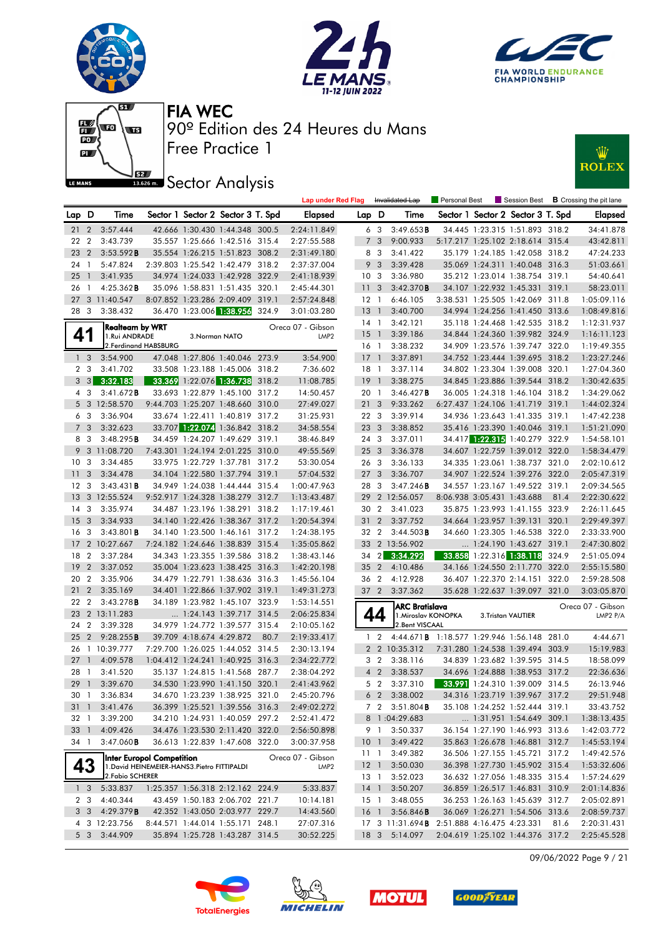







# **JEZ**<br>BREAD Sector Analysis



|                 |                         |                        |                                              |               |                                   |      | <b>Lap under Red Flag</b> |                 |                | Invalidated Lap                                    | Personal Best |                            |                                   |      | Session Best <b>B</b> Crossing the pit lane |
|-----------------|-------------------------|------------------------|----------------------------------------------|---------------|-----------------------------------|------|---------------------------|-----------------|----------------|----------------------------------------------------|---------------|----------------------------|-----------------------------------|------|---------------------------------------------|
| Lap D           |                         | Time                   |                                              |               | Sector 1 Sector 2 Sector 3 T. Spd |      | <b>Elapsed</b>            | Lap D           |                | Time                                               |               |                            | Sector 1 Sector 2 Sector 3 T. Spd |      | <b>Elapsed</b>                              |
| 21 2            |                         | 3:57.444               |                                              |               | 42.666 1:30.430 1:44.348 300.5    |      | 2:24:11.849               |                 | 6 3            | 3:49.653B                                          |               |                            | 34.445 1:23.315 1:51.893 318.2    |      | 34:41.878                                   |
| 22              | $\overline{2}$          | 3:43.739               |                                              |               | 35.557 1:25.666 1:42.516 315.4    |      | 2:27:55.588               | 7               | 3              | 9:00.933                                           |               |                            | 5:17.217 1:25.102 2:18.614 315.4  |      | 43:42.811                                   |
| 23 2            |                         | 3:53.592B              |                                              |               | 35.554 1:26.215 1:51.823 308.2    |      | 2:31:49.180               |                 | 8 3            | 3:41.422                                           |               |                            | 35.179 1:24.185 1:42.058 318.2    |      | 47:24.233                                   |
| 24 1            |                         | 5:47.824               |                                              |               | 2:39.803 1:25.542 1:42.479 318.2  |      | 2:37:37.004               | 9               | $\overline{3}$ | 3:39.428                                           |               |                            | 35.069 1:24.311 1:40.048 316.3    |      | 51:03.661                                   |
| 25              | $\overline{1}$          | 3:41.935               |                                              |               | 34.974 1:24.033 1:42.928 322.9    |      | 2:41:18.939               | 10 <sub>3</sub> |                | 3:36.980                                           |               |                            | 35.212 1:23.014 1:38.754 319.1    |      | 54:40.641                                   |
| 26              | $\overline{1}$          | 4:25.362B              |                                              |               | 35.096 1:58.831 1:51.435 320.1    |      | 2:45:44.301               | 11 <sub>3</sub> |                | 3:42.370B                                          |               |                            | 34.107 1:22.932 1:45.331 319.1    |      | 58:23.011                                   |
| 27              |                         | 3 11:40.547            |                                              |               | 8:07.852 1:23.286 2:09.409 319.1  |      | 2:57:24.848               | $12-1$          |                | 6:46.105                                           |               |                            | 3:38.531 1:25.505 1:42.069 311.8  |      | 1:05:09.116                                 |
| 28 3            |                         | 3:38.432               |                                              |               | 36.470 1:23.006 1:38.956 324.9    |      | 3:01:03.280               | 13 <sup>1</sup> |                | 3:40.700                                           |               |                            | 34.994 1:24.256 1:41.450 313.6    |      | 1:08:49.816                                 |
|                 |                         | <b>Realteam by WRT</b> |                                              |               |                                   |      | Oreca 07 - Gibson         | 14 1            |                | 3:42.121                                           |               |                            | 35.118 1:24.468 1:42.535 318.2    |      | 1:12:31.937                                 |
| 41              |                         | 1.Rui ANDRADE          |                                              | 3.Norman NATO |                                   |      | LMP <sub>2</sub>          | $15-1$          |                | 3:39.186                                           |               |                            | 34.844 1:24.360 1:39.982 324.9    |      | 1:16:11.123                                 |
|                 |                         |                        | 2. Ferdinand HABSBURG                        |               |                                   |      |                           | 16 1            |                | 3:38.232                                           |               |                            | 34.909 1:23.576 1:39.747 322.0    |      | 1:19:49.355                                 |
|                 | 1 <sup>3</sup>          | 3:54.900               |                                              |               | 47.048 1:27.806 1:40.046 273.9    |      | 3:54.900                  | $17-1$          |                | 3:37.891                                           |               |                            | 34.752 1:23.444 1:39.695 318.2    |      | 1:23:27.246                                 |
|                 | 2 <sub>3</sub>          | 3:41.702               |                                              |               | 33.508 1:23.188 1:45.006 318.2    |      | 7:36.602                  | 18 1            |                | 3:37.114                                           |               |                            | 34.802 1:23.304 1:39.008 320.1    |      | 1:27:04.360                                 |
|                 | $3 \quad 3$             | 3:32.183               |                                              |               | 33.369 1:22.076 1:36.738 318.2    |      | 11:08.785                 | 19              | $\overline{1}$ | 3:38.275                                           |               |                            | 34.845 1:23.886 1:39.544 318.2    |      | 1:30:42.635                                 |
|                 | 4 3                     | 3:41.672B              |                                              |               | 33.693 1:22.879 1:45.100 317.2    |      | 14:50.457                 | 20 1            |                | 3:46.427B                                          |               |                            | 36.005 1:24.318 1:46.104 318.2    |      | 1:34:29.062                                 |
|                 |                         | 5 3 12:58.570          |                                              |               | 9:44.703 1:25.207 1:48.660 310.0  |      | 27:49.027                 | 21 <sub>3</sub> |                | 9:33.262                                           |               |                            | 6:27.437 1:24.106 1:41.719 319.1  |      | 1:44:02.324                                 |
|                 | 6 3                     | 3:36.904               |                                              |               | 33.674 1:22.411 1:40.819 317.2    |      | 31:25.931                 | 22 3            |                | 3:39.914                                           |               |                            | 34.936 1:23.643 1:41.335 319.1    |      | 1:47:42.238                                 |
|                 | 7 <sub>3</sub>          | 3:32.623               |                                              |               | 33.707 1:22.074 1:36.842 318.2    |      | 34:58.554                 | 23 <sub>3</sub> |                | 3:38.852                                           |               |                            | 35.416 1:23.390 1:40.046 319.1    |      | 1:51:21.090                                 |
|                 | 8 3                     | 3:48.295B              |                                              |               | 34.459 1:24.207 1:49.629 319.1    |      | 38:46.849                 | 24 3            |                | 3:37.011                                           |               |                            | 34.417 1:22.315 1:40.279 322.9    |      | 1:54:58.101                                 |
|                 |                         | 9 3 11:08.720          |                                              |               | 7:43.301 1:24.194 2:01.225 310.0  |      | 49:55.569                 | 25 <sub>3</sub> |                | 3:36.378                                           |               |                            | 34.607 1:22.759 1:39.012 322.0    |      | 1:58:34.479                                 |
| 10 <sup>3</sup> |                         | 3:34.485               |                                              |               | 33.975 1:22.729 1:37.781 317.2    |      | 53:30.054                 | 26 3            |                | 3:36.133                                           |               |                            | 34.335 1:23.061 1:38.737 321.0    |      | 2:02:10.612                                 |
| 11              | $\overline{\mathbf{3}}$ | 3:34.478               |                                              |               | 34.104 1:22.580 1:37.794 319.1    |      | 57:04.532                 | 27 <sub>3</sub> |                | 3:36.707                                           |               |                            | 34.907 1:22.524 1:39.276 322.0    |      | 2:05:47.319                                 |
| 12 <sup>3</sup> |                         | 3:43.431B              |                                              |               | 34.949 1:24.038 1:44.444 315.4    |      | 1:00:47.963               | 28 3            |                | 3:47.246B                                          |               |                            | 34.557 1:23.167 1:49.522 319.1    |      | 2:09:34.565                                 |
| 13              |                         | 3 12:55.524            |                                              |               | 9:52.917 1:24.328 1:38.279 312.7  |      | 1:13:43.487               |                 |                | 29 2 12:56.057                                     |               | 8:06.938 3:05.431 1:43.688 |                                   | 81.4 | 2:22:30.622                                 |
| 14              | $\mathbf{3}$            | 3:35.974               |                                              |               | 34.487 1:23.196 1:38.291 318.2    |      | 1:17:19.461               | 30 2            |                | 3:41.023                                           |               |                            | 35.875 1:23.993 1:41.155 323.9    |      | 2:26:11.645                                 |
| 15              | $\mathbf{3}$            | 3:34.933               |                                              |               | 34.140 1:22.426 1:38.367 317.2    |      | 1:20:54.394               | 31              | $\overline{2}$ | 3:37.752                                           |               |                            | 34.664 1:23.957 1:39.131 320.1    |      | 2:29:49.397                                 |
| 16 <sub>3</sub> |                         | $3:43.801$ <b>B</b>    |                                              |               | 34.140 1:23.500 1:46.161 317.2    |      | 1:24:38.195               | 32 2            |                | 3:44.503B                                          |               |                            | 34.660 1:23.305 1:46.538 322.0    |      | 2:33:33.900                                 |
|                 |                         | 17 2 10:27.667         |                                              |               | 7:24.182 1:24.646 1:38.839 315.4  |      | 1:35:05.862               |                 |                | 33 2 13:56.902                                     |               |                            | 1:24.190 1:43.627 319.1           |      | 2:47:30.802                                 |
| 18              | $\overline{2}$          | 3:37.284               |                                              |               | 34.343 1:23.355 1:39.586 318.2    |      | 1:38:43.146               | $34 \quad 2$    |                | 3:34.292                                           |               |                            | 33.858 1:22.316 1:38.118 324.9    |      | 2:51:05.094                                 |
| 19              | $\overline{2}$          | 3:37.052               |                                              |               | 35.004 1:23.623 1:38.425 316.3    |      | 1:42:20.198               | 35 2            |                | 4:10.486                                           |               |                            | 34.166 1:24.550 2:11.770 322.0    |      | 2:55:15.580                                 |
| 20 2            |                         | 3:35.906               |                                              |               | 34.479 1:22.791 1:38.636 316.3    |      | 1:45:56.104               | 36 2            |                | 4:12.928                                           |               |                            | 36.407 1:22.370 2:14.151 322.0    |      | 2:59:28.508                                 |
| 21              | $\overline{2}$          | 3:35.169               |                                              |               | 34.401 1:22.866 1:37.902 319.1    |      | 1:49:31.273               |                 |                | 37 2 3:37.362                                      |               |                            | 35.628 1:22.637 1:39.097 321.0    |      | 3:03:05.870                                 |
| 22              | $\overline{2}$          | 3:43.278B              |                                              |               | 34.189 1:23.982 1:45.107 323.9    |      | 1:53:14.551               |                 |                | <b>ARC Bratislava</b>                              |               |                            |                                   |      | Oreca 07 - Gibson                           |
|                 |                         | 23 2 13:11.283         |                                              |               | $\ldots$ 1:24.143 1:39.717 314.5  |      | 2:06:25.834               |                 | 44             | 1. Miroslav KONOPKA                                |               |                            | 3.Tristan VAUTIER                 |      | LMP2 P/A                                    |
| 24              | $\overline{2}$          | 3:39.328               |                                              |               | 34.979 1:24.772 1:39.577 315.4    |      | 2:10:05.162               |                 |                | 2.Bent VISCAAL                                     |               |                            |                                   |      |                                             |
| 25              | 2                       | 9:28.255B              |                                              |               | 39.709 4:18.674 4:29.872          | 80.7 | 2:19:33.417               | $\mathbf{1}$    | $\overline{2}$ | 4:44.671 <b>B</b> 1:18.577 1:29.946 1:56.148 281.0 |               |                            |                                   |      | 4:44.671                                    |
| 26              |                         | 1 10:39.777            |                                              |               | 7:29.700 1:26.025 1:44.052 314.5  |      | 2:30:13.194               |                 |                | 2 2 10:35.312                                      |               |                            | 7:31.280 1:24.538 1:39.494 303.9  |      | 15:19.983                                   |
| 27              | $\overline{1}$          | 4:09.578               |                                              |               | 1:04.412 1:24.241 1:40.925 316.3  |      | 2:34:22.772               |                 | 3 <sub>2</sub> | 3:38.116                                           |               |                            | 34.839 1:23.682 1:39.595 314.5    |      | 18:58.099                                   |
| 28              | $\overline{1}$          | 3:41.520               |                                              |               | 35.137 1:24.815 1:41.568 287.7    |      | 2:38:04.292               |                 | 4 <sub>2</sub> | 3:38.537                                           |               |                            | 34.696 1:24.888 1:38.953 317.2    |      | 22:36.636                                   |
| 29 <sup>1</sup> |                         | 3:39.670               |                                              |               | 34.530 1:23.990 1:41.150 320.1    |      | 2:41:43.962               |                 | 5 <sub>2</sub> | 3:37.310                                           |               |                            | 33.991 1:24.310 1:39.009 314.5    |      | 26:13.946                                   |
|                 |                         | 30 1 3:36.834          |                                              |               | 34.670 1:23.239 1:38.925 321.0    |      | 2:45:20.796               |                 |                | 6 2 3:38.002 34.316 1:23.719 1:39.967 317.2        |               |                            |                                   |      | 29:51.948                                   |
| 31 1            |                         | 3:41.476               |                                              |               | 36.399 1:25.521 1:39.556 316.3    |      | 2:49:02.272               |                 |                | 7 2 3:51.804 <b>B</b>                              |               |                            | 35.108 1:24.252 1:52.444 319.1    |      | 33:43.752                                   |
| 32 1            |                         | 3:39.200               |                                              |               | 34.210 1:24.931 1:40.059 297.2    |      | 2:52:41.472               |                 |                | 8 1:04:29.683                                      |               |                            | 1:31.951 1:54.649 309.1           |      | 1:38:13.435                                 |
| 33 1            |                         | 4:09.426               |                                              |               | 34.476 1:23.530 2:11.420 322.0    |      | 2:56:50.898               |                 | 9 1            | 3:50.337                                           |               |                            | 36.154 1:27.190 1:46.993 313.6    |      | 1:42:03.772                                 |
| 34 1            |                         | $3:47.060$ <b>B</b>    |                                              |               | 36.613 1:22.839 1:47.608 322.0    |      | 3:00:37.958               | 10 <sub>1</sub> |                | 3:49.422                                           |               |                            | 35.863 1:26.678 1:46.881 312.7    |      | 1:45:53.194                                 |
|                 |                         |                        | Inter Europol Competition                    |               |                                   |      | Oreca 07 - Gibson         | $11-1$          |                | 3:49.382                                           |               |                            | 36.506 1:27.155 1:45.721 317.2    |      | 1:49:42.576                                 |
|                 | 43                      |                        | 1. David HEINEMEIER-HANS3. Pietro FITTIPALDI |               |                                   |      | LMP <sub>2</sub>          | $12-1$          |                | 3:50.030                                           |               |                            | 36.398 1:27.730 1:45.902 315.4    |      | 1:53:32.606                                 |
|                 |                         | 2. Fabio SCHERER       |                                              |               |                                   |      |                           | 13 1            |                | 3:52.023                                           |               |                            | 36.632 1:27.056 1:48.335 315.4    |      | 1:57:24.629                                 |
|                 | 1 <sub>3</sub>          | 5:33.837               |                                              |               | 1:25.357 1:56.318 2:12.162 224.9  |      | 5:33.837                  | 14 <sup>1</sup> |                | 3:50.207                                           |               |                            | 36.859 1:26.517 1:46.831 310.9    |      | 2:01:14.836                                 |
|                 | 2 3                     | 4:40.344               |                                              |               | 43.459 1:50.183 2:06.702 221.7    |      | 10:14.181                 | 15 1            |                | 3:48.055                                           |               |                            | 36.253 1:26.163 1:45.639 312.7    |      | 2:05:02.891                                 |
|                 | 3 3                     | 4:29.379B              |                                              |               | 42.352 1:43.050 2:03.977 229.7    |      | 14:43.560                 | 16 1            |                | 3:56.846B                                          |               |                            | 36.069 1:26.271 1:54.506 313.6    |      | 2:08:59.737                                 |
|                 |                         | 4 3 12:23.756          |                                              |               | 8:44.571 1:44.014 1:55.171 248.1  |      | 27:07.316                 |                 |                | 17 3 11:31.694 <b>B</b> 2:51.888 4:16.475 4:23.331 |               |                            |                                   | 81.6 | 2:20:31.431                                 |
|                 | 5 3                     | 3:44.909               |                                              |               | 35.894 1:25.728 1:43.287 314.5    |      | 30:52.225                 |                 |                | 18 3 5:14.097                                      |               |                            | 2:04.619 1:25.102 1:44.376 317.2  |      | 2:25:45.528                                 |

09/06/2022 Page 9 / 21







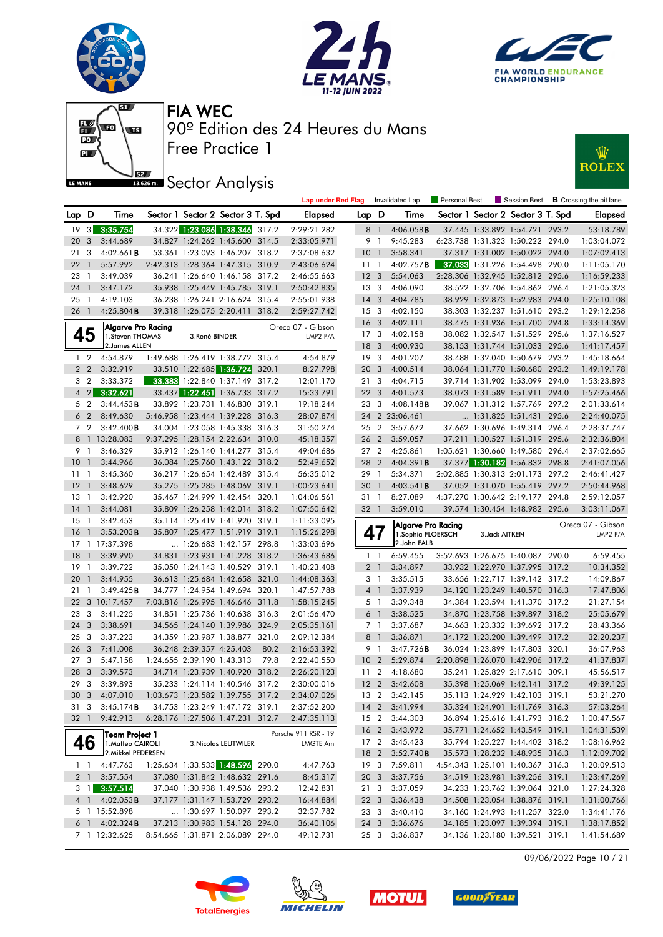







### **ISEE** Sector Analysis



|       |                |                                            |                            |                                                                    |       | <b>Lap under Red Flag</b> |                         |                | Invalidated Lap           | Personal Best |                | Session Best                                                     |       | <b>B</b> Crossing the pit lane |
|-------|----------------|--------------------------------------------|----------------------------|--------------------------------------------------------------------|-------|---------------------------|-------------------------|----------------|---------------------------|---------------|----------------|------------------------------------------------------------------|-------|--------------------------------|
| Lap D |                | Time                                       |                            | Sector 1 Sector 2 Sector 3 T. Spd                                  |       | Elapsed                   | Lap D                   |                | Time                      |               |                | Sector 1 Sector 2 Sector 3 T. Spd                                |       | <b>Elapsed</b>                 |
| 19    |                | 3 3:35.754                                 |                            | 34.322 1:23.086 1:38.346                                           | 317.2 | 2:29:21.282               |                         | 8 1            | 4:06.058B                 |               |                | 37.445 1:33.892 1:54.721 293.2                                   |       | 53:18.789                      |
| 20    | 3              | 3:44.689                                   |                            | 34.827 1:24.262 1:45.600 314.5                                     |       | 2:33:05.971               | 9                       | $\overline{1}$ | 9:45.283                  |               |                | 6:23.738 1:31.323 1:50.222 294.0                                 |       | 1:03:04.072                    |
| 21    | 3              | $4:02.661$ B                               |                            | 53.361 1:23.093 1:46.207 318.2                                     |       | 2:37:08.632               | $10-1$                  |                | 3:58.341                  |               |                | 37.317 1:31.002 1:50.022 294.0                                   |       | 1:07:02.413                    |
| 22    | $\mathbf{1}$   | 5:57.992                                   |                            | 2:42.313 1:28.364 1:47.315 310.9                                   |       | 2:43:06.624               | 11                      | $\overline{1}$ | $4:02.757$ <b>B</b>       |               |                | 37.033 1:31.226 1:54.498 290.0                                   |       | 1:11:05.170                    |
| 23    | $\overline{1}$ | 3:49.039                                   |                            | 36.241 1:26.640 1:46.158 317.2                                     |       | 2:46:55.663               | 12 <sup>3</sup>         |                | 5:54.063                  |               |                | 2:28.306 1:32.945 1:52.812 295.6                                 |       | 1:16:59.233                    |
| 24    | $\mathbf{1}$   | 3:47.172                                   |                            | 35.938 1:25.449 1:45.785 319.1                                     |       | 2:50:42.835               | 13 <sub>3</sub>         |                | 4:06.090                  |               |                | 38.522 1:32.706 1:54.862 296.4                                   |       | 1:21:05.323                    |
| 25    | - 1            | 4:19.103                                   |                            | 36.238 1:26.241 2:16.624 315.4                                     |       | 2:55:01.938               | $14 \quad 3$            |                | 4:04.785                  |               |                | 38.929 1:32.873 1:52.983 294.0                                   |       | 1:25:10.108                    |
| 26    | $\overline{1}$ | 4:25.804B                                  |                            | 39.318 1:26.075 2:20.411 318.2                                     |       | 2:59:27.742               | 15 <sub>3</sub>         |                | 4:02.150                  |               |                | 38.303 1:32.237 1:51.610 293.2                                   |       | 1:29:12.258                    |
|       |                | Algarve Pro Racing                         |                            |                                                                    |       | Oreca 07 - Gibson         | 16 <sub>3</sub>         |                | 4:02.111                  |               |                | 38.475 1:31.936 1:51.700 294.8                                   |       | 1:33:14.369                    |
|       | 45             | 1.Steven THOMAS                            | 3.René BINDER              |                                                                    |       | LMP2 P/A                  | 17 <sub>3</sub>         |                | 4:02.158                  |               |                | 38.082 1:32.547 1:51.529 295.6                                   |       | 1:37:16.527                    |
|       |                | 2. James ALLEN                             |                            |                                                                    |       |                           | 18 <sup>3</sup>         |                | 4:00.930                  |               |                | 38.153 1:31.744 1:51.033 295.6                                   |       | 1:41:17.457                    |
|       | 1 <sub>2</sub> | 4:54.879                                   |                            | 1:49.688 1:26.419 1:38.772 315.4                                   |       | 4:54.879                  | 19 <sup>3</sup>         |                | 4:01.207                  |               |                | 38.488 1:32.040 1:50.679 293.2                                   |       | 1:45:18.664                    |
|       | 2 <sub>2</sub> | 3:32.919                                   |                            | 33.510 1:22.685 1:36.724                                           | 320.1 | 8:27.798                  | 20                      | 3              | 4:00.514                  |               |                | 38.064 1:31.770 1:50.680 293.2                                   |       | 1:49:19.178                    |
|       | 3 <sub>2</sub> | 3:33.372                                   |                            | 33.383 1:22.840 1:37.149 317.2                                     |       | 12:01.170                 | 21                      | 3              | 4:04.715                  |               |                | 39.714 1:31.902 1:53.099 294.0                                   |       | 1:53:23.893                    |
|       | $4 \quad 2$    | 3:32.621                                   |                            |                                                                    |       | 15:33.791                 | 22 <sub>2</sub>         | 3              | 4:01.573                  |               |                | 38.073 1:31.589 1:51.911 294.0                                   |       | 1:57:25.466                    |
|       | 5 <sub>2</sub> | 3:44.453B                                  |                            | 33.892 1:23.731 1:46.830 319.1                                     |       | 19:18.244                 | 23                      | -3             | $4:08.148$ <b>B</b>       |               |                | 39.067 1:31.312 1:57.769 297.2                                   |       | 2:01:33.614                    |
| 6     | $\overline{2}$ | 8:49.630                                   |                            | 5:46.958 1:23.444 1:39.228 316.3                                   |       | 28:07.874                 |                         |                | 24 2 23:06.461            |               |                | 1:31.825 1:51.431 295.6                                          |       | 2:24:40.075                    |
|       | 7 2            | 3:42.400B                                  |                            | 34.004 1:23.058 1:45.338 316.3                                     |       | 31:50.274                 | 25 2                    |                | 3:57.672                  |               |                | 37.662 1:30.696 1:49.314 296.4                                   |       | 2:28:37.747                    |
|       |                | 8 1 13:28.083                              |                            | 9:37.295 1:28.154 2:22.634 310.0                                   |       | 45:18.357                 | 26 2                    |                | 3:59.057                  |               |                | 37.211 1:30.527 1:51.319 295.6                                   |       | 2:32:36.804                    |
|       | 9 1            | 3:46.329                                   |                            | 35.912 1:26.140 1:44.277 315.4                                     |       | 49:04.686                 | 27 2                    |                | 4:25.861                  |               |                | 1:05.621 1:30.660 1:49.580 296.4                                 |       | 2:37:02.665                    |
| 10    | $\overline{1}$ | 3:44.966                                   |                            | 36.084 1:25.760 1:43.122 318.2                                     |       | 52:49.652                 | 28                      | $\overline{2}$ | 4:04.391B                 |               |                | 37.377 1:30.182 1:56.832 298.8                                   |       | 2:41:07.056                    |
| 1111  |                | 3:45.360                                   |                            | 36.217 1:26.654 1:42.489 315.4                                     |       | 56:35.012                 | 29 1                    |                | 5:34.371                  |               |                | 2:02.885 1:30.313 2:01.173 297.2                                 |       | 2:46:41.427                    |
| 12    | $\overline{1}$ | 3:48.629                                   |                            | 35.275 1:25.285 1:48.069 319.1                                     |       | 1:00:23.641               | 30                      | $\overline{1}$ | 4:03.541B                 |               |                | 37.052 1:31.070 1:55.419 297.2                                   |       | 2:50:44.968                    |
| 13    | $\overline{1}$ | 3:42.920                                   |                            | 35.467 1:24.999 1:42.454 320.1                                     |       | 1:04:06.561               | 31 1                    |                | 8:27.089                  |               |                | 4:37.270 1:30.642 2:19.177 294.8                                 |       | 2:59:12.057                    |
| 14    | $\mathbf{1}$   | 3:44.081                                   |                            | 35.809 1:26.258 1:42.014 318.2                                     |       | 1:07:50.642               | 32 1                    |                | 3:59.010                  |               |                | 39.574 1:30.454 1:48.982 295.6                                   |       | 3:03:11.067                    |
|       |                |                                            |                            |                                                                    |       |                           |                         |                |                           |               |                |                                                                  |       |                                |
| 15    | $\overline{1}$ | 3:42.453                                   |                            | 35.114 1:25.419 1:41.920 319.1                                     |       | 1:11:33.095               |                         |                | Algarve Pro Racing        |               |                |                                                                  |       | Oreca 07 - Gibson              |
| 16    | $\mathbf{1}$   | 3:53.203B                                  |                            | 35.807 1:25.477 1:51.919 319.1                                     |       | 1:15:26.298               | 47                      |                | 1. Sophia FLOERSCH        |               | 3. Jack AITKEN |                                                                  |       | LMP2 P/A                       |
| 17    |                | 1 17:37.398                                |                            | 1:26.683 1:42.157 298.8                                            |       | 1:33:03.696               |                         |                | 2.John FALB               |               |                |                                                                  |       |                                |
| 18    | $\mathbf{1}$   | 3:39.990                                   |                            | 34.831 1:23.931 1:41.228 318.2                                     |       | 1:36:43.686               | $1\quad$                |                | 6:59.455                  |               |                | 3:52.693 1:26.675 1:40.087 290.0                                 |       | 6:59.455                       |
| 19    | $\overline{1}$ | 3:39.722                                   |                            | 35.050 1:24.143 1:40.529 319.1                                     |       | 1:40:23.408               | 2 <sub>1</sub>          |                | 3:34.897                  |               |                | 33.932 1:22.970 1:37.995 317.2                                   |       | 10:34.352                      |
| 20    | $\mathbf{1}$   | 3:44.955                                   |                            | 36.613 1:25.684 1:42.658 321.0                                     |       | 1:44:08.363               | 3 <sub>1</sub>          |                | 3:35.515                  |               |                | 33.656 1:22.717 1:39.142 317.2                                   |       | 14:09.867                      |
| 21    | $\overline{1}$ | 3:49.425B                                  |                            | 34.777 1:24.954 1:49.694 320.1                                     |       | 1:47:57.788               | 4 <sup>1</sup>          |                | 3:37.939                  |               |                | 34.120 1:23.249 1:40.570                                         | 316.3 | 17:47.806                      |
| 22    |                | 3 10:17.457                                |                            | 7:03.816 1:26.995 1:46.646 311.8                                   |       | 1:58:15.245               | 5 1                     |                | 3:39.348                  |               |                | 34.384 1:23.594 1:41.370 317.2                                   |       | 21:27.154                      |
| 23    | 3              | 3:41.225                                   |                            | 34.851 1:25.736 1:40.638 316.3                                     |       | 2:01:56.470               | $6-1$                   |                | 3:38.525                  |               |                | 34.870 1:23.758 1:39.897 318.2                                   |       | 25:05.679                      |
| 24    | 3              | 3:38.691                                   |                            | 34.565 1:24.140 1:39.986 324.9                                     |       | 2:05:35.161               | 7 <sub>1</sub>          |                | 3:37.687                  |               |                | 34.663 1:23.332 1:39.692 317.2                                   |       | 28:43.366                      |
| 25    | 3              | 3:37.223                                   |                            | 34.359 1:23.987 1:38.877 321.0                                     |       | 2:09:12.384               | 8                       | $\overline{1}$ | 3:36.871                  |               |                | 34.172 1:23.200 1:39.499                                         | 317.2 | 32:20.237                      |
| 26    | 3              | 7:41.008                                   | 36.248 2:39.357 4:25.403   |                                                                    | 80.2  | 2:16:53.392               | 9 1                     |                | 3:47.726B                 |               |                | 36.024 1:23.899 1:47.803 320.1                                   |       | 36:07.963                      |
| 27    | 3              | 5:47.158                                   | 1:24.655 2:39.190 1:43.313 |                                                                    | 79.8  | 2:22:40.550               | 10 <sub>2</sub>         |                | 5:29.874                  |               |                | 2:20.898 1:26.070 1:42.906 317.2                                 |       | 41:37.837                      |
| 28    | 3              | 3:39.573                                   |                            | 34.714 1:23.939 1:40.920 318.2                                     |       | 2:26:20.123               | 11                      | $\overline{2}$ | 4:18.680                  |               |                | 35.241 1:25.829 2:17.610 309.1                                   |       | 45:56.517                      |
| 29    | 3              | 3:39.893                                   |                            | 35.233 1:24.114 1:40.546 317.2                                     |       | 2:30:00.016               | 12 <sub>2</sub>         |                | 3:42.608                  |               |                | 35.398 1:25.069 1:42.141 317.2                                   |       | 49:39.125                      |
|       |                | 30 3 4:07.010                              |                            | 1:03.673 1:23.582 1:39.755 317.2                                   |       | 2:34:07.026               | $13 \quad 2$            |                | 3:42.145                  |               |                | 35.113 1:24.929 1:42.103 319.1                                   |       | 53:21.270                      |
| 313   |                | 3:45.174B                                  |                            | 34.753 1:23.249 1:47.172 319.1                                     |       | 2:37:52.200               |                         |                | 14 2 3:41.994             |               |                | 35.324 1:24.901 1:41.769 316.3                                   |       | 57:03.264                      |
| 32 1  |                | 9:42.913                                   |                            | 6:28.176 1:27.506 1:47.231 312.7                                   |       | 2:47:35.113               |                         |                | 15 2 3:44.303             |               |                | 36.894 1:25.616 1:41.793 318.2                                   |       | 1:00:47.567                    |
|       |                | Team Project 1                             |                            |                                                                    |       | Porsche 911 RSR - 19      |                         |                | 16 2 3:43.972             |               |                | 35.771 1:24.652 1:43.549 319.1                                   |       | 1:04:31.539                    |
|       | 46             | 1. Matteo CAIROLI                          |                            | 3. Nicolas LEUTWILER                                               |       | LMGTE Am                  | 17 2                    |                | 3:45.423                  |               |                | 35.794 1:25.227 1:44.402 318.2                                   |       | 1:08:16.962                    |
|       |                | 2. Mikkel PEDERSEN                         |                            |                                                                    |       |                           | 18 2                    |                | 3:52.740B                 |               |                | 35.573 1:28.232 1:48.935 316.3                                   |       | 1:12:09.702                    |
|       |                | $1 \quad 1 \quad 4:47.763$<br>2 1 3:57.554 |                            | 1:25.634 1:33.533 1:48.596 290.0<br>37.080 1:31.842 1:48.632 291.6 |       | 4:47.763                  |                         |                | 19 3 7:59.811             |               |                | 4:54.343 1:25.101 1:40.367 316.3                                 |       | 1:20:09.513                    |
|       |                | $3 \quad 1 \quad 3:57.514$                 |                            | 37.040 1:30.938 1:49.536 293.2                                     |       | 8:45.317                  | 20 <sub>3</sub><br>21 3 |                | 3:37.756                  |               |                | 34.519 1:23.981 1:39.256 319.1                                   |       | 1:23:47.269                    |
|       |                |                                            |                            |                                                                    |       | 12:42.831<br>16:44.884    | 22 3                    |                | 3:37.059                  |               |                | 34.233 1:23.762 1:39.064 321.0                                   |       | 1:27:24.328                    |
|       |                | 4 1 4:02.053 <b>B</b><br>5 1 15:52.898     |                            | 37.177 1:31.147 1:53.729 293.2<br>$\ldots$ 1:30.697 1:50.097 293.2 |       | 32:37.782                 | 23 3                    |                | 3:36.438                  |               |                | 34.508 1:23.054 1:38.876 319.1<br>34.160 1:24.993 1:41.257 322.0 |       | 1:31:00.766                    |
|       |                | $6$ 1 4:02.324 <b>B</b>                    |                            | 37.213 1:30.983 1:54.128 294.0                                     |       | 36:40.106                 |                         |                | 3:40.410<br>24 3 3:36.676 |               |                | 34.185 1:23.097 1:39.394 319.1                                   |       | 1:34:41.176<br>1:38:17.852     |

09/06/2022 Page 10 / 21







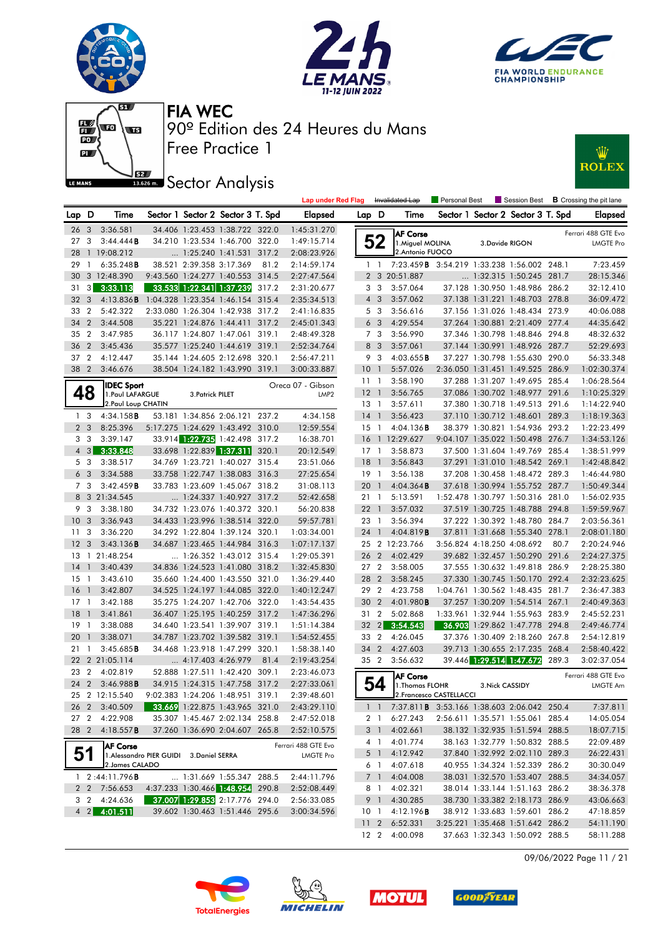







#### **ISECO** Analysis



|                 |                         |                         |                                          |                            |                                   |      | <b>Lap under Red Flag</b>                    |                 |                 | Invalidated Lap                                        | Personal Best |                 |                                   |       | Session Best <b>B</b> Crossing the pit lane |
|-----------------|-------------------------|-------------------------|------------------------------------------|----------------------------|-----------------------------------|------|----------------------------------------------|-----------------|-----------------|--------------------------------------------------------|---------------|-----------------|-----------------------------------|-------|---------------------------------------------|
| Lap D           |                         | Time                    |                                          |                            | Sector 1 Sector 2 Sector 3 T. Spd |      | <b>Elapsed</b>                               | Lap D           |                 | Time                                                   |               |                 | Sector 1 Sector 2 Sector 3 T. Spd |       | <b>Elapsed</b>                              |
| 26 <sub>3</sub> |                         | 3:36.581                |                                          |                            | 34.406 1:23.453 1:38.722 322.0    |      | 1:45:31.270                                  |                 |                 | <b>AF Corse</b>                                        |               |                 |                                   |       | Ferrari 488 GTE Evo                         |
| 27              | $\overline{\mathbf{3}}$ | 3:44.444B               |                                          |                            | 34.210 1:23.534 1:46.700 322.0    |      | 1:49:15.714                                  |                 | 52              | 1. Miguel MOLINA                                       |               | 3.Davide RIGON  |                                   |       | <b>LMGTE Pro</b>                            |
| 28              |                         | 1 19:08.212             |                                          |                            | $\ldots$ 1:25.240 1:41.531 317.2  |      | 2:08:23.926                                  |                 |                 | 2. Antonio FUOCO                                       |               |                 |                                   |       |                                             |
| 29              | $\overline{1}$          | 6:35.248B               |                                          | 38.521 2:39.358 3:17.369   |                                   | 81.2 | 2:14:59.174                                  |                 | 1 <sup>1</sup>  | 7:23.459 <b>B</b> 3:54.219 1:33.238 1:56.002 248.1     |               |                 |                                   |       | 7:23.459                                    |
|                 |                         | 30 3 12:48.390          |                                          |                            | 9:43.560 1:24.277 1:40.553 314.5  |      | 2:27:47.564                                  |                 |                 | 2 3 20:51.887                                          |               |                 | $\ldots$ 1:32.315 1:50.245 281.7  |       | 28:15.346                                   |
|                 |                         | 31 3 3:33.113           |                                          |                            | 33.533 1:22.341 1:37.239 317.2    |      | 2:31:20.677                                  |                 | 3 3             | 3:57.064                                               |               |                 | 37.128 1:30.950 1:48.986 286.2    |       | 32:12.410                                   |
| 32 <sub>3</sub> |                         | 4:13.836B               | 1:04.328 1:23.354 1:46.154 315.4         |                            |                                   |      | 2:35:34.513                                  |                 | $4 \quad 3$     | 3:57.062                                               |               |                 | 37.138 1:31.221 1:48.703 278.8    |       | 36:09.472                                   |
| 33 2            |                         | 5:42.322                |                                          |                            | 2:33.080 1:26.304 1:42.938 317.2  |      | 2:41:16.835                                  |                 | 5 3             | 3:56.616                                               |               |                 | 37.156 1:31.026 1:48.434 273.9    |       | 40:06.088                                   |
| 34 2            |                         | 3:44.508                |                                          |                            | 35.221 1:24.876 1:44.411 317.2    |      | 2:45:01.343                                  |                 | 6 <sub>3</sub>  | 4:29.554                                               |               |                 | 37.264 1:30.881 2:21.409 277.4    |       | 44:35.642                                   |
| 35 2            |                         | 3:47.985                |                                          |                            | 36.117 1:24.807 1:47.061 319.1    |      | 2:48:49.328                                  |                 | 7 <sub>3</sub>  | 3:56.990                                               |               |                 | 37.346 1:30.798 1:48.846 294.8    |       | 48:32.632                                   |
| 36 2            |                         | 3:45.436                |                                          |                            | 35.577 1:25.240 1:44.619 319.1    |      | 2:52:34.764                                  |                 | 8 3             | 3:57.061                                               |               |                 | 37.144 1:30.991 1:48.926 287.7    |       | 52:29.693                                   |
| 37 2            |                         | 4:12.447                |                                          |                            | 35.144 1:24.605 2:12.698 320.1    |      | 2:56:47.211                                  |                 | 9 3             | 4:03.655B                                              |               |                 | 37.227 1:30.798 1:55.630 290.0    |       | 56:33.348                                   |
| 38 2            |                         | 3:46.676                |                                          |                            | 38.504 1:24.182 1:43.990 319.1    |      | 3:00:33.887                                  | 10 <sub>1</sub> |                 | 5:57.026                                               |               |                 | 2:36.050 1:31.451 1:49.525 286.9  |       | 1:02:30.374                                 |
|                 |                         | <b>IDEC Sport</b>       |                                          |                            |                                   |      | Oreca 07 - Gibson                            |                 | 11 <sub>1</sub> | 3:58.190                                               |               |                 | 37.288 1:31.207 1:49.695 285.4    |       | 1:06:28.564                                 |
|                 | 48                      | 1. Paul LAFARGUE        |                                          | 3. Patrick PILET           |                                   |      | LMP <sub>2</sub>                             | $12-1$          |                 | 3:56.765                                               |               |                 | 37.086 1:30.702 1:48.977 291.6    |       | 1:10:25.329                                 |
|                 |                         | 2. Paul Loup CHATIN     |                                          |                            |                                   |      |                                              |                 | $13-1$          | 3:57.611                                               |               |                 | 37.380 1:30.718 1:49.513 291.6    |       | 1:14:22.940                                 |
|                 | 1 <sup>3</sup>          | 4:34.158B               |                                          |                            | 53.181 1:34.856 2:06.121 237.2    |      | 4:34.158                                     | $14-1$          |                 | 3:56.423                                               |               |                 | 37.110 1:30.712 1:48.601 289.3    |       | 1:18:19.363                                 |
|                 | 2 <sub>3</sub>          | 8:25.396                |                                          |                            | 5:17.275 1:24.629 1:43.492 310.0  |      | 12:59.554                                    |                 | $15-1$          | $4:04.136$ <b>B</b>                                    |               |                 | 38.379 1:30.821 1:54.936 293.2    |       | 1:22:23.499                                 |
|                 | 3 <sub>3</sub>          | 3:39.147                |                                          |                            | 33.914 1:22.735 1:42.498 317.2    |      | 16:38.701                                    |                 |                 | 16 1 12:29.627                                         |               |                 | 9:04.107 1:35.022 1:50.498 276.7  |       | 1:34:53.126                                 |
|                 | $4 \quad 3$             | 3:33.848                |                                          |                            | 33.698 1:22.839 1:37.311 320.1    |      | 20:12.549                                    |                 | $17-1$          | 3:58.873                                               |               |                 | 37.500 1:31.604 1:49.769 285.4    |       | 1:38:51.999                                 |
|                 | 5 <sub>3</sub>          | 3:38.517                |                                          |                            | 34.769 1:23.721 1:40.027 315.4    |      | 23:51.066                                    | $18-1$          |                 | 3:56.843                                               |               |                 | 37.291 1:31.010 1:48.542 269.1    |       | 1:42:48.842                                 |
|                 | 6 <sub>3</sub>          | 3:34.588                |                                          |                            | 33.758 1:22.747 1:38.083 316.3    |      | 27:25.654                                    |                 | $19-1$          | 3:56.138                                               |               |                 | 37.208 1:30.458 1:48.472 289.3    |       | 1:46:44.980                                 |
|                 | 7 <sub>3</sub>          | 3:42.459B               |                                          |                            | 33.783 1:23.609 1:45.067 318.2    |      | 31:08.113                                    | 20              | $\overline{1}$  | 4:04.364B                                              |               |                 | 37.618 1:30.994 1:55.752 287.7    |       | 1:50:49.344                                 |
|                 |                         | 8 3 21:34.545           |                                          |                            | $\ldots$ 1:24.337 1:40.927 317.2  |      | 52:42.658                                    |                 | $21 \quad 1$    | 5:13.591                                               |               |                 | 1:52.478 1:30.797 1:50.316 281.0  |       | 1:56:02.935                                 |
|                 | 9 3                     | 3:38.180                |                                          |                            | 34.732 1:23.076 1:40.372 320.1    |      | 56:20.838                                    | $22-1$          |                 | 3:57.032                                               |               |                 | 37.519 1:30.725 1:48.788 294.8    |       | 1:59:59.967                                 |
| 10 <sub>3</sub> |                         | 3:36.943                |                                          |                            | 34.433 1:23.996 1:38.514 322.0    |      | 59:57.781                                    |                 | 23 1            | 3:56.394                                               |               |                 | 37.222 1:30.392 1:48.780 284.7    |       | 2:03:56.361                                 |
| 11 <sub>3</sub> |                         | 3:36.220                |                                          |                            | 34.292 1:22.804 1:39.124 320.1    |      | 1:03:34.001                                  | 24 1            |                 | 4:04.819 <b>B</b>                                      |               |                 | 37.811 1:31.668 1:55.340 278.1    |       | 2:08:01.180                                 |
| 12 <sup>3</sup> |                         | 3:43.136B               |                                          |                            | 34.687 1:23.465 1:44.984 316.3    |      | 1:07:17.137                                  |                 |                 | 25 2 12:23.766                                         |               |                 | 3:56.824 4:18.250 4:08.692        | 80.7  | 2:20:24.946                                 |
|                 |                         | 13 1 21:48.254          |                                          |                            | 1:26.352 1:43.012 315.4           |      | 1:29:05.391                                  |                 | 26 2            | 4:02.429                                               |               |                 | 39.682 1:32.457 1:50.290 291.6    |       | 2:24:27.375                                 |
| $14-1$          |                         | 3:40.439                |                                          |                            | 34.836 1:24.523 1:41.080 318.2    |      | 1:32:45.830                                  |                 | 27 <sub>2</sub> | 3:58.005                                               |               |                 | 37.555 1:30.632 1:49.818 286.9    |       | 2:28:25.380                                 |
| $15-1$          |                         | 3:43.610                |                                          |                            | 35.660 1:24.400 1:43.550 321.0    |      | 1:36:29.440                                  | 28 2            |                 | 3:58.245                                               |               |                 | 37.330 1:30.745 1:50.170 292.4    |       | 2:32:23.625                                 |
| $16-1$          |                         | 3:42.807                |                                          |                            | 34.525 1:24.197 1:44.085 322.0    |      | 1:40:12.247                                  |                 | 29 2            | 4:23.758                                               |               |                 | 1:04.761 1:30.562 1:48.435 281.7  |       | 2:36:47.383                                 |
| $17-1$          |                         | 3:42.188                |                                          |                            | 35.275 1:24.207 1:42.706 322.0    |      | 1:43:54.435                                  |                 | 30 2            | 4:01.980 <b>B</b>                                      |               |                 | 37.257 1:30.209 1:54.514 267.1    |       | 2:40:49.363                                 |
| 18              | $\overline{1}$          | 3:41.861                |                                          |                            | 36.407 1:25.195 1:40.259 317.2    |      | 1:47:36.296                                  |                 | 31 2            | 5:02.868                                               |               |                 | 1:33.961 1:32.944 1:55.963 283.9  |       | 2:45:52.231                                 |
| $19-1$          |                         | 3:38.088                |                                          |                            | 34.640 1:23.541 1:39.907 319.1    |      | 1:51:14.384                                  |                 | $32 \quad 2$    | 3:54.543                                               |               |                 | 36.903 1:29.862 1:47.778 294.8    |       | 2:49:46.774                                 |
| 201             |                         | 3:38.071                |                                          |                            | 34.787 1:23.702 1:39.582 319.1    |      | 1:54:52.455                                  |                 | 33 2            | 4:26.045                                               |               |                 | 37.376 1:30.409 2:18.260 267.8    |       | 2:54:12.819                                 |
| $21 \quad 1$    |                         | 3:45.685B               |                                          |                            | 34.468 1:23.918 1:47.299 320.1    |      | 1:58:38.140                                  |                 | 34 2            | 4:27.603                                               |               |                 | 39.713 1:30.655 2:17.235 268.4    |       | 2:58:40.422                                 |
|                 |                         | 22 2 21:05.114          |                                          | $\ldots$ 4:17.403 4:26.979 |                                   | 81.4 | 2:19:43.254                                  |                 | 35 2            | 3:56.632                                               |               |                 | 39.446 1:29.514 1:47.672          | 289.3 | 3:02:37.054                                 |
| 23 2            |                         | 4:02.819                |                                          |                            | 52.888 1:27.511 1:42.420 309.1    |      | 2:23:46.073                                  |                 |                 | <b>AF Corse</b>                                        |               |                 |                                   |       | Ferrari 488 GTE Evo                         |
|                 |                         | 24 2 3:46.988 <b>B</b>  |                                          |                            | 34.915 1:24.315 1:47.758 317.2    |      | 2:27:33.061                                  |                 | 54              | 1. Thomas FLOHR                                        |               | 3. Nick CASSIDY |                                   |       | <b>LMGTE Am</b>                             |
|                 |                         | 25 2 12:15.540          |                                          |                            |                                   |      | 9:02.383 1:24.206 1:48.951 319.1 2:39:48.601 |                 |                 | 2. Francesco CASTELLACCI                               |               |                 |                                   |       |                                             |
|                 |                         | 26 2 3:40.509           |                                          |                            | 33.669 1:22.875 1:43.965 321.0    |      | 2:43:29.110                                  |                 |                 | 1 1 7:37.811 <b>B</b> 3:53.166 1:38.603 2:06.042 250.4 |               |                 |                                   |       | 7:37.811                                    |
| 27 2            |                         | 4:22.908                |                                          |                            | 35.307 1:45.467 2:02.134 258.8    |      | 2:47:52.018                                  |                 |                 | 2 1 6:27.243                                           |               |                 | 2:56.611 1:35.571 1:55.061 285.4  |       | 14:05.054                                   |
|                 |                         | 28 2 4:18.557 <b>B</b>  |                                          |                            | 37.260 1:36.690 2:04.607 265.8    |      | 2:52:10.575                                  |                 | 3 1             | 4:02.661                                               |               |                 | 38.132 1:32.935 1:51.594 288.5    |       | 18:07.715                                   |
|                 |                         | <b>AF Corse</b>         |                                          |                            |                                   |      | Ferrari 488 GTE Evo                          |                 |                 | 4 1 4:01.774                                           |               |                 | 38.163 1:32.779 1:50.832 288.5    |       | 22:09.489                                   |
|                 | 51                      |                         | 1. Alessandro PIER GUIDI 3. Daniel SERRA |                            |                                   |      | LMGTE Pro                                    |                 | 5 1             | 4:12.942                                               |               |                 | 37.840 1:32.992 2:02.110 289.3    |       | 26:22.431                                   |
|                 |                         | 2. James CALADO         |                                          |                            |                                   |      |                                              |                 |                 | 6 1 4:07.618                                           |               |                 | 40.955 1:34.324 1:52.339 286.2    |       | 30:30.049                                   |
|                 |                         | $1 \quad 2:44:11.796$ B |                                          |                            | 1:31.669 1:55.347 288.5           |      | 2:44:11.796                                  |                 | 7 1             | 4:04.008                                               |               |                 | 38.031 1:32.570 1:53.407 288.5    |       | 34:34.057                                   |
|                 |                         | 2 2 7:56.653            |                                          |                            | 4:37.233 1:30.466 1:48.954 290.8  |      | 2:52:08.449                                  |                 | 81              | 4:02.321                                               |               |                 | 38.014 1:33.144 1:51.163 286.2    |       | 38:36.378                                   |
|                 | 3 2                     | 4:24.636                |                                          |                            | 37.007 1:29.853 2:17.776 294.0    |      | 2:56:33.085                                  |                 | 9 1             | 4:30.285                                               |               |                 | 38.730 1:33.382 2:18.173 286.9    |       | 43:06.663                                   |
|                 |                         | 4 2 4:01.511            |                                          |                            | 39.602 1:30.463 1:51.446 295.6    |      | 3:00:34.596                                  |                 |                 | $10 \quad 1 \quad 4:12.196$ <b>B</b>                   |               |                 | 38.912 1:33.683 1:59.601 286.2    |       | 47:18.859                                   |
|                 |                         |                         |                                          |                            |                                   |      |                                              |                 |                 | 11 2 6:52.331                                          |               |                 | 3:25.221 1:35.468 1:51.642 286.2  |       | 54:11.190                                   |

09/06/2022 Page 11 / 21









12 2 4:00.098 37.663 1:32.343 1:50.092 288.5 58:11.288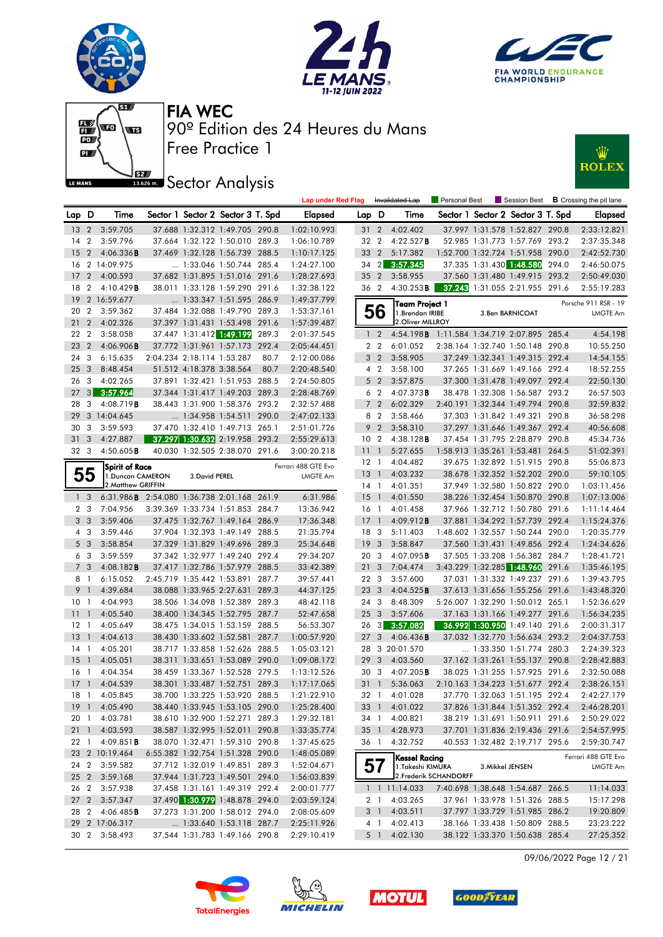











|                 |                |                                                    |                            |                                                                  |       | <b>Lap under Red Flag</b> |                       |                         | Invalidated Lap                            | Personal Best          |                  | Session Best                                                     | <b>B</b> Crossing the pit lane |
|-----------------|----------------|----------------------------------------------------|----------------------------|------------------------------------------------------------------|-------|---------------------------|-----------------------|-------------------------|--------------------------------------------|------------------------|------------------|------------------------------------------------------------------|--------------------------------|
| Lap D           |                | Time                                               |                            | Sector 1 Sector 2 Sector 3 T. Spd                                |       | <b>Elapsed</b>            | Lap D                 |                         | Time                                       |                        |                  | Sector 1 Sector 2 Sector 3 T. Spd                                | <b>Elapsed</b>                 |
| 13 2            |                | 3:59.705                                           |                            | 37.688 1:32.312 1:49.705 290.8                                   |       | 1:02:10.993               | 31 2                  |                         | 4:02.402                                   |                        |                  | 37.997 1:31.578 1:52.827 290.8                                   | 2:33:12.821                    |
| 14              | $\overline{2}$ | 3:59.796                                           |                            | 37.664 1:32.122 1:50.010 289.3                                   |       | 1:06:10.789               | 32 2                  |                         | 4:22.527B                                  |                        |                  | 52.985 1:31.773 1:57.769 293.2                                   | 2:37:35.348                    |
| 15              |                | 2 $4:06.336B$                                      |                            | 37.469 1:32.128 1:56.739 288.5                                   |       | 1:10:17.125               | 33 2                  |                         | 5:17.382                                   |                        |                  | 1:52.700 1:32.724 1:51.958 290.0                                 | 2:42:52.730                    |
| 16              |                | 2 14:09.975                                        |                            | 1:33.046 1:50.744 285.4                                          |       | 1:24:27.100               | $34 \quad 2$          |                         | 3:57.345                                   |                        |                  | 37.335 1:31.430 1:48.580 294.0                                   | 2:46:50.075                    |
| 17              | $\overline{2}$ | 4:00.593                                           |                            | 37.682 1:31.895 1:51.016 291.6                                   |       | 1:28:27.693               | 35 2                  |                         | 3:58.955                                   |                        |                  | 37.560 1:31.480 1:49.915 293.2                                   | 2:50:49.030                    |
| 18              | $\overline{2}$ | 4:10.429B                                          |                            | 38.011 1:33.128 1:59.290 291.6                                   |       | 1:32:38.122               | 36 2                  |                         | $4:30.253$ <b>B</b>                        |                        |                  | 37.243 1:31.055 2:21.955 291.6                                   | 2:55:19.283                    |
| 19              |                | 2 16:59.677                                        |                            | 1:33.347 1:51.595 286.9                                          |       | 1:49:37.799               |                       |                         | <b>Team Project 1</b>                      |                        |                  |                                                                  | Porsche 911 RSR - 19           |
| 20              | $\overline{2}$ | 3:59.362                                           |                            | 37.484 1:32.088 1:49.790 289.3                                   |       | 1:53:37.161               |                       | 56                      | 1.Brendan IRIBE                            |                        |                  | 3.Ben BARNICOAT                                                  | LMGTE Am                       |
| 21              | $\overline{2}$ | 4:02.326                                           |                            | 37.397 1:31.431 1:53.498 291.6                                   |       | 1:57:39.487               |                       |                         | 2. Oliver MILLROY                          |                        |                  |                                                                  |                                |
| 22              | $\overline{2}$ | 3:58.058                                           |                            | 37.447 1:31.412 1:49.199                                         | 289.3 | 2:01:37.545               |                       | $1\quad 2$              | 4:54.198B 1:11.584 1:34.719 2:07.895 285.4 |                        |                  |                                                                  | 4:54.198                       |
| 23              | $\overline{2}$ | $4:06.906$ B                                       |                            | 37.772 1:31.961 1:57.173                                         | 292.4 | 2:05:44.451               |                       | 2 <sub>2</sub>          | 6:01.052                                   |                        |                  | 2:38.164 1:32.740 1:50.148 290.8                                 | 10:55.250                      |
| 24              | -3             | 6:15.635                                           | 2:04.234 2:18.114 1:53.287 |                                                                  | 80.7  | 2:12:00.086               |                       | 3 <sub>2</sub>          | 3:58.905                                   |                        |                  | 37.249 1:32.341 1:49.315 292.4                                   | 14:54.155                      |
| 25              | 3              | 8:48.454                                           | 51.512 4:18.378 3:38.564   |                                                                  | 80.7  | 2:20:48.540               |                       | 4 <sup>2</sup>          | 3:58.100                                   |                        |                  | 37.265 1:31.669 1:49.166 292.4                                   | 18:52.255                      |
| 26              | 3              | 4:02.265                                           |                            | 37.891 1:32.421 1:51.953 288.5                                   |       | 2:24:50.805               |                       | 5 <sub>2</sub>          | 3:57.875                                   |                        |                  | 37.300 1:31.478 1:49.097 292.4                                   | 22:50.130                      |
| 27              | 3              | 3:57.964                                           |                            | 37.344 1:31.417 1:49.203 289.3                                   |       | 2:28:48.769               |                       | 6 <sub>2</sub>          | 4:07.373B                                  |                        |                  | 38.478 1:32.308 1:56.587 293.2                                   | 26:57.503                      |
| 28              | 3              | 4:08.719 <b>B</b>                                  |                            | 38.443 1:31.900 1:58.376 293.2                                   |       | 2:32:57.488               |                       | 7 <sub>2</sub>          | 6:02.329                                   |                        |                  | 2:40.191 1:32.344 1:49.794 290.8                                 | 32:59.832                      |
| 29              |                | 3 14:04.645                                        |                            | 1:34.958 1:54.511 290.0                                          |       | 2:47:02.133               |                       | 8 2                     | 3:58.466                                   |                        |                  | 37.303 1:31.842 1:49.321 290.8                                   | 36:58.298                      |
| 30              | 3              | 3:59.593                                           |                            | 37.470 1:32.410 1:49.713 265.1                                   |       | 2:51:01.726               | 9                     | $\overline{2}$          | 3:58.310                                   |                        |                  | 37.297 1:31.646 1:49.367 292.4                                   | 40:56.608                      |
| 31              | 3              | 4:27.887                                           |                            | 37.297 1:30.632 2:19.958 293.2                                   |       | 2:55:29.613               | 10 <sub>2</sub>       |                         | $4:38.128$ <b>B</b>                        |                        |                  | 37.454 1:31.795 2:28.879 290.8                                   | 45:34.736                      |
| 32 <sub>3</sub> |                | 4:50.605B                                          |                            | 40.030 1:32.505 2:38.070 291.6                                   |       | 3:00:20.218               | 11                    | $\overline{1}$          | 5:27.655                                   |                        |                  | 1:58.913 1:35.261 1:53.481 264.5                                 | 51:02.391                      |
|                 |                | <b>Spirit of Race</b>                              |                            |                                                                  |       | Ferrari 488 GTE Evo       | $12-1$                |                         | 4:04.482                                   |                        |                  | 39.675 1:32.892 1:51.915 290.8                                   | 55:06.873                      |
|                 | 55             | 1. Duncan CAMERON                                  | 3. David PEREL             |                                                                  |       | <b>LMGTE Am</b>           | $13-1$                |                         | 4:03.232                                   |                        |                  | 38.678 1:32.352 1:52.202 290.0                                   | 59:10.105                      |
|                 |                | 2. Matthew GRIFFIN                                 |                            |                                                                  |       |                           | 14 1                  |                         | 4:01.351                                   |                        |                  | 37.949 1:32.580 1:50.822 290.0                                   | 1:03:11.456                    |
|                 | 1 <sup>3</sup> | 6:31.986 <b>B</b> 2:54.080 1:36.738 2:01.168 261.9 |                            |                                                                  |       | 6:31.986                  | $15-1$                |                         | 4:01.550                                   |                        |                  | 38.226 1:32.454 1:50.870 290.8                                   | 1:07:13.006                    |
|                 | 2 <sub>3</sub> | 7:04.956                                           |                            | 3:39.369 1:33.734 1:51.853 284.7                                 |       | 13:36.942                 | 16 <sub>1</sub>       |                         | 4:01.458                                   |                        |                  | 37.966 1:32.712 1:50.780 291.6                                   | 1:11:14.464                    |
|                 | 3 <sub>3</sub> | 3:59.406                                           |                            | 37.475 1:32.767 1:49.164 286.9                                   |       | 17:36.348                 | $17-1$                |                         | 4:09.912B                                  |                        |                  | 37.881 1:34.292 1:57.739 292.4                                   | 1:15:24.376                    |
|                 | 4 3            | 3:59.446                                           |                            | 37.904 1:32.393 1:49.149 288.5                                   |       | 21:35.794                 | 18 3                  |                         | 5:11.403                                   |                        |                  | 1:48.602 1:32.557 1:50.244 290.0                                 | 1:20:35.779                    |
|                 | 5 <sub>3</sub> | 3:58.854                                           |                            | 37.329 1:31.829 1:49.696 289.3                                   |       | 25:34.648                 | 19                    | $\overline{\mathbf{3}}$ | 3:58.847                                   |                        |                  | 37.560 1:31.431 1:49.856 292.4                                   | 1:24:34.626                    |
|                 | 63             | 3:59.559                                           |                            | 37.342 1:32.977 1:49.240 292.4                                   |       | 29:34.207                 | 20 3                  |                         | 4:07.095B                                  |                        |                  | 37.505 1:33.208 1:56.382 284.7                                   | 1:28:41.721                    |
|                 | 7 <sub>3</sub> | $4:08.182$ <b>B</b>                                |                            | 37.417 1:32.786 1:57.979 288.5                                   |       | 33:42.389                 | 21 <sub>3</sub>       |                         | 7:04.474                                   |                        |                  | 3:43.229 1:32.285 1:48.960 291.6                                 | 1:35:46.195                    |
| 8 1             |                | 6:15.052                                           |                            | 2:45.719 1:35.442 1:53.891 287.7                                 |       | 39:57.441                 | 22 <sub>3</sub>       |                         | 3:57.600                                   |                        |                  | 37.031 1:31.332 1:49.237 291.6                                   | 1:39:43.795                    |
| 9 1             |                | 4:39.684                                           |                            | 38.088 1:33.965 2:27.631 289.3                                   |       | 44:37.125                 | 23 3                  |                         | 4:04.525B                                  |                        |                  | 37.613 1:31.656 1:55.256 291.6                                   | 1:43:48.320                    |
| 10 <sub>1</sub> |                | 4:04.993                                           |                            | 38.506 1:34.098 1:52.389 289.3                                   |       | 48:42.118                 | 243                   |                         | 8:48.309                                   |                        |                  | 5:26.007 1:32.290 1:50.012 265.1                                 | 1:52:36.629                    |
| 11<br>$12-1$    | $\overline{1}$ | 4:05.540<br>4:05.649                               |                            | 38.400 1:34.345 1:52.795 287.7<br>38.475 1:34.015 1:53.159 288.5 |       | 52:47.658<br>56:53.307    | 25 <sub>3</sub><br>26 | 3                       | 3:57.606                                   |                        |                  | 37.163 1:31.166 1:49.277 291.6<br>36.992 1:30.950 1:49.140 291.6 | 1:56:34.235                    |
| 13              | $\overline{1}$ | 4:04.613                                           |                            | 38.430 1:33.602 1:52.581 287.7                                   |       | 1:00:57.920               | 27                    | 3                       | 3:57.082<br>4:06.436B                      |                        |                  | 37.032 1:32.770 1:56.634 293.2                                   | 2:00:31.317<br>2:04:37.753     |
| 14              | -1             | 4:05.201                                           |                            | 38.717 1:33.858 1:52.626 288.5                                   |       | 1:05:03.121               |                       |                         | 28 3 20:01.570                             |                        |                  | 1:33.350 1:51.774 280.3                                          | 2:24:39.323                    |
| <b>15</b>       | $\overline{1}$ | 4:05.051                                           |                            | 38.311 1:33.651 1:53.089 290.0                                   |       | 1:09:08.172               | 29                    | 3                       | 4:03.560                                   |                        |                  | 37.162 1:31.261 1:55.137 290.8                                   | 2:28:42.883                    |
| 16              | $\overline{1}$ | 4:04.354                                           |                            | 38.459 1:33.367 1:52.528 279.5                                   |       | 1:13:12.526               | 30                    | 3                       | 4:07.205B                                  |                        |                  | 38.025 1:31.255 1:57.925 291.6                                   | 2:32:50.088                    |
|                 |                | 17 1 4:04.539                                      |                            | 38.301 1:33.487 1:52.751 289.3                                   |       | 1:17:17.065               | 31 1                  |                         | 5:36.063                                   |                        |                  | 2:10.163 1:34.223 1:51.677 292.4                                 | 2:38:26.151                    |
|                 |                | 18 1 4:05.845                                      |                            | 38.700 1:33.225 1:53.920 288.5                                   |       | 1:21:22.910               |                       |                         | 32 1 4:01.028                              |                        |                  | 37.770 1:32.063 1:51.195 292.4                                   | 2:42:27.179                    |
|                 |                | 19 1 4:05.490                                      |                            | 38.440 1:33.945 1:53.105 290.0                                   |       | 1:25:28.400               |                       |                         | 33 1 4:01.022                              |                        |                  | 37.826 1:31.844 1:51.352 292.4                                   | 2:46:28.201                    |
| 20 1            |                | 4:03.781                                           |                            | 38.610 1:32.900 1:52.271 289.3                                   |       | 1:29:32.181               |                       | 34 1                    | 4:00.821                                   |                        |                  | 38.219 1:31.691 1:50.911 291.6                                   | 2:50:29.022                    |
|                 |                | 21 1 4:03.593                                      |                            | 38.587 1:32.995 1:52.011 290.8                                   |       | 1:33:35.774               |                       | 35 1                    | 4:28.973                                   |                        |                  | 37.701 1:31.836 2:19.436 291.6                                   | 2:54:57.995                    |
| 22 1            |                | $4:09.851$ <b>B</b>                                |                            | 38.070 1:32.471 1:59.310 290.8                                   |       | 1:37:45.625               |                       | 36 1                    | 4:32.752                                   |                        |                  | 40.553 1:32.482 2:19.717 295.6                                   | 2:59:30.747                    |
|                 |                | 23 2 10:19.464                                     |                            | 6:55.382 1:32.754 1:51.328 290.0                                 |       | 1:48:05.089               |                       |                         |                                            |                        |                  |                                                                  |                                |
|                 |                | 24 2 3:59.582                                      |                            | 37.712 1:32.019 1:49.851 289.3                                   |       | 1:52:04.671               |                       | 57                      | <b>Kessel Racing</b><br>1.Takeshi KIMURA   |                        | 3. Mikkel JENSEN |                                                                  | Ferrari 488 GTE Evo            |
|                 |                | 25 2 3:59.168                                      |                            | 37.944 1:31.723 1:49.501 294.0                                   |       | 1:56:03.839               |                       |                         |                                            | 2. Frederik SCHANDORFF |                  |                                                                  | LMGTE Am                       |
| 26 2            |                | 3:57.938                                           |                            | 37.458 1:31.161 1:49.319 292.4                                   |       | 2:00:01.777               |                       |                         | $1 \quad 1 \quad 11:14.033$                |                        |                  | 7:40.698 1:38.648 1:54.687 266.5                                 | 11:14.033                      |
| 27 <sub>2</sub> |                | 3:57.347                                           |                            | 37.490 1:30.979 1:48.878 294.0                                   |       | 2:03:59.124               |                       | 2 1                     | 4:03.265                                   |                        |                  | 37.961 1:33.978 1:51.326 288.5                                   | 15:17.298                      |
|                 |                | 28 2 4:06.485 <b>B</b>                             |                            | 37.273 1:31.200 1:58.012 294.0                                   |       | 2:08:05.609               |                       |                         | 3 1 4:03.511                               |                        |                  | 37.797 1:33.729 1:51.985 286.2                                   | 19:20.809                      |
|                 |                | 29 2 17:06.317                                     |                            | 1:33.640 1:53.118 287.7                                          |       | 2:25:11.926               |                       | 4 1                     | 4:02.413                                   |                        |                  | 38.166 1:33.438 1:50.809 288.5                                   | 23:23.222                      |
|                 |                | 30 2 3:58.493                                      |                            | 37.544 1:31.783 1:49.166 290.8                                   |       | 2:29:10.419               |                       |                         | 5 1 4:02.130                               |                        |                  | 38.122 1:33.370 1:50.638 285.4                                   | 27:25.352                      |
|                 |                |                                                    |                            |                                                                  |       |                           |                       |                         |                                            |                        |                  |                                                                  |                                |

09/06/2022 Page 12 / 21







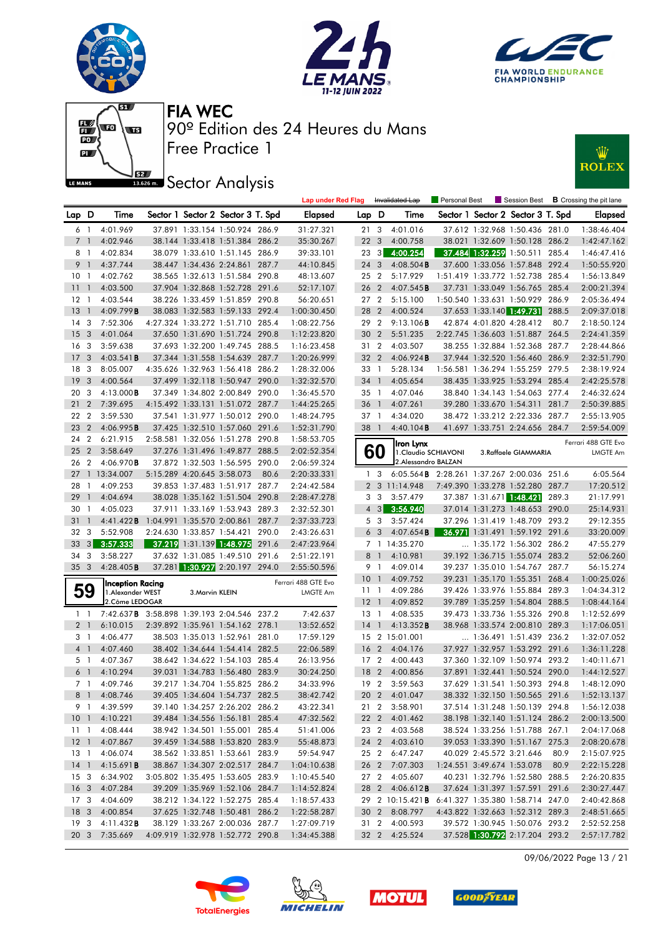











|                 |                |                                            |                            |                                   |       | <b>Lap under Red Flag</b> |                 |                   | Invalidated Lap                                    | Personal Best |                            | Session Best                      |       | <b>B</b> Crossing the pit lane |
|-----------------|----------------|--------------------------------------------|----------------------------|-----------------------------------|-------|---------------------------|-----------------|-------------------|----------------------------------------------------|---------------|----------------------------|-----------------------------------|-------|--------------------------------|
| Lap D           |                | Time                                       |                            | Sector 1 Sector 2 Sector 3 T. Spd |       | <b>Elapsed</b>            | Lap D           |                   | Time                                               |               |                            | Sector 1 Sector 2 Sector 3 T. Spd |       | <b>Elapsed</b>                 |
|                 | 61             | 4:01.969                                   |                            | 37.891 1:33.154 1:50.924 286.9    |       | 31:27.321                 | 21 3            |                   | 4:01.016                                           |               |                            | 37.612 1:32.968 1:50.436 281.0    |       | 1:38:46.404                    |
|                 | 7 1            | 4:02.946                                   |                            | 38.144 1:33.418 1:51.384 286.2    |       | 35:30.267                 | 22 <sub>3</sub> |                   | 4:00.758                                           |               |                            | 38.021 1:32.609 1:50.128 286.2    |       | 1:42:47.162                    |
| 8               | $\overline{1}$ | 4:02.834                                   |                            | 38.079 1:33.610 1:51.145 286.9    |       | 39:33.101                 | 23              | $\lceil 3 \rceil$ | 4:00.254                                           |               |                            | 37.484 1:32.259 1:50.511 285.4    |       | 1:46:47.416                    |
| 9 1             |                | 4:37.744                                   |                            | 38.447 1:34.436 2:24.861 287.7    |       | 44:10.845                 | 24 3            |                   | $4:08.504$ <b>B</b>                                |               |                            | 37.600 1:33.056 1:57.848 292.4    |       | 1:50:55.920                    |
| 10 <sub>1</sub> |                | 4:02.762                                   |                            | 38.565 1:32.613 1:51.584 290.8    |       | 48:13.607                 | 25 2            |                   | 5:17.929                                           |               |                            | 1:51.419 1:33.772 1:52.738 285.4  |       | 1:56:13.849                    |
| 11              | $\overline{1}$ | 4:03.500                                   |                            | 37.904 1:32.868 1:52.728 291.6    |       | 52:17.107                 | 26 <sub>2</sub> |                   | 4:07.545B                                          |               |                            | 37.731 1:33.049 1:56.765 285.4    |       | 2:00:21.394                    |
| $12 \,$         | $\overline{1}$ | 4:03.544                                   |                            | 38.226 1:33.459 1:51.859 290.8    |       | 56:20.651                 | 27 <sub>2</sub> |                   | 5:15.100                                           |               |                            | 1:50.540 1:33.631 1:50.929        | 286.9 | 2:05:36.494                    |
| 13              | $\overline{1}$ | 4:09.799B                                  |                            | 38.083 1:32.583 1:59.133 292.4    |       | 1:00:30.450               | 28 2            |                   | 4:00.524                                           |               |                            | 37.653 1:33.140 1:49.731          | 288.5 | 2:09:37.018                    |
| 14              | -3             | 7:52.306                                   |                            | 4:27.324 1:33.272 1:51.710 285.4  |       | 1:08:22.756               | 29 2            |                   | 9:13.106B                                          |               | 42.874 4:01.820 4:28.412   |                                   | 80.7  | 2:18:50.124                    |
| 15              | 3              | 4:01.064                                   |                            | 37.650 1:31.690 1:51.724 290.8    |       | 1:12:23.820               | 30 2            |                   | 5:51.235                                           |               |                            | 2:22.745 1:36.603 1:51.887 264.5  |       | 2:24:41.359                    |
| 16              | -3             | 3:59.638                                   |                            | 37.693 1:32.200 1:49.745 288.5    |       | 1:16:23.458               | 31 2            |                   | 4:03.507                                           |               |                            | 38.255 1:32.884 1:52.368 287.7    |       | 2:28:44.866                    |
| 17              | -3             | $4:03.541$ B                               |                            | 37.344 1:31.558 1:54.639 287.7    |       | 1:20:26.999               | 32 2            |                   | 4:06.924B                                          |               |                            | 37.944 1:32.520 1:56.460 286.9    |       | 2:32:51.790                    |
| 18              | -3             | 8:05.007                                   |                            | 4:35.626 1:32.963 1:56.418 286.2  |       | 1:28:32.006               | 33 1            |                   | 5:28.134                                           |               |                            | 1:56.581 1:36.294 1:55.259 279.5  |       | 2:38:19.924                    |
| 19              | 3              | 4:00.564                                   |                            | 37.499 1:32.118 1:50.947 290.0    |       | 1:32:32.570               | 34 1            |                   | 4:05.654                                           |               |                            | 38.435 1:33.925 1:53.294 285.4    |       | 2:42:25.578                    |
| 20              | -3             | $4:13.000$ <b>B</b>                        |                            | 37.349 1:34.802 2:00.849 290.0    |       | 1:36:45.570               | 35 1            |                   | 4:07.046                                           |               |                            | 38.840 1:34.143 1:54.063 277.4    |       | 2:46:32.624                    |
| 21              | $\overline{2}$ | 7:39.695                                   |                            | 4:15.492 1:33.131 1:51.072 287.7  |       | 1:44:25.265               | 36              | $\mathbf{1}$      | 4:07.261                                           |               |                            | 39.280 1:33.670 1:54.311          | 281.7 | 2:50:39.885                    |
| 22 2            |                | 3:59.530                                   |                            | 37.541 1:31.977 1:50.012 290.0    |       | 1:48:24.795               | 37 1            |                   | 4:34.020                                           |               |                            | 38.472 1:33.212 2:22.336 287.7    |       | 2:55:13.905                    |
| 23              | $\overline{2}$ | 4:06.995B                                  |                            | 37.425 1:32.510 1:57.060 291.6    |       | 1:52:31.790               | 38              | $\overline{1}$    | 4:40.104B                                          |               |                            | 41.697 1:33.751 2:24.656 284.7    |       | 2:59:54.009                    |
| 24              | $\overline{2}$ | 6:21.915                                   |                            | 2:58.581 1:32.056 1:51.278 290.8  |       | 1:58:53.705               |                 |                   | Iron Lynx                                          |               |                            |                                   |       | Ferrari 488 GTE Evo            |
| 25              | $\overline{2}$ | 3:58.649                                   |                            | 37.276 1:31.496 1:49.877 288.5    |       | 2:02:52.354               |                 | 60                | 1. Claudio SCHIAVONI                               |               |                            | 3.Raffaele GIAMMARIA              |       | <b>LMGTE Am</b>                |
| 26 2            |                | 4:06.970B                                  |                            | 37.872 1:32.503 1:56.595 290.0    |       | 2:06:59.324               |                 |                   | 2.Alessandro BALZAN                                |               |                            |                                   |       |                                |
| 27              |                | 1 13:34.007                                | 5:15.289 4:20.645 3:58.073 |                                   | 80.6  | 2:20:33.331               |                 | 1 <sup>3</sup>    | 6:05.564 <b>B</b> 2:28.261 1:37.267 2:00.036 251.6 |               |                            |                                   |       | 6:05.564                       |
| 28              | $\overline{1}$ | 4:09.253                                   |                            | 39.853 1:37.483 1:51.917 287.7    |       | 2:24:42.584               |                 |                   | 2 3 11:14.948                                      |               |                            | 7:49.390 1:33.278 1:52.280 287.7  |       | 17:20.512                      |
| 29              | $\overline{1}$ | 4:04.694                                   |                            | 38.028 1:35.162 1:51.504 290.8    |       | 2:28:47.278               |                 | 3 <sub>3</sub>    | 3:57.479                                           |               |                            | 37.387 1:31.671 1:48.421 289.3    |       | 21:17.991                      |
| 30              | $\overline{1}$ | 4:05.023                                   |                            | 37.911 1:33.169 1:53.943 289.3    |       | 2:32:52.301               |                 | $4 \quad 3$       | 3:56.940                                           |               |                            | 37.014 1:31.273 1:48.653 290.0    |       | 25:14.931                      |
| 31              | $\overline{1}$ | 4:41.422B                                  |                            | 1:04.991 1:35.570 2:00.861        | 287.7 | 2:37:33.723               |                 | 5 <sub>3</sub>    | 3:57.424                                           |               |                            | 37.296 1:31.419 1:48.709 293.2    |       | 29:12.355                      |
| 32              | 3              | 5:52.908                                   | 2:24.630 1:33.857 1:54.421 |                                   | 290.0 | 2:43:26.631               |                 | 6 <sub>3</sub>    | $4:07.654$ <b>B</b>                                |               |                            | 36.971 1:31.491 1:59.192 291.6    |       | 33:20.009                      |
| 33              | 3              | 3:57.333                                   |                            | 37.219 1:31.139 1:48.975          | 291.6 | 2:47:23.964               |                 |                   | 7 1 14:35.270                                      |               |                            | 1:35.172 1:56.302 286.2           |       | 47:55.279                      |
| 34              | 3              | 3:58.227                                   |                            | 37.632 1:31.085 1:49.510 291.6    |       | 2:51:22.191               | 8               | $\overline{1}$    | 4:10.981                                           |               |                            | 39.192 1:36.715 1:55.074 283.2    |       | 52:06.260                      |
| 35 <sub>3</sub> |                | 4:28.405B                                  |                            | 37.281 1:30.927 2:20.197 294.0    |       | 2:55:50.596               | 9               | $\overline{1}$    | 4:09.014                                           |               |                            | 39.237 1:35.010 1:54.767 287.7    |       | 56:15.274                      |
|                 |                | <b>Inception Racing</b>                    |                            |                                   |       | Ferrari 488 GTE Evo       | 10              | $\overline{1}$    | 4:09.752                                           |               |                            | 39.231 1:35.170 1:55.351 268.4    |       | 1:00:25.026                    |
| 59              |                | 1.Alexander WEST                           | 3. Marvin KLEIN            |                                   |       | LMGTE Am                  | $11-1$          |                   | 4:09.286                                           |               |                            | 39.426 1:33.976 1:55.884 289.3    |       | 1:04:34.312                    |
|                 |                | 2. Côme LEDOGAR                            |                            |                                   |       |                           | $12-1$          |                   | 4:09.852                                           |               |                            | 39.789 1:35.259 1:54.804 288.5    |       | 1:08:44.164                    |
| $1\quad$        |                | 7:42.637B 3:58.898 1:39.193 2:04.546 237.2 |                            |                                   |       | 7:42.637                  | $13-1$          |                   | 4:08.535                                           |               |                            | 39.473 1:33.736 1:55.326 290.8    |       | 1:12:52.699                    |
| 2 <sub>1</sub>  |                | 6:10.015                                   |                            | 2:39.892 1:35.961 1:54.162 278.1  |       | 13:52.652                 | 14              | $\mathbf{1}$      | 4:13.352B                                          |               |                            | 38.968 1:33.574 2:00.810 289.3    |       | 1:17:06.051                    |
| 3 1             |                | 4:06.477                                   |                            | 38.503 1:35.013 1:52.961 281.0    |       | 17:59.129                 |                 |                   | 15 2 15:01.001                                     |               |                            | $\ldots$ 1:36.491 1:51.439 236.2  |       | 1:32:07.052                    |
| 4 <sup>1</sup>  |                | 4:07.460                                   |                            | 38.402 1:34.644 1:54.414 282.5    |       | 22:06.589                 | 16 2            |                   | 4:04.176                                           |               |                            | 37.927 1:32.957 1:53.292 291.6    |       | 1:36:11.228                    |
|                 | 5 1            | 4:07.367                                   |                            | 38.642 1:34.622 1:54.103 285.4    |       | 26:13.956                 | 17 <sub>2</sub> |                   | 4:00.443                                           |               |                            | 37.360 1:32.109 1:50.974 293.2    |       | 1:40:11.671                    |
| 6               | $\overline{1}$ | 4:10.294                                   |                            | 39.031 1:34.783 1:56.480 283.9    |       | 30:24.250                 | 18 2            |                   | 4:00.856                                           |               |                            | 37.891 1:32.441 1:50.524 290.0    |       | 1:44:12.527                    |
|                 | 7 1            | 4:09.746                                   |                            | 39.217 1:34.704 1:55.825 286.2    |       | 34:33.996                 | 19 <sub>2</sub> |                   | 3:59.563                                           |               |                            | 37.629 1:31.541 1:50.393 294.8    |       | 1:48:12.090                    |
|                 |                | 8 1 4:08.746                               |                            | 39.405 1:34.604 1:54.737 282.5    |       | 38:42.742                 |                 |                   | 20 2 4:01.047                                      |               |                            | 38.332 1:32.150 1:50.565 291.6    |       | 1:52:13.137                    |
|                 |                | 9 1 4:39.599                               |                            | 39.140 1:34.257 2:26.202 286.2    |       | 43:22.341                 |                 |                   | 21 2 3:58.901                                      |               |                            | 37.514 1:31.248 1:50.139 294.8    |       | 1:56:12.038                    |
|                 |                | 10 1 4:10.221                              |                            | 39.484 1:34.556 1:56.181 285.4    |       | 47:32.562                 |                 |                   | 22 2 4:01.462                                      |               |                            | 38.198 1:32.140 1:51.124 286.2    |       | 2:00:13.500                    |
|                 |                | 11 1 4:08.444                              |                            | 38.942 1:34.501 1:55.001 285.4    |       | 51:41.006                 |                 |                   | 23 2 4:03.568                                      |               |                            | 38.524 1:33.256 1:51.788 267.1    |       | 2:04:17.068                    |
|                 |                | 12 1 4:07.867                              |                            | 39.459 1:34.588 1:53.820 283.9    |       | 55:48.873                 |                 |                   | 24 2 4:03.610                                      |               |                            | 39.053 1:33.390 1:51.167 275.3    |       | 2:08:20.678                    |
|                 |                | 13 1 4:06.074                              |                            | 38.562 1:33.851 1:53.661 283.9    |       | 59:54.947                 |                 | 25 2              | 6:47.247                                           |               | 40.029 2:45.572 3:21.646   |                                   | 80.9  | 2:15:07.925                    |
| $14-1$          |                | 4:15.691B                                  |                            | 38.867 1:34.307 2:02.517 284.7    |       | 1:04:10.638               |                 |                   | 26 2 7:07.303                                      |               | 1:24.551 3:49.674 1:53.078 |                                   | 80.9  | 2:22:15.228                    |
|                 |                | 15 3 6:34.902                              |                            | 3:05.802 1:35.495 1:53.605 283.9  |       | 1:10:45.540               |                 |                   | 27 2 4:05.607                                      |               |                            | 40.231 1:32.796 1:52.580 288.5    |       | 2:26:20.835                    |
|                 |                | 16 3 4:07.284                              |                            | 39.209 1:35.969 1:52.106 284.7    |       | 1:14:52.824               |                 |                   | 28 2 4:06.612 <b>B</b>                             |               |                            | 37.624 1:31.397 1:57.591 291.6    |       | 2:30:27.447                    |
| 17 <sub>3</sub> |                | 4:04.609                                   |                            | 38.212 1:34.122 1:52.275 285.4    |       | 1:18:57.433               |                 |                   | 29 2 10:15.421 <b>B</b>                            |               |                            | 6:41.327 1:35.380 1:58.714 247.0  |       | 2:40:42.868                    |
| 18 <sup>3</sup> |                | 4:00.854                                   |                            | 37.625 1:32.748 1:50.481 286.2    |       | 1:22:58.287               |                 |                   | 30 2 8:08.797                                      |               |                            | 4:43.822 1:32.663 1:52.312 289.3  |       | 2:48:51.665                    |
| 19 <sup>3</sup> |                | 4:11.432B                                  |                            | 38.129 1:33.267 2:00.036 287.7    |       | 1:27:09.719               |                 |                   | 31 2 4:00.593                                      |               |                            | 39.572 1:30.945 1:50.076 293.2    |       | 2:52:52.258                    |
| 20 3            |                | 7:35.669                                   |                            | 4:09.919 1:32.978 1:52.772 290.8  |       | 1:34:45.388               |                 |                   | 32 2 4:25.524                                      |               |                            | 37.528 1:30.792 2:17.204 293.2    |       | 2:57:17.782                    |

09/06/2022 Page 13 / 21







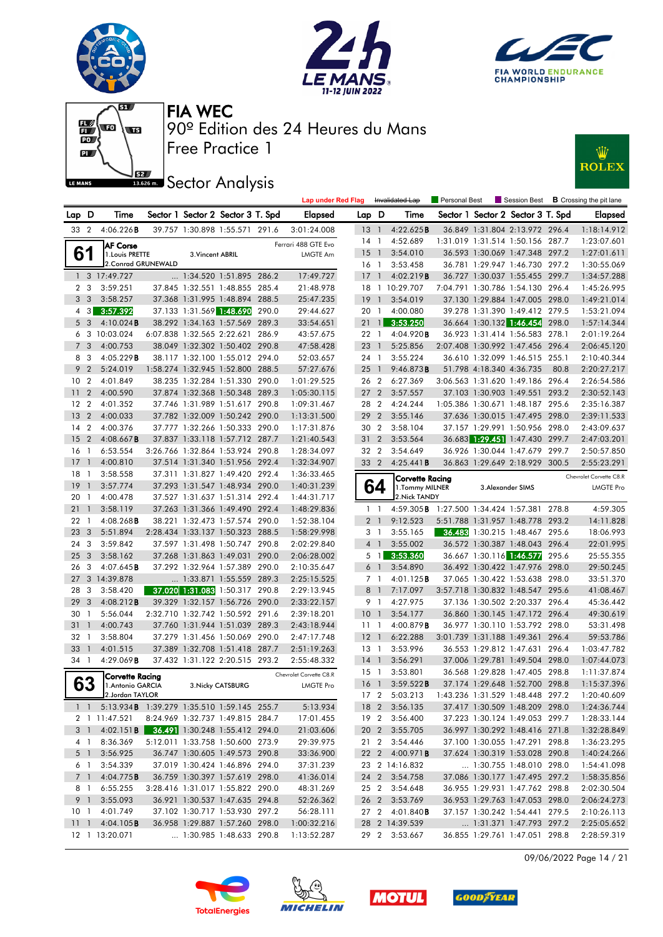







# **JEZ Sector Analysis**



|                 |                 |                                                 |                                                           |                   |       | <b>Lap under Red Flag</b>  |                 |                       | Invalidated Lap        | Personal Best              | Session Best                                                       |       | <b>B</b> Crossing the pit lane |
|-----------------|-----------------|-------------------------------------------------|-----------------------------------------------------------|-------------------|-------|----------------------------|-----------------|-----------------------|------------------------|----------------------------|--------------------------------------------------------------------|-------|--------------------------------|
| Lap D           |                 | Time                                            | Sector 1 Sector 2 Sector 3 T. Spd                         |                   |       | <b>Elapsed</b>             | Lap D           |                       | Time                   |                            | Sector 1 Sector 2 Sector 3 T. Spd                                  |       | Elapsed                        |
| 33 2            |                 | 4:06.226B                                       | 39.757 1:30.898 1:55.571 291.6                            |                   |       | 3:01:24.008                | 13 1            |                       | 4:22.625B              |                            | 36.849 1:31.804 2:13.972 296.4                                     |       | 1:18:14.912                    |
|                 |                 | <b>AF Corse</b>                                 |                                                           |                   |       | Ferrari 488 GTE Evo        | 14              | $\overline{1}$        | 4:52.689               |                            | 1:31.019 1:31.514 1:50.156 287.7                                   |       | 1:23:07.601                    |
|                 | 61              | 1. Louis PRETTE                                 | 3. Vincent ABRIL                                          |                   |       | <b>LMGTE Am</b>            | 15              | $\overline{1}$        | 3:54.010               |                            | 36.593 1:30.069 1:47.348 297.2                                     |       | 1:27:01.611                    |
|                 |                 | 2. Conrad GRUNEWALD                             |                                                           |                   |       |                            | 16 1            |                       | 3:53.458               |                            | 36.781 1:29.947 1:46.730 297.2                                     |       | 1:30:55.069                    |
|                 |                 | 1 3 17:49.727                                   | 1:34.520 1:51.895 286.2                                   |                   |       | 17:49.727                  | 17              | $\overline{1}$        | 4:02.219B              |                            | 36.727 1:30.037 1:55.455 299.7                                     |       | 1:34:57.288                    |
|                 | 2 <sub>3</sub>  | 3:59.251                                        | 37.845 1:32.551 1:48.855 285.4                            |                   |       | 21:48.978                  | 18              |                       | 1 10:29.707            |                            | 7:04.791 1:30.786 1:54.130 296.4                                   |       | 1:45:26.995                    |
|                 | 3 <sub>3</sub>  | 3:58.257                                        | 37.368 1:31.995 1:48.894 288.5                            |                   |       | 25:47.235                  | 19              | $\overline{1}$        | 3:54.019               |                            | 37.130 1:29.884 1:47.005 298.0                                     |       | 1:49:21.014                    |
| 4               | $3 \mid$        | 3:57.392                                        | 37.133 1:31.569 1:48.690                                  |                   | 290.0 | 29:44.627                  | 20 1            |                       | 4:00.080               |                            | 39.278 1:31.390 1:49.412 279.5                                     |       | 1:53:21.094                    |
| 5               | $\mathbf{3}$    | 4:10.024B                                       | 38.292 1:34.163 1:57.569                                  |                   | 289.3 | 33:54.651                  | $21 \quad 1$    |                       | 3:53.250               |                            | 36.664 1:30.132 1:46.454 298.0                                     |       | 1:57:14.344                    |
| 6               |                 | 3 10:03.024                                     | 6:07.838 1:32.565 2:22.621                                |                   | 286.9 | 43:57.675                  | 22 1            |                       | 4:04.920 <b>B</b>      |                            | 36.923 1:31.414 1:56.583 278.1                                     |       | 2:01:19.264                    |
|                 | 7 <sub>3</sub>  | 4:00.753                                        | 38.049 1:32.302 1:50.402 290.8                            |                   |       | 47:58.428                  | 23              | $\overline{1}$        | 5:25.856               |                            | 2:07.408 1:30.992 1:47.456 296.4                                   |       | 2:06:45.120                    |
|                 | 8 3             | 4:05.229B                                       | 38.117 1:32.100 1:55.012 294.0                            |                   |       | 52:03.657                  | 24 1            |                       | 3:55.224               |                            | 36.610 1:32.099 1:46.515 255.1                                     |       | 2:10:40.344                    |
| 9               | $\overline{2}$  | 5:24.019                                        | 1:58.274 1:32.945 1:52.800 288.5                          |                   |       | 57:27.676                  | $25 \quad 1$    |                       | 9:46.873B              |                            | 51.798 4:18.340 4:36.735                                           | 80.8  | 2:20:27.217                    |
| 10 <sub>2</sub> |                 | 4:01.849                                        | 38.235 1:32.284 1:51.330 290.0                            |                   |       | 1:01:29.525                |                 | 26 2                  | 6:27.369               |                            | 3:06.563 1:31.620 1:49.186 296.4                                   |       | 2:26:54.586                    |
| 11              | $\overline{2}$  | 4:00.590                                        | 37.874 1:32.368 1:50.348 289.3                            |                   |       | 1:05:30.115                | 27 <sub>2</sub> |                       | 3:57.557               |                            | 37.103 1:30.903 1:49.551 293.2                                     |       | 2:30:52.143                    |
| 12              | $\overline{2}$  | 4:01.352                                        | 37.746 1:31.989 1:51.617 290.8                            |                   |       | 1:09:31.467                | 28 2            |                       | 4:24.244               |                            | 1:05.386 1:30.671 1:48.187 295.6                                   |       | 2:35:16.387                    |
| 13              | $\overline{2}$  | 4:00.033                                        | 37.782 1:32.009 1:50.242 290.0                            |                   |       | 1:13:31.500                | 29              | $\overline{2}$        | 3:55.146               |                            | 37.636 1:30.015 1:47.495 298.0                                     |       | 2:39:11.533                    |
| 14 <sub>2</sub> |                 | 4:00.376                                        | 37.777 1:32.266 1:50.333 290.0                            |                   |       | 1:17:31.876                | 30 2            |                       | 3:58.104               |                            | 37.157 1:29.991 1:50.956 298.0                                     |       | 2:43:09.637                    |
| 15              | $\overline{2}$  | 4:08.667B                                       | 37.837 1:33.118 1:57.712 287.7                            |                   |       | 1:21:40.543                | 31 <sub>2</sub> |                       | 3:53.564               |                            | 36.683 1:29.451 1:47.430 299.7                                     |       | 2:47:03.201                    |
| 16              | $\overline{1}$  | 6:53.554                                        | 3:26.766 1:32.864 1:53.924 290.8                          |                   |       | 1:28:34.097                | 32 2            |                       | 3:54.649               |                            | 36.926 1:30.044 1:47.679 299.7                                     |       | 2:50:57.850                    |
| 17              | $\overline{1}$  | 4:00.810                                        | 37.514 1:31.340 1:51.956 292.4                            |                   |       | 1:32:34.907                | 33 2            |                       | 4:25.441B              |                            | 36.863 1:29.649 2:18.929 300.5                                     |       | 2:55:23.291                    |
| 18              | $\overline{1}$  | 3:58.558                                        | 37.311 1:31.827 1:49.420 292.4                            |                   |       | 1:36:33.465                |                 |                       | Corvette Racing        |                            |                                                                    |       | Chevrolet Corvette C8.R        |
| 19              | $\overline{1}$  | 3:57.774                                        | 37.293 1:31.547 1:48.934 290.0                            |                   |       | 1:40:31.239                |                 | 64                    | 1. Tommy MILNER        |                            | 3. Alexander SIMS                                                  |       | <b>LMGTE Pro</b>               |
| 20              | $\overline{1}$  | 4:00.478                                        | 37.527 1:31.637 1:51.314 292.4                            |                   |       | 1:44:31.717                |                 |                       | 2. Nick TANDY          |                            |                                                                    |       |                                |
| 21              | $\mathbf{1}$    | 3:58.119                                        | 37.263 1:31.366 1:49.490 292.4                            |                   |       | 1:48:29.836                |                 | 1 <sup>1</sup>        | 4:59.305B              | 1:27.500 1:34.424 1:57.381 |                                                                    | 278.8 | 4:59.305                       |
| 22              | $\overline{1}$  | $4:08.268$ B                                    | 38.221 1:32.473 1:57.574 290.0                            |                   |       | 1:52:38.104                | $\overline{2}$  | $\overline{1}$        | 9:12.523               |                            | 5:51.788 1:31.957 1:48.778 293.2                                   |       | 14:11.828                      |
| 23              | 3               | 5:51.894                                        | 2:28.434 1:33.137 1:50.323 288.5                          |                   |       | 1:58:29.998                |                 | 3 1                   | 3:55.165               |                            | 36.483 1:30.215 1:48.467 295.6                                     |       | 18:06.993                      |
| 24              | 3               | 3:59.842                                        | 37.597 1:31.498 1:50.747 290.8                            |                   |       | 2:02:29.840                |                 | 4 <sup>1</sup>        | 3:55.002               |                            | 36.572 1:30.387 1:48.043 296.4                                     |       | 22:01.995                      |
| 25              | 3               | 3:58.162                                        | 37.268 1:31.863 1:49.031                                  |                   | 290.0 | 2:06:28.002                |                 | 5 1                   | 3:53.360               |                            | 36.667 1:30.116 1:46.577                                           | 295.6 | 25:55.355                      |
| 26              | -3              | $4:07.645$ <b>B</b>                             | 37.292 1:32.964 1:57.389 290.0                            |                   |       | 2:10:35.647                |                 | 6 1                   | 3:54.890               |                            | 36.492 1:30.422 1:47.976 298.0                                     |       | 29:50.245                      |
| 27<br>28        | 3               | 3 14:39.878<br>3:58.420                         | 1:33.871 1:55.559 289.3<br>37.020 1:31.083 1:50.317 290.8 |                   |       | 2:25:15.525<br>2:29:13.945 | 8               | 7 1<br>$\overline{1}$ | 4:01.125B<br>7:17.097  |                            | 37.065 1:30.422 1:53.638 298.0<br>3:57.718 1:30.832 1:48.547 295.6 |       | 33:51.370<br>41:08.467         |
| 29              | 3               | 4:08.212B                                       | 39.329 1:32.157 1:56.726 290.0                            |                   |       | 2:33:22.157                |                 | 9 1                   | 4:27.975               |                            | 37.136 1:30.502 2:20.337 296.4                                     |       | 45:36.442                      |
| 30              | $\overline{1}$  | 5:56.044                                        | 2:32.710 1:32.742 1:50.592 291.6                          |                   |       | 2:39:18.201                | 10              | $\overline{1}$        | 3:54.177               |                            | 36.860 1:30.145 1:47.172 296.4                                     |       | 49:30.619                      |
| 31              | $\mathbf{1}$    | 4:00.743                                        | 37.760 1:31.944 1:51.039 289.3                            |                   |       | 2:43:18.944                | 11              | -1                    | 4:00.879B              |                            | 36.977 1:30.110 1:53.792 298.0                                     |       | 53:31.498                      |
| 32              | $\overline{1}$  | 3:58.804                                        | 37.279 1:31.456 1:50.069 290.0                            |                   |       | 2:47:17.748                | $12-1$          |                       | 6:22.288               |                            | 3:01.739 1:31.188 1:49.361 296.4                                   |       | 59:53.786                      |
| 33              | $\mathbf{1}$    | 4:01.515                                        | 37.389 1:32.708 1:51.418 287.7                            |                   |       | 2:51:19.263                | 13              | $\overline{1}$        | 3:53.996               |                            | 36.553 1:29.812 1:47.631                                           | 296.4 | 1:03:47.782                    |
| 34 1            |                 | 4:29.069B                                       | 37.432 1:31.122 2:20.515 293.2                            |                   |       | 2:55:48.332                | 14 1            |                       | 3:56.291               |                            | 37.006 1:29.781 1:49.504 298.0                                     |       | 1:07:44.073                    |
|                 |                 |                                                 |                                                           |                   |       | Chevrolet Corvette C8.R    | $15-1$          |                       | 3:53.801               |                            | 36.568 1:29.828 1:47.405 298.8                                     |       | 1:11:37.874                    |
|                 | 63              | Corvette Racing<br>1. Antonio GARCIA            |                                                           | 3. Nicky CATSBURG |       | <b>LMGTE Pro</b>           | 16 <sub>1</sub> |                       | 3:59.522B              |                            | 37.174 1:29.648 1:52.700 298.8                                     |       | 1:15:37.396                    |
|                 |                 | 2.Jordan TAYLOR                                 |                                                           |                   |       |                            |                 | 17 <sub>2</sub>       | 5:03.213               |                            | 1:43.236 1:31.529 1:48.448 297.2                                   |       | 1:20:40.609                    |
|                 |                 | 1 1 5:13.934 B 1:39.279 1:35.510 1:59.145 255.7 |                                                           |                   |       | 5:13.934                   |                 |                       | 18 2 3:56.135          |                            | 37.417 1:30.509 1:48.209 298.0                                     |       | 1:24:36.744                    |
|                 |                 | 2 1 11:47.521                                   | 8:24.969 1:32.737 1:49.815 284.7                          |                   |       | 17:01.455                  |                 |                       | 19 2 3:56.400          |                            | 37.223 1:30.124 1:49.053 299.7                                     |       | 1:28:33.144                    |
|                 | 3 1             | 4:02.151 B                                      | 36.491 1:30.248 1:55.412 294.0                            |                   |       | 21:03.606                  |                 |                       | 20 2 3:55.705          |                            | 36.997 1:30.292 1:48.416 271.8                                     |       | 1:32:28.849                    |
|                 | 4 1             | 8:36.369                                        | 5:12.011 1:33.758 1:50.600 273.9                          |                   |       | 29:39.975                  |                 |                       | 21 2 3:54.446          |                            | 37.100 1:30.055 1:47.291 298.8                                     |       | 1:36:23.295                    |
|                 | 5 1             | 3:56.925                                        | 36.747 1:30.605 1:49.573 290.8                            |                   |       | 33:36.900                  |                 |                       | 22 2 4:00.971B         |                            | 37.624 1:30.319 1:53.028 290.8                                     |       | 1:40:24.266                    |
|                 | 6 1             | 3:54.339                                        | 37.019 1:30.424 1:46.896 294.0                            |                   |       | 37:31.239                  |                 |                       | 23 2 14:16.832         |                            | 1:30.755 1:48.010 298.0                                            |       | 1:54:41.098                    |
|                 | 7 <sup>1</sup>  | 4:04.775B                                       | 36.759 1:30.397 1:57.619 298.0                            |                   |       | 41:36.014                  |                 |                       | 24 2 3:54.758          |                            | 37.086 1:30.177 1:47.495 297.2                                     |       | 1:58:35.856                    |
|                 | 81              | 6:55.255                                        | 3:28.416 1:31.017 1:55.822 290.0                          |                   |       | 48:31.269                  |                 |                       | 25 2 3:54.648          |                            | 36.955 1:29.931 1:47.762 298.8                                     |       | 2:02:30.504                    |
|                 | 9 1             | 3:55.093                                        | 36.921 1:30.537 1:47.635 294.8                            |                   |       | 52:26.362                  |                 |                       | 26 2 3:53.769          |                            | 36.953 1:29.763 1:47.053 298.0                                     |       | 2:06:24.273                    |
|                 | 10 <sub>1</sub> | 4:01.749                                        | 37.102 1:30.717 1:53.930 297.2                            |                   |       | 56:28.111                  |                 |                       | 27 2 4:01.840 <b>B</b> |                            | 37.157 1:30.242 1:54.441 279.5                                     |       | 2:10:26.113                    |
|                 |                 | 11 1 4:04.105 <b>B</b>                          | 36.958 1:29.887 1:57.260 298.0                            |                   |       | 1:00:32.216                |                 |                       | 28 2 14:39.539         |                            | 1:31.371 1:47.793 297.2                                            |       | 2:25:05.652                    |
|                 |                 | 12 1 13:20.071                                  | 1:30.985 1:48.633 290.8                                   |                   |       | 1:13:52.287                |                 |                       | 29 2 3:53.667          |                            | 36.855 1:29.761 1:47.051 298.8                                     |       | 2:28:59.319                    |

09/06/2022 Page 14 / 21







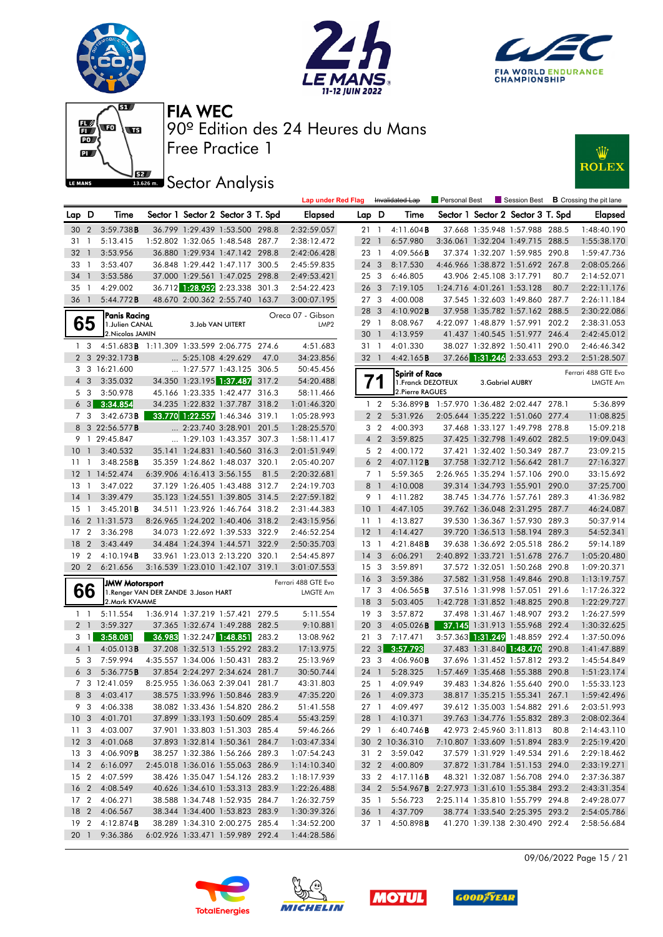







### **ISBE Sector Analysis**



|                            |                |                                                         |                            |                                   |      | <b>Lap under Red Flag</b> |                                    |                | Invalidated Lap                             | <b>Personal Best</b> |                            | Session Best                                                       |       | <b>B</b> Crossing the pit lane |
|----------------------------|----------------|---------------------------------------------------------|----------------------------|-----------------------------------|------|---------------------------|------------------------------------|----------------|---------------------------------------------|----------------------|----------------------------|--------------------------------------------------------------------|-------|--------------------------------|
| Lap D                      |                | Time                                                    |                            | Sector 1 Sector 2 Sector 3 T. Spd |      | <b>Elapsed</b>            | Lap D                              |                | Time                                        |                      |                            | Sector 1 Sector 2 Sector 3 T. Spd                                  |       | <b>Elapsed</b>                 |
| 30 2                       |                | 3:59.738B                                               |                            | 36.799 1:29.439 1:53.500 298.8    |      | 2:32:59.057               | 21 1                               |                | 4:11.604B                                   |                      |                            | 37.668 1:35.948 1:57.988 288.5                                     |       | 1:48:40.190                    |
| 31                         | $\mathbf{1}$   | 5:13.415                                                |                            | 1:52.802 1:32.065 1:48.548 287.7  |      | 2:38:12.472               | 22                                 | $\overline{1}$ | 6:57.980                                    |                      |                            | 3:36.061 1:32.204 1:49.715 288.5                                   |       | 1:55:38.170                    |
| 32                         | $\overline{1}$ | 3:53.956                                                |                            | 36.880 1:29.934 1:47.142 298.8    |      | 2:42:06.428               | 23 1                               |                | 4:09.566B                                   |                      |                            | 37.374 1:32.207 1:59.985 290.8                                     |       | 1:59:47.736                    |
| 33                         | - 1            | 3:53.407                                                |                            | 36.848 1:29.442 1:47.117 300.5    |      | 2:45:59.835               | 24 <sub>3</sub>                    |                | 8:17.530                                    |                      |                            | 4:46.966 1:38.872 1:51.692 267.8                                   |       | 2:08:05.266                    |
| $34 \quad 1$               |                | 3:53.586                                                |                            | 37.000 1:29.561 1:47.025 298.8    |      | 2:49:53.421               | 25 <sub>3</sub>                    |                | 6:46.805                                    |                      | 43.906 2:45.108 3:17.791   |                                                                    | 80.7  | 2:14:52.071                    |
| 35                         | $\overline{1}$ | 4:29.002                                                |                            | 36.712 1:28.952 2:23.338 301.3    |      | 2:54:22.423               | 26 <sub>3</sub>                    |                | 7:19.105                                    |                      | 1:24.716 4:01.261 1:53.128 |                                                                    | 80.7  | 2:22:11.176                    |
| 36 1                       |                | 5:44.772B                                               |                            | 48.670 2:00.362 2:55.740 163.7    |      | 3:00:07.195               | 27 <sub>3</sub>                    |                | 4:00.008                                    |                      |                            | 37.545 1:32.603 1:49.860 287.7                                     |       | 2:26:11.184                    |
|                            |                | Panis Racing                                            |                            |                                   |      | Oreca 07 - Gibson         | 28 3                               |                | 4:10.902B                                   |                      |                            | 37.958 1:35.782 1:57.162 288.5                                     |       | 2:30:22.086                    |
|                            | 65             | 1. Julien CANAL                                         |                            | 3.Job VAN UITERT                  |      | LMP <sub>2</sub>          | 29 1                               |                | 8:08.967                                    |                      |                            | 4:22.097 1:48.879 1:57.991 202.2                                   |       | 2:38:31.053                    |
|                            |                | 2. Nicolas JAMIN                                        |                            |                                   |      |                           | 30                                 | $\mathbf{1}$   | 4:13.959                                    |                      |                            | 41.437 1:40.545 1:51.977 246.4                                     |       | 2:42:45.012                    |
| 1 3                        |                | 4:51.683B 1:11.309 1:33.599 2:06.775 274.6              |                            |                                   |      | 4:51.683                  | 31 1                               |                | 4:01.330                                    |                      |                            | 38.027 1:32.892 1:50.411 290.0                                     |       | 2:46:46.342                    |
|                            |                | 2 3 29:32.173B                                          | $\ldots$ 5:25.108 4:29.629 |                                   | 47.0 | 34:23.856                 | 32 1                               |                | 4:42.165B                                   |                      |                            | 37.266 1:31.246 2:33.653 293.2                                     |       | 2:51:28.507                    |
|                            |                | 3 3 16:21.600                                           |                            | $\ldots$ 1:27.577 1:43.125 306.5  |      | 50:45.456                 |                                    |                | Spirit of Race                              |                      |                            |                                                                    |       | Ferrari 488 GTE Evo            |
| $4 \quad 3$                |                | 3:35.032                                                |                            | 34.350 1:23.195 1:37.487 317.2    |      | 54:20.488                 |                                    |                | 1. Franck DEZOTEUX                          |                      | 3. Gabriel AUBRY           |                                                                    |       | LMGTE Am                       |
|                            | 5 3            | 3:50.978                                                |                            | 45.166 1:23.335 1:42.477 316.3    |      | 58:11.466                 |                                    |                | 2. Pierre RAGUES                            |                      |                            |                                                                    |       |                                |
|                            | $6 \quad 3$    | 3:34.854                                                |                            | 34.235 1:22.832 1:37.787 318.2    |      | 1:01:46.320               |                                    | 1 <sub>2</sub> | 5:36.899 B 1:57.970 1:36.482 2:02.447 278.1 |                      |                            |                                                                    |       | 5:36.899                       |
|                            | 7 3            | 3:42.673B                                               |                            | 33.770 1:22.557 1:46.346 319.1    |      | 1:05:28.993               |                                    | 2 <sub>2</sub> | 5:31.926                                    |                      |                            | 2:05.644 1:35.222 1:51.060 277.4                                   |       | 11:08.825                      |
|                            |                | 8 3 22:56.577 <b>B</b>                                  |                            | 2:23.740 3:28.901 201.5           |      | 1:28:25.570               |                                    | 3 <sub>2</sub> | 4:00.393                                    |                      |                            | 37.468 1:33.127 1:49.798 278.8                                     |       | 15:09.218                      |
|                            |                | 9 1 29:45.847                                           |                            | $\ldots$ 1:29.103 1:43.357 307.3  |      | 1:58:11.417               |                                    | $4\quad2$      | 3:59.825                                    |                      |                            | 37.425 1:32.798 1:49.602 282.5                                     |       | 19:09.043                      |
| 10 <sub>1</sub>            |                | 3:40.532                                                |                            | 35.141 1:24.831 1:40.560 316.3    |      | 2:01:51.949               |                                    | 5 2            | 4:00.172                                    |                      |                            | 37.421 1:32.402 1:50.349 287.7                                     |       | 23:09.215                      |
| 11                         | $\overline{1}$ | 3:48.258B                                               |                            | 35.359 1:24.862 1:48.037 320.1    |      | 2:05:40.207               |                                    | 6 <sub>2</sub> | 4:07.112B                                   |                      |                            | 37.758 1:32.712 1:56.642 281.7                                     |       | 27:16.327                      |
|                            |                | 12 1 14:52.474                                          | 6:39.906 4:16.413 3:56.155 |                                   | 81.5 | 2:20:32.681               |                                    | 7 1            | 5:59.365                                    |                      |                            | 2:26.965 1:35.294 1:57.106 290.0                                   |       | 33:15.692                      |
| $13-1$                     |                | 3:47.022                                                |                            | 37.129 1:26.405 1:43.488 312.7    |      | 2:24:19.703               |                                    | 8 1            | 4:10.008                                    |                      |                            | 39.314 1:34.793 1:55.901 290.0                                     |       | 37:25.700                      |
| $14-1$                     |                | 3:39.479                                                |                            | 35.123 1:24.551 1:39.805 314.5    |      | 2:27:59.182               |                                    | 9 1            | 4:11.282                                    |                      |                            | 38.745 1:34.776 1:57.761 289.3                                     |       | 41:36.982                      |
| 15                         | $\overline{1}$ | 3:45.201B                                               |                            | 34.511 1:23.926 1:46.764 318.2    |      | 2:31:44.383               | 10                                 | $\overline{1}$ | 4:47.105                                    |                      |                            | 39.762 1:36.048 2:31.295 287.7                                     |       | 46:24.087                      |
| 16                         |                | 2 11:31.573                                             |                            | 8:26.965 1:24.202 1:40.406 318.2  |      | 2:43:15.956               | 11 <sub>1</sub>                    |                | 4:13.827                                    |                      |                            | 39.530 1:36.367 1:57.930 289.3                                     |       | 50:37.914                      |
| 17                         | $\overline{2}$ | 3:36.298                                                |                            | 34.073 1:22.692 1:39.533 322.9    |      | 2:46:52.254               | $12-1$                             |                | 4:14.427                                    |                      |                            | 39.720 1:36.513 1:58.194 289.3                                     |       | 54:52.341                      |
| 18                         | $\overline{2}$ | 3:43.449                                                |                            | 34.484 1:24.394 1:44.571 322.9    |      | 2:50:35.703               | 13                                 | $\overline{1}$ | 4:21.848B                                   |                      |                            | 39.638 1:36.692 2:05.518 286.2                                     |       | 59:14.189                      |
| 19                         | $\overline{2}$ | 4:10.194B                                               |                            | 33.961 1:23.013 2:13.220 320.1    |      | 2:54:45.897               | 14                                 | 3              | 6:06.291                                    |                      |                            | 2:40.892 1:33.721 1:51.678 276.7                                   |       | 1:05:20.480                    |
| 20 2                       |                | 6:21.656                                                |                            | 3:16.539 1:23.010 1:42.107 319.1  |      | 3:01:07.553               | 15 <sub>3</sub>                    |                | 3:59.891                                    |                      |                            | 37.572 1:32.051 1:50.268 290.8                                     |       | 1:09:20.371                    |
|                            |                | <b>JMW Motorsport</b>                                   |                            |                                   |      | Ferrari 488 GTE Evo       | 16 <sub>3</sub>                    |                | 3:59.386                                    |                      |                            | 37.582 1:31.958 1:49.846 290.8                                     |       | 1:13:19.757                    |
|                            | 66             | 1. Renger VAN DER ZANDE 3. Jason HART<br>2. Mark KVAMME |                            |                                   |      | LMGTE Am                  | 17 <sub>3</sub>                    |                | 4:06.565B                                   |                      |                            | 37.516 1:31.998 1:57.051 291.6                                     |       | 1:17:26.322                    |
|                            |                |                                                         |                            | 1:36.914 1:37.219 1:57.421 279.5  |      |                           | 18 <sup>3</sup><br>19 <sup>3</sup> |                | 5:03.405<br>3:57.872                        |                      |                            | 1:42.728 1:31.852 1:48.825 290.8<br>37.498 1:31.467 1:48.907 293.2 |       | 1:22:29.727<br>1:26:27.599     |
| $1\quad$<br>2 <sub>1</sub> |                | 5:11.554<br>3:59.327                                    |                            | 37.365 1:32.674 1:49.288 282.5    |      | 5:11.554<br>9:10.881      | 20 <sub>3</sub>                    |                | 4:05.026B                                   |                      |                            | 37.145 1:31.913 1:55.968 292.4                                     |       | 1:30:32.625                    |
| 3                          | $\vert$        | 3:58.081                                                |                            | 36.983 1:32.247 1:48.851 283.2    |      | 13:08.962                 | 21                                 | 3              | 7:17.471                                    |                      |                            | 3:57.363 1:31.249 1:48.859 292.4                                   |       | 1:37:50.096                    |
| 4 <sup>1</sup>             |                | 4:05.013B                                               |                            | 37.208 1:32.513 1:55.292 283.2    |      | 17:13.975                 | $22 \quad 3$                       |                | 3:57.793                                    |                      |                            | 37.483 1:31.840 1:48.470                                           | 290.8 | 1:41:47.889                    |
|                            | 5 3            | 7:59.994                                                |                            | 4:35.557 1:34.006 1:50.431 283.2  |      | 25:13.969                 | 23 3                               |                | 4:06.960 <b>B</b>                           |                      |                            | 37.696 1:31.452 1:57.812 293.2                                     |       | 1:45:54.849                    |
|                            | 6 <sub>3</sub> | 5:36.775B                                               |                            | 37.854 2:24.297 2:34.624 281.7    |      | 30:50.744                 | 24 1                               |                | 5:28.325                                    |                      |                            | 1:57.469 1:35.468 1:55.388 290.8                                   |       | 1:51:23.174                    |
|                            |                | 7 3 12:41.059                                           |                            | 8:25.955 1:36.063 2:39.041 281.7  |      | 43:31.803                 |                                    | 25 1           | 4:09.949                                    |                      |                            | 39.483 1:34.826 1:55.640 290.0                                     |       | 1:55:33.123                    |
|                            |                | 8 3 4:03.417                                            |                            | 38.575 1:33.996 1:50.846 283.9    |      | 47:35.220                 |                                    |                | 26 1 4:09.373                               |                      |                            | 38.817 1:35.215 1:55.341 267.1                                     |       | 1:59:42.496                    |
|                            |                | 9 3 4:06.338                                            |                            | 38.082 1:33.436 1:54.820 286.2    |      | 51:41.558                 |                                    |                | 27 1 4:09.497                               |                      |                            | 39.612 1:35.003 1:54.882 291.6                                     |       | 2:03:51.993                    |
|                            |                | 10 3 4:01.701                                           |                            | 37.899 1:33.193 1:50.609 285.4    |      | 55:43.259                 |                                    |                | 28 1 4:10.371                               |                      |                            | 39.763 1:34.776 1:55.832 289.3                                     |       | 2:08:02.364                    |
|                            |                | 11 3 4:03.007                                           |                            | 37.901 1:33.803 1:51.303 285.4    |      | 59:46.266                 |                                    |                | 29 1 6:40.746 <b>B</b>                      |                      |                            | 42.973 2:45.960 3:11.813 80.8                                      |       | 2:14:43.110                    |
|                            |                | 12 3 4:01.068                                           |                            | 37.893 1:32.814 1:50.361 284.7    |      | 1:03:47.334               |                                    |                | 30 2 10:36.310                              |                      |                            | 7:10.807 1:33.609 1:51.894 283.9                                   |       | 2:25:19.420                    |
|                            |                | 13 3 4:06.909 <b>B</b>                                  |                            | 38.257 1:32.386 1:56.266 289.3    |      | 1:07:54.243               |                                    |                | 31 2 3:59.042                               |                      |                            | 37.579 1:31.929 1:49.534 291.6                                     |       | 2:29:18.462                    |
|                            |                | 14 2 6:16.097                                           |                            | 2:45.018 1:36.016 1:55.063 286.9  |      | 1:14:10.340               |                                    |                | 32 2 4:00.809                               |                      |                            | 37.872 1:31.784 1:51.153 294.0                                     |       | 2:33:19.271                    |
| 15 2                       |                | 4:07.599                                                |                            | 38.426 1:35.047 1:54.126 283.2    |      | 1:18:17.939               |                                    | 33 2           | 4:17.116 <b>B</b>                           |                      |                            | 48.321 1:32.087 1:56.708 294.0                                     |       | 2:37:36.387                    |
|                            |                | 16 2 4:08.549                                           |                            | 40.626 1:34.610 1:53.313 283.9    |      | 1:22:26.488               |                                    | 34 2           | 5:54.967B 2:27.973 1:31.610 1:55.384 293.2  |                      |                            |                                                                    |       | 2:43:31.354                    |
|                            |                | 17 2 4:06.271                                           |                            | 38.588 1:34.748 1:52.935 284.7    |      | 1:26:32.759               |                                    | 35 1           | 5:56.723                                    |                      |                            | 2:25.114 1:35.810 1:55.799 294.8                                   |       | 2:49:28.077                    |
|                            |                | 18 2 4:06.567                                           |                            | 38.344 1:34.400 1:53.823 283.9    |      | 1:30:39.326               |                                    |                | 36 1 4:37.709                               |                      |                            | 38.774 1:33.540 2:25.395 293.2                                     |       | 2:54:05.786                    |
|                            |                | 19 2 4:12.874 <b>B</b>                                  |                            | 38.289 1:34.310 2:00.275 285.4    |      | 1:34:52.200               |                                    |                | 37 1 4:50.898 <b>B</b>                      |                      |                            | 41.270 1:39.138 2:30.490 292.4                                     |       | 2:58:56.684                    |
| 20 1                       |                | 9:36.386                                                |                            | 6:02.926 1:33.471 1:59.989 292.4  |      | 1:44:28.586               |                                    |                |                                             |                      |                            |                                                                    |       |                                |

09/06/2022 Page 15 / 21







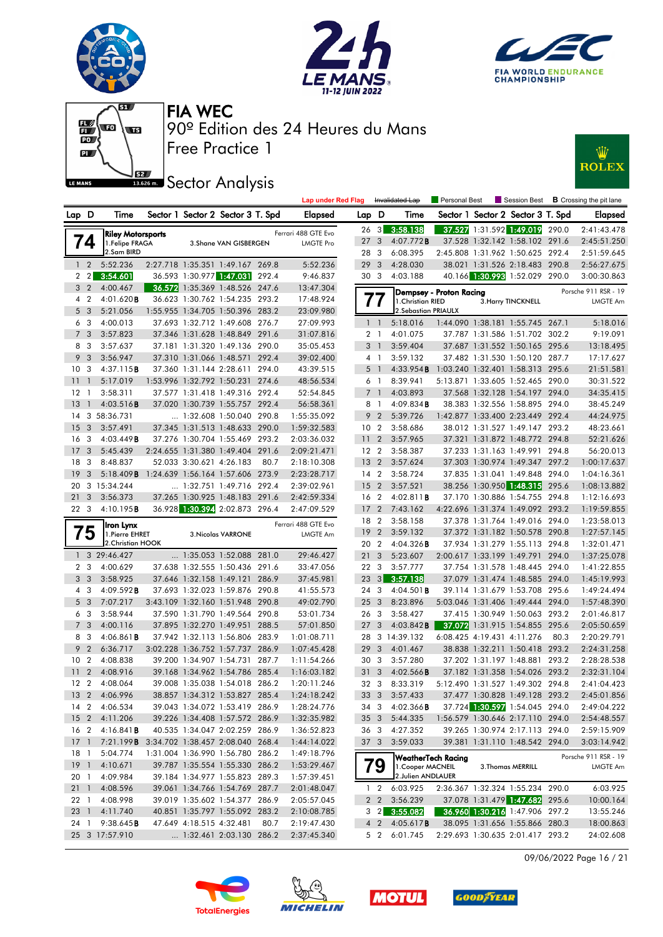







**JEZ Sector Analysis** 



|                 |                 |                                                                        |  |                                                                  |       | <b>Lap under Red Flag</b>  |                 |                               | Invalidated Lap                        | Personal Best           | Session Best                                                       |       | <b>B</b> Crossing the pit lane |
|-----------------|-----------------|------------------------------------------------------------------------|--|------------------------------------------------------------------|-------|----------------------------|-----------------|-------------------------------|----------------------------------------|-------------------------|--------------------------------------------------------------------|-------|--------------------------------|
|                 | Lap D           | Time                                                                   |  | Sector 1 Sector 2 Sector 3 T. Spd                                |       | Elapsed                    | Lap D           |                               | Time                                   |                         | Sector 1 Sector 2 Sector 3 T. Spd                                  |       | <b>Elapsed</b>                 |
|                 |                 | <b>Riley Motorsports</b>                                               |  |                                                                  |       | Ferrari 488 GTE Evo        | $26 \quad 3$    |                               | 3:58.138                               |                         | 37.527 1:31.592 1:49.019 290.0                                     |       | 2:41:43.478                    |
|                 | 74              | 1.Felipe FRAGA                                                         |  | 3. Shane VAN GISBERGEN                                           |       | <b>LMGTE Pro</b>           | 27              | 3                             | 4:07.772B                              |                         | 37.528 1:32.142 1:58.102 291.6                                     |       | 2:45:51.250                    |
|                 |                 | 2.Sam BIRD                                                             |  |                                                                  |       |                            | 28              | - 3                           | 6:08.395                               |                         | 2:45.808 1:31.962 1:50.625 292.4                                   |       | 2:51:59.645                    |
|                 | $1\quad2$       | 5:52.236                                                               |  | 2:27.718 1:35.351 1:49.167 269.8                                 |       | 5:52.236                   | 29              | $\mathbf{3}$                  | 4:28.030                               |                         | 38.021 1:31.526 2:18.483 290.8                                     |       | 2:56:27.675                    |
|                 | $2 \quad 2$     | 3:54.601                                                               |  | 36.593 1:30.977 1:47.031                                         | 292.4 | 9:46.837                   | 30 3            |                               | 4:03.188                               |                         | 40.166 1:30.993 1:52.029 290.0                                     |       | 3:00:30.863                    |
|                 | 3 <sub>2</sub>  | 4:00.467                                                               |  | 36.572 1:35.369 1:48.526 247.6                                   |       | 13:47.304                  |                 |                               |                                        | Dempsey - Proton Racing |                                                                    |       | Porsche 911 RSR - 19           |
|                 | 4 2             | 4:01.620 <b>B</b>                                                      |  | 36.623 1:30.762 1:54.235 293.2                                   |       | 17:48.924                  | $\prime\prime$  |                               | 1. Christian RIED                      |                         | 3. Harry TINCKNELL                                                 |       | LMGTE Am                       |
| 5               | - 3             | 5:21.056                                                               |  | 1:55.955 1:34.705 1:50.396 283.2                                 |       | 23:09.980                  |                 |                               | 2. Sebastian PRIAULX                   |                         |                                                                    |       |                                |
|                 | 6 3             | 4:00.013                                                               |  | 37.693 1:32.712 1:49.608 276.7                                   |       | 27:09.993                  |                 | $1\quad$                      | 5:18.016                               |                         | 1:44.090 1:38.181 1:55.745 267.1                                   |       | 5:18.016                       |
|                 | 7 <sub>3</sub>  | 3:57.823                                                               |  | 37.346 1:31.628 1:48.849 291.6                                   |       | 31:07.816                  |                 | 2 <sub>1</sub>                | 4:01.075                               |                         | 37.787 1:31.586 1:51.702 302.2                                     |       | 9:19.091                       |
| 8               | 3               | 3:57.637                                                               |  | 37.181 1:31.320 1:49.136 290.0                                   |       | 35:05.453                  |                 | 3 <sup>1</sup>                | 3:59.404                               |                         | 37.687 1:31.552 1:50.165 295.6                                     |       | 13:18.495                      |
| 9               | 3               | 3:56.947                                                               |  | 37.310 1:31.066 1:48.571 292.4                                   |       | 39:02.400                  |                 | 4 1                           | 3:59.132                               |                         | 37.482 1:31.530 1:50.120 287.7                                     |       | 17:17.627                      |
| 10              | -3              | 4:37.115B                                                              |  | 37.360 1:31.144 2:28.611                                         | 294.0 | 43:39.515                  | 5               | $\overline{1}$                | 4:33.954B                              |                         | 1:03.240 1:32.401 1:58.313 295.6                                   |       | 21:51.581                      |
| 11              | $\overline{1}$  | 5:17.019                                                               |  | 1:53.996 1:32.792 1:50.231 274.6                                 |       | 48:56.534                  |                 | 6 1                           | 8:39.941                               |                         | 5:13.871 1:33.605 1:52.465 290.0                                   |       | 30:31.522                      |
| 12              | -1              | 3:58.311                                                               |  | 37.577 1:31.418 1:49.316 292.4                                   |       | 52:54.845                  | $\overline{7}$  | $\overline{1}$                | 4:03.893                               |                         | 37.568 1:32.128 1:54.197 294.0                                     |       | 34:35.415                      |
| 13              | $\overline{1}$  | 4:03.516B                                                              |  | 37.020 1:30.739 1:55.757 292.4                                   |       | 56:58.361                  |                 | 8 1                           | $4:09.834$ <b>B</b>                    |                         | 38.383 1:32.556 1:58.895 294.0                                     |       | 38:45.249                      |
|                 |                 | 14 3 58:36.731                                                         |  | 1:32.608 1:50.040 290.8                                          |       | 1:55:35.092                | 9               | $\overline{2}$                | 5:39.726                               |                         | 1:42.877 1:33.400 2:23.449 292.4                                   |       | 44:24.975                      |
| 15              | 3               | 3:57.491                                                               |  | 37.345 1:31.513 1:48.633 290.0                                   |       | 1:59:32.583                | 10 <sub>2</sub> |                               | 3:58.686                               |                         | 38.012 1:31.527 1:49.147 293.2                                     |       | 48:23.661                      |
| 16 <sub>3</sub> |                 | 4:03.449B                                                              |  | 37.276 1:30.704 1:55.469 293.2                                   |       | 2:03:36.032                | 11              | $\overline{2}$                | 3:57.965                               |                         | 37.321 1:31.872 1:48.772 294.8                                     |       | 52:21.626                      |
| 17              | -3              | 5:45.439                                                               |  | 2:24.655 1:31.380 1:49.404 291.6                                 |       | 2:09:21.471                | 12 2            |                               | 3:58.387                               |                         | 37.233 1:31.163 1:49.991                                           | 294.8 | 56:20.013                      |
| 18 3            |                 | 8:48.837                                                               |  | 52.033 3:30.621 4:26.183                                         | 80.7  | 2:18:10.308                | 13 <sub>2</sub> |                               | 3:57.624                               |                         | 37.303 1:30.974 1:49.347 297.2                                     |       | 1:00:17.637                    |
| 19              | 3               | 5:18.409B                                                              |  | 1:24.639 1:56.164 1:57.606 273.9                                 |       | 2:23:28.717                | 14 2            |                               | 3:58.724                               |                         | 37.835 1:31.041 1:49.848 294.0                                     |       | 1:04:16.361                    |
| 20              |                 | 3 15:34.244                                                            |  | $\ldots$ 1:32.751 1:49.716 292.4                                 |       | 2:39:02.961                | 15              | $\overline{2}$                | 3:57.521                               |                         | 38.256 1:30.950 1:48.315 295.6                                     |       | 1:08:13.882                    |
| 21              | 3               | 3:56.373                                                               |  | 37.265 1:30.925 1:48.183 291.6                                   |       | 2:42:59.334                | 16 2            |                               | $4:02.811$ <b>B</b>                    |                         | 37.170 1:30.886 1:54.755 294.8                                     |       | 1:12:16.693                    |
| 22 3            |                 | 4:10.195B                                                              |  | 36.928 1:30.394 2:02.873 296.4                                   |       | 2:47:09.529                | 17              | $\overline{2}$                | 7:43.162                               |                         | 4:22.696 1:31.374 1:49.092 293.2                                   |       | 1:19:59.855                    |
|                 |                 |                                                                        |  |                                                                  |       | Ferrari 488 GTE Evo        | 18 2            |                               | 3:58.158                               |                         | 37.378 1:31.764 1:49.016 294.0                                     |       | 1:23:58.013                    |
|                 | Έ5              | Iron Lynx<br>1. Pierre EHRET                                           |  | <b>3. Nicolas VARRONE</b>                                        |       | LMGTE Am                   | 19              | $\overline{2}$                | 3:59.132                               |                         | 37.372 1:31.182 1:50.578 290.8                                     |       | 1:27:57.145                    |
|                 |                 |                                                                        |  |                                                                  |       |                            |                 |                               |                                        |                         |                                                                    |       |                                |
|                 |                 | 2.Christian HOOK                                                       |  |                                                                  |       |                            | 20 2            |                               | 4:04.326B                              |                         | 37.934 1:31.279 1:55.113 294.8                                     |       | 1:32:01.471                    |
|                 |                 | 1 3 29:46.427                                                          |  | 1:35.053 1:52.088 281.0                                          |       | 29:46.427                  | 21              | 3                             | 5:23.607                               |                         | 2:00.617 1:33.199 1:49.791 294.0                                   |       | 1:37:25.078                    |
|                 | 2 <sub>3</sub>  | 4:00.629                                                               |  | 37.638 1:32.555 1:50.436 291.6                                   |       | 33:47.056                  | 22 3            |                               | 3:57.777                               |                         | 37.754 1:31.578 1:48.445 294.0                                     |       | 1:41:22.855                    |
| 3               | -3              | 3:58.925                                                               |  | 37.646 1:32.158 1:49.121                                         | 286.9 | 37:45.981                  | 23              | 3                             | 3:57.138                               |                         | 37.079 1:31.474 1:48.585 294.0                                     |       | 1:45:19.993                    |
|                 | 4 3             | 4:09.592B                                                              |  | 37.693 1:32.023 1:59.876 290.8                                   |       | 41:55.573                  | 24              | -3                            | $4:04.501$ <b>B</b>                    |                         | 39.114 1:31.679 1:53.708 295.6                                     |       | 1:49:24.494                    |
|                 | 5 3             | 7:07.217                                                               |  | 3:43.109 1:32.160 1:51.948 290.8                                 |       | 49:02.790                  | 25              | 3                             | 8:23.896                               |                         | 5:03.046 1:31.406 1:49.444 294.0                                   |       | 1:57:48.390                    |
| 6               | -3              | 3:58.944                                                               |  | 37.590 1:31.790 1:49.564 290.8                                   |       | 53:01.734                  | 26 3            |                               | 3:58.427                               |                         | 37.415 1:30.949 1:50.063 293.2                                     |       | 2:01:46.817                    |
| $\overline{7}$  | 3               | 4:00.116                                                               |  | 37.895 1:32.270 1:49.951                                         | 288.5 | 57:01.850                  | 27              | 3                             | 4:03.842B                              |                         | 37.072 1:31.915 1:54.855 295.6                                     |       | 2:05:50.659                    |
| 8               | 3               | 4:06.861 <b>B</b>                                                      |  | 37.942 1:32.113 1:56.806 283.9                                   |       | 1:01:08.711                | 28              |                               | 3 14:39.132                            |                         | 6:08.425 4:19.431 4:11.276                                         | 80.3  | 2:20:29.791                    |
| 9               | $\overline{2}$  | 6:36.717                                                               |  | 3:02.228 1:36.752 1:57.737 286.9                                 |       | 1:07:45.428                | 29              | 3                             | 4:01.467                               |                         | 38.838 1:32.211 1:50.418 293.2                                     |       | 2:24:31.258                    |
| 10 <sub>2</sub> |                 | 4:08.838                                                               |  | 39.200 1:34.907 1:54.731                                         | 287.7 | 1:11:54.266                | 30              | -3                            | 3:57.280                               |                         | 37.202 1:31.197 1:48.881                                           | 293.2 | 2:28:28.538                    |
| 11              | $\overline{2}$  | 4:08.916                                                               |  | 39.168 1:34.962 1:54.786                                         | 285.4 | 1:16:03.182                | 31              | 3                             | $4:02.566$ B                           |                         | 37.182 1:31.358 1:54.026 293.2                                     |       | 2:32:31.104                    |
| 12 <sub>2</sub> |                 | 4:08.064                                                               |  | 39.008 1:35.038 1:54.018 286.2                                   |       | 1:20:11.246                | 32 3            |                               | 8:33.319                               |                         | 5:12.490 1:31.527 1:49.302 294.8                                   |       | 2:41:04.423                    |
|                 |                 |                                                                        |  |                                                                  |       |                            |                 |                               |                                        |                         |                                                                    |       |                                |
|                 |                 | 13 2 4:06.996                                                          |  | 38.857 1:34.312 1:53.827 285.4                                   |       | 1:24:18.242                | 343             | 33 3                          | 3:57.433                               |                         | 37.477 1:30.828 1:49.128 293.2                                     |       | 2:45:01.856                    |
|                 |                 | 14 2 4:06.534                                                          |  | 39.043 1:34.072 1:53.419 286.9                                   |       | 1:28:24.776                |                 |                               | 4:02.366B                              |                         | 37.724 1:30.597 1:54.045 294.0                                     |       | 2:49:04.222                    |
|                 |                 | 15 2 4:11.206                                                          |  | 39.226 1:34.408 1:57.572 286.9<br>40.535 1:34.047 2:02.259 286.9 |       | 1:32:35.982                | 35 3            |                               | 5:44.335                               |                         | 1:56.579 1:30.646 2:17.110 294.0<br>39.265 1:30.974 2:17.113 294.0 |       | 2:54:48.557                    |
|                 | 16 <sub>2</sub> | $4:16.841$ <b>B</b><br>17 1 7:21.199B 3:34.702 1:38.457 2:08.040 268.4 |  |                                                                  |       | 1:36:52.823                | 363             |                               | 4:27.352<br>3:59.033                   |                         |                                                                    |       | 2:59:15.909                    |
| 18 1            |                 | 5:04.774                                                               |  | 1:31.004 1:36.990 1:56.780 286.2                                 |       | 1:44:14.022<br>1:49:18.796 | 37 3            |                               |                                        |                         | 39.381 1:31.110 1:48.542 294.0                                     |       | 3:03:14.942                    |
|                 |                 | 19 1 4:10.671                                                          |  | 39.787 1:35.554 1:55.330 286.2                                   |       |                            |                 |                               | WeatherTech Racing                     |                         |                                                                    |       | Porsche 911 RSR - 19           |
| 20 1            |                 |                                                                        |  | 39.184 1:34.977 1:55.823 289.3                                   |       | 1:53:29.467                |                 | 79                            | 1. Cooper MACNEIL<br>2.Julien ANDLAUER |                         | 3. Thomas MERRILL                                                  |       | LMGTE Am                       |
|                 |                 | 4:09.984                                                               |  |                                                                  |       | 1:57:39.451                |                 |                               | 6:03.925                               |                         |                                                                    |       |                                |
|                 | 211             | 4:08.596                                                               |  | 39.061 1:34.766 1:54.769 287.7                                   |       | 2:01:48.047                |                 | $1\quad 2$                    |                                        |                         | 2:36.367 1:32.324 1:55.234 290.0<br>37.078 1:31.479 1:47.682 295.6 |       | 6:03.925                       |
| 22 1            |                 | 4:08.998                                                               |  | 39.019 1:35.602 1:54.377 286.9                                   |       | 2:05:57.045                |                 | $2\quad 2$                    | 3:56.239                               |                         |                                                                    |       | 10:00.164                      |
|                 | 23 1<br>24 1    | 4:11.740<br>9:38.645B                                                  |  | 40.851 1:35.797 1:55.092 283.2<br>47.649 4:18.515 4:32.481       | 80.7  | 2:10:08.785<br>2:19:47.430 |                 | $3 \quad 2$<br>4 <sub>2</sub> | 3:55.082<br>4:05.617B                  |                         | 36.960 1:30.216 1:47.906 297.2<br>38.095 1:31.656 1:55.866 280.3   |       | 13:55.246<br>18:00.863         |

09/06/2022 Page 16 / 21







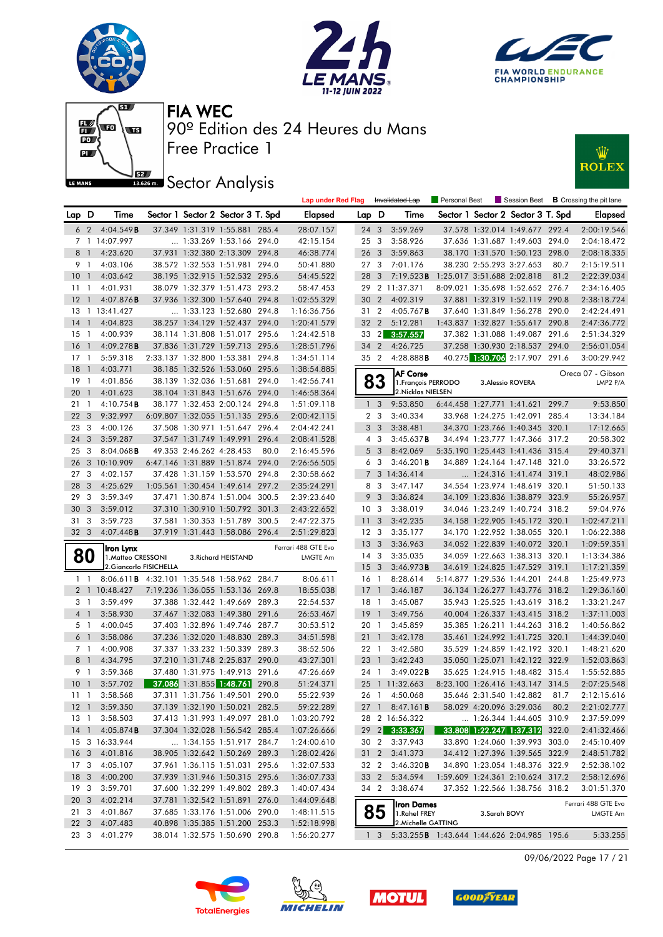







# **JEZ Sector Analysis**



|                 |                |                                                    |                         |                          |                                                                  |      | <b>Lap under Red Flag</b>  |                 |                         | Invalidated Lap                                                    | <b>Personal Best</b>       |                          |                                   |       | Session Best $\,$ <b>B</b> Crossing the pit lane |
|-----------------|----------------|----------------------------------------------------|-------------------------|--------------------------|------------------------------------------------------------------|------|----------------------------|-----------------|-------------------------|--------------------------------------------------------------------|----------------------------|--------------------------|-----------------------------------|-------|--------------------------------------------------|
| Lap D           |                | Time                                               |                         |                          | Sector 1 Sector 2 Sector 3 T. Spd                                |      | Elapsed                    | Lap D           |                         | Time                                                               |                            |                          | Sector 1 Sector 2 Sector 3 T. Spd |       | Elapsed                                          |
|                 | 6 2            | 4:04.549B                                          |                         |                          | 37.349 1:31.319 1:55.881 285.4                                   |      | 28:07.157                  | 24 3            |                         | 3:59.269                                                           |                            |                          | 37.578 1:32.014 1:49.677 292.4    |       | 2:00:19.546                                      |
|                 |                | 7 1 14:07.997                                      |                         |                          | 1:33.269 1:53.166 294.0                                          |      | 42:15.154                  | 25              | $\overline{\mathbf{3}}$ | 3:58.926                                                           |                            |                          | 37.636 1:31.687 1:49.603 294.0    |       | 2:04:18.472                                      |
|                 | 8 1            | 4:23.620                                           |                         |                          | 37.931 1:32.380 2:13.309 294.8                                   |      | 46:38.774                  | 26 <sub>3</sub> |                         | 3:59.863                                                           |                            |                          | 38.170 1:31.570 1:50.123 298.0    |       | 2:08:18.335                                      |
|                 | 91             | 4:03.106                                           |                         |                          | 38.572 1:32.553 1:51.981 294.0                                   |      | 50:41.880                  |                 | 273                     | 7:01.176                                                           |                            | 38.230 2:55.293 3:27.653 |                                   | 80.7  | 2:15:19.511                                      |
| 10              | $\overline{1}$ | 4:03.642                                           |                         |                          | 38.195 1:32.915 1:52.532 295.6                                   |      | 54:45.522                  | 28 3            |                         | 7:19.523B                                                          | 1:25.017 3:51.688 2:02.818 |                          |                                   | 81.2  | 2:22:39.034                                      |
| 11              | $\overline{1}$ | 4:01.931                                           |                         |                          | 38.079 1:32.379 1:51.473 293.2                                   |      | 58:47.453                  |                 |                         | 29 2 11:37.371                                                     |                            |                          | 8:09.021 1:35.698 1:52.652 276.7  |       | 2:34:16.405                                      |
| 12              | $\overline{1}$ | $4:07.876$ B                                       |                         |                          | 37.936 1:32.300 1:57.640 294.8                                   |      | 1:02:55.329                | 30              | $\overline{2}$          | 4:02.319                                                           |                            |                          | 37.881 1:32.319 1:52.119 290.8    |       | 2:38:18.724                                      |
|                 |                | 13 1 13:41.427                                     |                         |                          | 1:33.123 1:52.680 294.8                                          |      | 1:16:36.756                | 31 2            |                         | 4:05.767B                                                          |                            |                          | 37.640 1:31.849 1:56.278 290.0    |       | 2:42:24.491                                      |
| 14              | $\overline{1}$ | 4:04.823                                           |                         |                          | 38.257 1:34.129 1:52.437 294.0                                   |      | 1:20:41.579                | 32 2            |                         | 5:12.281                                                           |                            |                          | 1:43.837 1:32.827 1:55.617        | 290.8 | 2:47:36.772                                      |
| 15              | -1             | 4:00.939                                           |                         |                          | 38.114 1:31.808 1:51.017 295.6                                   |      | 1:24:42.518                | 33              | $\vert$ 2               | 3:57.557                                                           |                            |                          | 37.382 1:31.088 1:49.087 291.6    |       | 2:51:34.329                                      |
| <b>16</b>       | $\overline{1}$ | 4:09.278B                                          |                         |                          | 37.836 1:31.729 1:59.713 295.6                                   |      | 1:28:51.796                | 34 2            |                         | 4:26.725                                                           |                            |                          | 37.258 1:30.930 2:18.537 294.0    |       | 2:56:01.054                                      |
| 17              | -1             | 5:59.318                                           |                         |                          | 2:33.137 1:32.800 1:53.381 294.8                                 |      | 1:34:51.114                |                 | 35 2                    | 4:28.888B                                                          |                            |                          | 40.275 1:30.706 2:17.907 291.6    |       | 3:00:29.942                                      |
| <b>18</b>       | $\overline{1}$ | 4:03.771                                           |                         |                          | 38.185 1:32.526 1:53.060 295.6                                   |      | 1:38:54.885                |                 |                         | <b>AF Corse</b>                                                    |                            |                          |                                   |       | Oreca 07 - Gibson                                |
| 19              | - 1            | 4:01.856                                           |                         |                          | 38.139 1:32.036 1:51.681 294.0                                   |      | 1:42:56.741                |                 | 83                      | 1. François PERRODO                                                |                            |                          | 3. Alessio ROVERA                 |       | LMP2 P/A                                         |
| 20              | $\overline{1}$ | 4:01.623                                           |                         |                          | 38.104 1:31.843 1:51.676 294.0                                   |      | 1:46:58.364                |                 |                         | 2. Nicklas NIELSEN                                                 |                            |                          |                                   |       |                                                  |
| 21              | -1             | $4:10.754$ <b>B</b>                                |                         |                          | 38.177 1:32.453 2:00.124 294.8                                   |      | 1:51:09.118                |                 | 1 <sub>3</sub>          | 9:53.850                                                           |                            |                          | 6:44.458 1:27.771 1:41.621 299.7  |       | 9:53.850                                         |
| 22              | 3              | 9:32.997                                           |                         |                          | 6:09.807 1:32.055 1:51.135 295.6                                 |      | 2:00:42.115                |                 | 2 <sub>3</sub>          | 3:40.334                                                           |                            |                          | 33.968 1:24.275 1:42.091          | 285.4 | 13:34.184                                        |
| 23              | -3             | 4:00.126                                           |                         |                          | 37.508 1:30.971 1:51.647 296.4                                   |      | 2:04:42.241                |                 | 3 <sub>3</sub>          | 3:38.481                                                           |                            |                          | 34.370 1:23.766 1:40.345 320.1    |       | 17:12.665                                        |
| 24              | 3              | 3:59.287                                           |                         |                          | 37.547 1:31.749 1:49.991 296.4                                   |      | 2:08:41.528                |                 | $4 \quad 3$             | 3:45.637B                                                          |                            |                          | 34.494 1:23.777 1:47.366 317.2    |       | 20:58.302                                        |
| 25              | -3             | $8:04.068$ <b>B</b>                                |                         | 49.353 2:46.262 4:28.453 |                                                                  | 80.0 | 2:16:45.596                |                 | 5 <sub>3</sub>          | 8:42.069                                                           |                            |                          | 5:35.190 1:25.443 1:41.436 315.4  |       | 29:40.371                                        |
| 26              |                | 3 10:10.909                                        |                         |                          | 6:47.146 1:31.889 1:51.874 294.0                                 |      | 2:26:56.505                | 6               | $\overline{\mathbf{3}}$ | $3:46.201$ <b>B</b>                                                |                            |                          | 34.889 1:24.164 1:47.148 321.0    |       | 33:26.572                                        |
| 27              | 3              | 4:02.157                                           |                         |                          | 37.428 1:31.159 1:53.570 294.8                                   |      | 2:30:58.662                |                 |                         | 7 3 14:36.414                                                      |                            |                          | 1:24.316 1:41.474 319.1           |       | 48:02.986                                        |
| 28              | 3              | 4:25.629                                           |                         |                          | 1:05.561 1:30.454 1:49.614 297.2                                 |      | 2:35:24.291                |                 | 8 3                     | 3:47.147                                                           |                            |                          | 34.554 1:23.974 1:48.619 320.1    |       | 51:50.133                                        |
| 29              | 3              | 3:59.349                                           |                         |                          | 37.471 1:30.874 1:51.004 300.5                                   |      | 2:39:23.640                |                 | 9 <sup>3</sup>          | 3:36.824                                                           |                            |                          | 34.109 1:23.836 1:38.879 323.9    |       | 55:26.957                                        |
| 30              | 3              | 3:59.012                                           |                         |                          | 37.310 1:30.910 1:50.792 301.3                                   |      | 2:43:22.652                | 10 <sup>3</sup> |                         | 3:38.019                                                           |                            |                          | 34.046 1:23.249 1:40.724 318.2    |       | 59:04.976                                        |
| 31              | 3              | 3:59.723                                           |                         |                          | 37.581 1:30.353 1:51.789 300.5                                   |      | 2:47:22.375                | 11              | $\overline{\mathbf{3}}$ | 3:42.235                                                           |                            |                          | 34.158 1:22.905 1:45.172 320.1    |       | 1:02:47.211                                      |
| 32 <sub>3</sub> |                | 4:07.448B                                          |                         |                          | 37.919 1:31.443 1:58.086 296.4                                   |      | 2:51:29.823                | 12 <sup>3</sup> |                         | 3:35.177                                                           |                            |                          | 34.170 1:22.952 1:38.055 320.1    |       | 1:06:22.388                                      |
|                 |                | Iron Lynx                                          |                         |                          |                                                                  |      | Ferrari 488 GTE Evo        | 13 <sub>3</sub> |                         | 3:36.963                                                           |                            |                          | 34.052 1:22.839 1:40.072 320.1    |       | 1:09:59.351                                      |
|                 | 80             | 1. Matteo CRESSONI                                 |                         |                          | 3. Richard HEISTAND                                              |      | LMGTE Am                   | $14 \quad 3$    |                         | 3:35.035                                                           |                            |                          | 34.059 1:22.663 1:38.313 320.1    |       | 1:13:34.386                                      |
|                 |                |                                                    | 2. Giancarlo FISICHELLA |                          |                                                                  |      |                            | 15 <sub>3</sub> |                         | 3:46.973B                                                          |                            |                          | 34.619 1:24.825 1:47.529 319.1    |       | 1:17:21.359                                      |
|                 | $1\quad$       | 8:06.611 <b>B</b> 4:32.101 1:35.548 1:58.962 284.7 |                         |                          |                                                                  |      | 8:06.611                   | 16 <sub>1</sub> |                         | 8:28.614                                                           |                            |                          | 5:14.877 1:29.536 1:44.201 244.8  |       | 1:25:49.973                                      |
|                 |                | 2 1 10:48.427                                      |                         |                          | 7:19.236 1:36.055 1:53.136 269.8                                 |      | 18:55.038                  | 17              | $\overline{1}$          | 3:46.187                                                           |                            |                          | 36.134 1:26.277 1:43.776 318.2    |       | 1:29:36.160                                      |
|                 | 31             | 3:59.499                                           |                         |                          | 37.388 1:32.442 1:49.669 289.3                                   |      | 22:54.537                  | $18-1$          |                         | 3:45.087                                                           |                            |                          | 35.943 1:25.525 1:43.619 318.2    |       | 1:33:21.247                                      |
|                 | 4 1            | 3:58.930                                           |                         |                          | 37.467 1:32.083 1:49.380 291.6                                   |      | 26:53.467                  | 19              | $\overline{1}$          | 3:49.756                                                           |                            |                          | 40.004 1:26.337 1:43.415 318.2    |       | 1:37:11.003                                      |
|                 | 51             | 4:00.045                                           |                         |                          | 37.403 1:32.896 1:49.746 287.7                                   |      | 30:53.512                  | 20 1            |                         | 3:45.859                                                           |                            |                          | 35.385 1:26.211 1:44.263 318.2    |       | 1:40:56.862                                      |
|                 | 6 1            | 3:58.086                                           |                         |                          | 37.236 1:32.020 1:48.830 289.3                                   |      | 34:51.598                  | 21 1            |                         | 3:42.178                                                           |                            |                          | 35.461 1:24.992 1:41.725 320.1    |       | 1:44:39.040                                      |
|                 | 7 1            | 4:00.908                                           |                         |                          | 37.337 1:33.232 1:50.339 289.3                                   |      | 38:52.506                  | 22 1            |                         | 3:42.580                                                           |                            |                          | 35.529 1:24.859 1:42.192 320.1    |       | 1:48:21.620                                      |
|                 | 8 <sup>1</sup> | 4:34.795                                           |                         |                          | 37.210 1:31.748 2:25.837 290.0                                   |      | 43:27.301                  | 23 1            |                         | 3:42.243                                                           |                            |                          | 35.050 1:25.071 1:42.122 322.9    |       | 1:52:03.863                                      |
|                 | 91             | 3:59.368                                           |                         |                          | 37.480 1:31.975 1:49.913 291.6                                   |      | 47:26.669                  | 24 1            |                         | 3:49.022B                                                          |                            |                          | 35.625 1:24.915 1:48.482 315.4    |       | 1:55:52.885                                      |
| 10 <sub>1</sub> |                | 3:57.702                                           |                         |                          | 37.086 1:31.855 1:48.761 290.8                                   |      | 51:24.371                  |                 |                         | 25 1 11:32.663                                                     |                            |                          | 8:23.100 1:26.416 1:43.147 314.5  |       | 2:07:25.548                                      |
|                 | 111            | 3:58.568                                           |                         |                          | 37.311 1:31.756 1:49.501 290.0                                   |      | 55:22.939                  |                 |                         | 26 1 4:50.068                                                      |                            |                          | 35.646 2:31.540 1:42.882          | 81.7  | 2:12:15.616                                      |
|                 |                | 12 1 3:59.350                                      |                         |                          | 37.139 1:32.190 1:50.021 282.5                                   |      | 59:22.289                  |                 |                         | 27 1 8:47.161 <b>B</b>                                             |                            |                          | 58.029 4:20.096 3:29.036          | 80.2  | 2:21:02.777                                      |
|                 | 13 1           | 3:58.503                                           |                         |                          | 37.413 1:31.993 1:49.097 281.0                                   |      | 1:03:20.792                |                 |                         | 28 2 16:56.322                                                     |                            |                          | $\ldots$ 1:26.344 1:44.605 310.9  |       | 2:37:59.099                                      |
|                 |                | 14 1 4:05.874 <b>B</b>                             |                         |                          | 37.304 1:32.028 1:56.542 285.4                                   |      | 1:07:26.666                |                 |                         | 29 2 3:33.367                                                      |                            |                          | 33.808 1:22.247 1:37.312 322.0    |       | 2:41:32.466                                      |
|                 |                | 15 3 16:33.944                                     |                         |                          | 1:34.155 1:51.917 284.7                                          |      | 1:24:00.610                |                 | 30 2                    | 3:37.943                                                           |                            |                          | 33.890 1:24.060 1:39.993 303.0    |       | 2:45:10.409                                      |
|                 |                | 16 3 4:01.816                                      |                         |                          | 38.905 1:32.642 1:50.269 289.3                                   |      | 1:28:02.426                |                 |                         | 31 2 3:41.373                                                      |                            |                          | 34.412 1:27.396 1:39.565 322.9    |       | 2:48:51.782                                      |
| 17 3            |                | 4:05.107                                           |                         |                          | 37.961 1:36.115 1:51.031 295.6                                   |      | 1:32:07.533                |                 | 32 2                    | 3:46.320B                                                          |                            |                          | 34.890 1:23.054 1:48.376 322.9    |       | 2:52:38.102                                      |
|                 |                | 18 3 4:00.200                                      |                         |                          | 37.939 1:31.946 1:50.315 295.6                                   |      | 1:36:07.733                | 33 2            |                         | 5:34.594                                                           |                            |                          | 1:59.609 1:24.361 2:10.624 317.2  |       | 2:58:12.696                                      |
|                 | 19 3           | 3:59.701                                           |                         |                          | 37.600 1:32.299 1:49.802 289.3                                   |      | 1:40:07.434                |                 |                         | 34 2 3:38.674                                                      |                            |                          | 37.352 1:22.566 1:38.756 318.2    |       | 3:01:51.370                                      |
| 20 3            |                | 4:02.214                                           |                         |                          | 37.781 1:32.542 1:51.891 276.0                                   |      | 1:44:09.648                |                 |                         | Iron Dames                                                         |                            |                          |                                   |       | Ferrari 488 GTE Evo                              |
|                 | 21 3           | 4:01.867                                           |                         |                          | 37.685 1:33.176 1:51.006 290.0                                   |      | 1:48:11.515                |                 | 85                      | 1.Rahel FREY                                                       |                            | 3.Sarah BOVY             |                                   |       | LMGTE Am                                         |
|                 | 22 3           | 4:07.483<br>23 3 4:01.279                          |                         |                          | 40.898 1:35.385 1:51.200 253.3<br>38.014 1:32.575 1:50.690 290.8 |      | 1:52:18.998<br>1:56:20.277 |                 | 1 <sup>3</sup>          | 2. Michelle GATTING<br>5:33.255 B 1:43.644 1:44.626 2:04.985 195.6 |                            |                          |                                   |       | 5:33.255                                         |
|                 |                |                                                    |                         |                          |                                                                  |      |                            |                 |                         |                                                                    |                            |                          |                                   |       |                                                  |

09/06/2022 Page 17 / 21







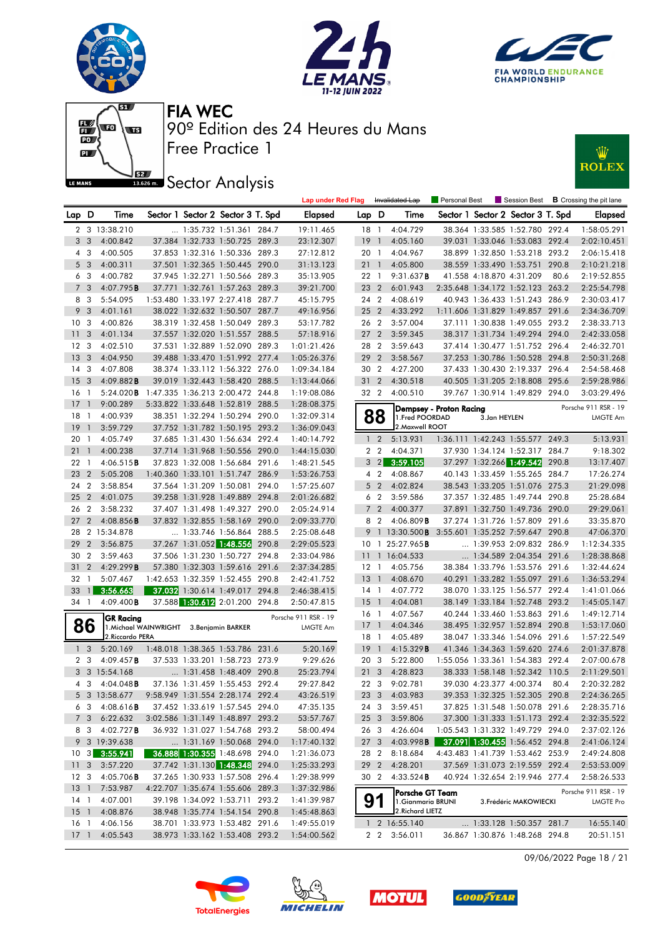







#### **ISBEC** Sector Analysis



|                         |                |                                 |                                          |                                                                    |       | <b>Lap under Red Flag</b>  |                 |                | Invalidated Lap                        | Personal Best           |                          | Session Best                                                       |       | <b>B</b> Crossing the pit lane |
|-------------------------|----------------|---------------------------------|------------------------------------------|--------------------------------------------------------------------|-------|----------------------------|-----------------|----------------|----------------------------------------|-------------------------|--------------------------|--------------------------------------------------------------------|-------|--------------------------------|
| Lap D                   |                | Time                            |                                          | Sector 1 Sector 2 Sector 3 T. Spd                                  |       | <b>Elapsed</b>             | Lap D           |                | Time                                   |                         |                          | Sector 1 Sector 2 Sector 3 T. Spd                                  |       | <b>Elapsed</b>                 |
|                         |                | 2 3 13:38.210                   |                                          | 1:35.732 1:51.361                                                  | 284.7 | 19:11.465                  | 18              | $\overline{1}$ | 4:04.729                               |                         |                          | 38.364 1:33.585 1:52.780 292.4                                     |       | 1:58:05.291                    |
| 3                       | 3              | 4:00.842                        |                                          | 37.384 1:32.733 1:50.725 289.3                                     |       | 23:12.307                  | 19              | $\overline{1}$ | 4:05.160                               |                         |                          | 39.031 1:33.046 1:53.083 292.4                                     |       | 2:02:10.451                    |
| 4                       | 3              | 4:00.505                        |                                          | 37.853 1:32.316 1:50.336 289.3                                     |       | 27:12.812                  | 20 1            |                | 4:04.967                               |                         |                          | 38.899 1:32.850 1:53.218 293.2                                     |       | 2:06:15.418                    |
| 5                       | 3              | 4:00.311                        |                                          | 37.501 1:32.365 1:50.445 290.0                                     |       | 31:13.123                  | 211             |                | 4:05.800                               |                         |                          | 38.559 1:33.490 1:53.751                                           | 290.8 | 2:10:21.218                    |
| 6                       | 3              | 4:00.782                        |                                          | 37.945 1:32.271 1:50.566 289.3                                     |       | 35:13.905                  | 22 1            |                | 9:31.637B                              |                         | 41.558 4:18.870 4:31.209 |                                                                    | 80.6  | 2:19:52.855                    |
| $\overline{7}$          | 3              | 4:07.795B                       |                                          | 37.771 1:32.761 1:57.263 289.3                                     |       | 39:21.700                  | 23 2            |                | 6:01.943                               |                         |                          | 2:35.648 1:34.172 1:52.123 263.2                                   |       | 2:25:54.798                    |
| 8                       | 3              | 5:54.095                        |                                          | 1:53.480 1:33.197 2:27.418 287.7                                   |       | 45:15.795                  | 24 2            |                | 4:08.619                               |                         |                          | 40.943 1:36.433 1:51.243 286.9                                     |       | 2:30:03.417                    |
| 9                       | 3              | 4:01.161                        |                                          | 38.022 1:32.632 1:50.507                                           | 287.7 | 49:16.956                  | 25 2            |                | 4:33.292                               |                         |                          | 1:11.606 1:31.829 1:49.857                                         | 291.6 | 2:34:36.709                    |
| 10                      | 3              | 4:00.826                        |                                          | 38.319 1:32.458 1:50.049 289.3                                     |       | 53:17.782                  | 26 2            |                | 3:57.004                               |                         |                          | 37.111 1:30.838 1:49.055 293.2                                     |       | 2:38:33.713                    |
| 11                      | 3              | 4:01.134                        |                                          | 37.557 1:32.020 1:51.557 288.5                                     |       | 57:18.916                  | 27 <sub>2</sub> |                | 3:59.345                               |                         |                          | 38.317 1:31.734 1:49.294 294.0                                     |       | 2:42:33.058                    |
| 12                      | 3              | 4:02.510                        |                                          | 37.531 1:32.889 1:52.090 289.3                                     |       | 1:01:21.426                | 28 2            |                | 3:59.643                               |                         |                          | 37.414 1:30.477 1:51.752 296.4                                     |       | 2:46:32.701                    |
| 13                      | 3              | 4:04.950                        |                                          | 39.488 1:33.470 1:51.992 277.4                                     |       | 1:05:26.376                | 29              | $\overline{2}$ | 3:58.567                               |                         |                          | 37.253 1:30.786 1:50.528 294.8                                     |       | 2:50:31.268                    |
| 14                      | 3              | 4:07.808                        |                                          | 38.374 1:33.112 1:56.322 276.0                                     |       | 1:09:34.184                | 30 2            |                | 4:27.200                               |                         |                          | 37.433 1:30.430 2:19.337 296.4                                     |       | 2:54:58.468                    |
| 15                      | -3             | 4:09.882B                       |                                          | 39.019 1:32.443 1:58.420 288.5                                     |       | 1:13:44.066                | 31 <sub>2</sub> |                | 4:30.518                               |                         |                          | 40.505 1:31.205 2:18.808 295.6                                     |       | 2:59:28.986                    |
| 16                      | -1             | 5:24.020B                       |                                          | 1:47.335 1:36.213 2:00.472 244.8                                   |       | 1:19:08.086                | 32 2            |                | 4:00.510                               |                         |                          | 39.767 1:30.914 1:49.829 294.0                                     |       | 3:03:29.496                    |
| 17                      | $\mathbf{1}$   | 9:00.289                        |                                          | 5:33.822 1:33.648 1:52.819 288.5                                   |       | 1:28:08.375                |                 |                |                                        | Dempsey - Proton Racing |                          |                                                                    |       | Porsche 911 RSR - 19           |
| 18                      | -1             | 4:00.939                        |                                          | 38.351 1:32.294 1:50.294 290.0                                     |       | 1:32:09.314                |                 | 88             | 1. Fred POORDAD                        |                         | 3.Jan HEYLEN             |                                                                    |       | <b>LMGTE Am</b>                |
| 19                      | $\overline{1}$ | 3:59.729                        |                                          | 37.752 1:31.782 1:50.195 293.2                                     |       | 1:36:09.043                |                 |                | 2. Maxwell ROOT                        |                         |                          |                                                                    |       |                                |
| 20                      | $\overline{1}$ | 4:05.749                        |                                          | 37.685 1:31.430 1:56.634 292.4                                     |       | 1:40:14.792                | $\mathbf{1}$    | $\overline{2}$ | 5:13.931                               |                         |                          | 1:36.111 1:42.243 1:55.577 249.3                                   |       | 5:13.931                       |
| 21                      | $\mathbf{1}$   | 4:00.238                        |                                          | 37.714 1:31.968 1:50.556 290.0                                     |       | 1:44:15.030                |                 | 2 <sub>2</sub> | 4:04.371                               |                         |                          | 37.930 1:34.124 1:52.317 284.7                                     |       | 9:18.302                       |
| 22                      | $\overline{1}$ | 4:06.515B                       |                                          | 37.823 1:32.008 1:56.684 291.6                                     |       | 1:48:21.545                |                 | 3 2            | 3:59.105                               |                         |                          | 37.297 1:32.266 1:49.542                                           | 290.8 | 13:17.407                      |
| 23                      | $\overline{2}$ | 5:05.208                        |                                          | 1:40.360 1:33.101 1:51.747 286.9                                   |       | 1:53:26.753                |                 | 4 2            | 4:08.867                               |                         |                          | 40.143 1:33.459 1:55.265 284.7                                     |       | 17:26.274                      |
| 24                      | $\overline{2}$ | 3:58.854                        |                                          | 37.564 1:31.209 1:50.081 294.0                                     |       | 1:57:25.607                |                 | 5 <sub>2</sub> | 4:02.824                               |                         |                          | 38.543 1:33.205 1:51.076 275.3                                     |       | 21:29.098                      |
| 25                      | $\overline{2}$ | 4:01.075                        |                                          | 39.258 1:31.928 1:49.889 294.8                                     |       | 2:01:26.682                | 6               | $\overline{2}$ | 3:59.586                               |                         |                          | 37.357 1:32.485 1:49.744 290.8                                     |       | 25:28.684                      |
| 26                      | $\overline{2}$ | 3:58.232                        |                                          | 37.407 1:31.498 1:49.327 290.0                                     |       | 2:05:24.914                |                 | 7 <sup>2</sup> | 4:00.377                               |                         |                          | 37.891 1:32.750 1:49.736 290.0                                     |       | 29:29.061                      |
| 27                      | $\overline{2}$ | $4:08.856$ B                    |                                          | 37.832 1:32.855 1:58.169 290.0                                     |       | 2:09:33.770                | 8               | $\overline{2}$ | $4:06.809$ <b>B</b>                    |                         |                          | 37.274 1:31.726 1:57.809 291.6                                     |       | 33:35.870                      |
| 28                      |                | 2 15:34.878                     |                                          | 1:33.746 1:56.864 288.5                                            |       | 2:25:08.648                | 9               |                | 1 $13:30.500$ <b>B</b>                 |                         |                          | 3:55.601 1:35.252 7:59.647                                         | 290.8 | 47:06.370                      |
| 29                      | $\overline{2}$ | 3:56.875                        |                                          | 37.267 1:31.052 1:48.556                                           | 290.8 | 2:29:05.523                | 10              | -1             | 25:27.965 <b>B</b>                     |                         |                          | 1:39.953 2:09.832 286.9                                            |       | 1:12:34.335                    |
| 30                      | $\overline{2}$ | 3:59.463                        |                                          | 37.506 1:31.230 1:50.727 294.8                                     |       | 2:33:04.986                | $\overline{11}$ |                | 1 16:04.533                            |                         |                          | 1:34.589 2:04.354                                                  | 291.6 | 1:28:38.868                    |
| 31                      | 2              | 4:29.299B                       |                                          | 57.380 1:32.303 1:59.616 291.6                                     |       | 2:37:34.285                | $12-1$          |                | 4:05.756                               |                         |                          | 38.384 1:33.796 1:53.576 291.6                                     |       | 1:32:44.624                    |
| 32                      | $\mathbf{1}$   | 5:07.467                        |                                          | 1:42.653 1:32.359 1:52.455 290.8                                   |       | 2:42:41.752                | 13 1            |                | 4:08.670                               |                         |                          | 40.291 1:33.282 1:55.097                                           | 291.6 | 1:36:53.294                    |
| 33                      | $\mathbf{1}$   | 3:56.663                        |                                          | 37.032 1:30.614 1:49.017 294.8                                     |       | 2:46:38.415                | 14 1            |                | 4:07.772                               |                         |                          | 38.070 1:33.125 1:56.577 292.4                                     |       | 1:41:01.066                    |
| 34 1                    |                | $4:09.400$ B                    |                                          | 37.588 1:30.612 2:01.200 294.8                                     |       | 2:50:47.815                | $15-1$          |                | 4:04.081                               |                         |                          | 38.149 1:33.184 1:52.748 293.2                                     |       | 1:45:05.147                    |
|                         |                | <b>GR Racing</b>                |                                          |                                                                    |       | Porsche 911 RSR - 19       | 16 1            |                | 4:07.567                               |                         |                          | 40.244 1:33.460 1:53.863 291.6                                     |       | 1:49:12.714                    |
|                         | 86             |                                 | 1. Michael WAINWRIGHT 3. Benjamin BARKER |                                                                    |       | LMGTE Am                   | 17 <sup>1</sup> |                | 4:04.346                               |                         |                          | 38.495 1:32.957 1:52.894 290.8                                     |       | 1:53:17.060                    |
|                         |                | 2. Riccardo PERA                |                                          |                                                                    |       |                            | $18-1$          |                | 4:05.489                               |                         |                          | 38.047 1:33.346 1:54.096 291.6                                     |       | 1:57:22.549                    |
|                         | 1 <sup>3</sup> | 5:20.169                        |                                          | 1:48.018 1:38.365 1:53.786 231.6                                   |       | 5:20.169                   | 19              | - 1            | 4:15.329B                              |                         |                          | 41.346 1:34.363 1:59.620 274.6                                     |       | 2:01:37.878                    |
| $\overline{2}$          | 3              | 4:09.457B                       |                                          | 37.533 1:33.201 1:58.723 273.9                                     |       | 9:29.626                   | 20 3            |                | 5:22.800                               |                         |                          | 1:55.056 1:33.361 1:54.383 292.4                                   |       | 2:07:00.678                    |
|                         |                | 3 3 15:54.168                   |                                          | $\ldots$ 1:31.458 1:48.409 290.8<br>37.136 1:31.459 1:55.453 292.4 |       | 25:23.794                  | 21              | 3              | 4:28.823<br>9:02.781                   |                         |                          | 38.333 1:58.148 1:52.342 110.5                                     | 80.4  | 2:11:29.501                    |
|                         | 4 3            | $4:04.048$ B<br>5 3 13:58.677   |                                          |                                                                    |       | 29:27.842                  | 22 3<br>23 3    |                |                                        |                         | 39.030 4:23.377 4:00.374 |                                                                    |       | 2:20:32.282                    |
|                         |                |                                 |                                          | 9:58.949 1:31.554 2:28.174 292.4                                   |       | 43:26.519                  |                 |                | 4:03.983                               |                         |                          | 39.353 1:32.325 1:52.305 290.8                                     |       | 2:24:36.265                    |
|                         | 63             | $4:08.616$ <b>B</b>             |                                          | 37.452 1:33.619 1:57.545 294.0                                     |       | 47:35.135                  | 24 3            |                | 3:59.451                               |                         |                          | 37.825 1:31.548 1:50.078 291.6                                     |       | 2:28:35.716                    |
|                         | 7 3            | 6:22.632                        |                                          | 3:02.586 1:31.149 1:48.897 293.2                                   |       | 53:57.767                  | 25 3            |                | 3:59.806                               |                         |                          | 37.300 1:31.333 1:51.173 292.4                                     |       | 2:32:35.522                    |
|                         | 83             | 4:02.727B<br>9 3 19:39.638      |                                          | 36.932 1:31.027 1:54.768 293.2                                     |       | 58:00.494<br>1:17:40.132   | 26 3            |                | 4:26.604                               |                         |                          | 1:05.543 1:31.332 1:49.729 294.0<br>37.091 1:30.455 1:56.452 294.8 |       | 2:37:02.126<br>2:41:06.124     |
|                         | $10 \quad 3$   | 3:55.941                        |                                          | 1:31.169 1:50.068 294.0<br>36.888 1:30.355 1:48.698 294.0          |       |                            | 27 <sub>3</sub> |                | 4:03.998B                              |                         |                          |                                                                    |       |                                |
|                         |                |                                 |                                          | 37.742 1:31.130 1:48.348 294.0                                     |       | 1:21:36.073<br>1:25:33.293 | 28 2<br>29 2    |                | 8:18.684<br>4:28.201                   |                         |                          | 4:43.483 1:41.739 1:53.462 253.9<br>37.569 1:31.073 2:19.559 292.4 |       | 2:49:24.808                    |
| 11 <sub>3</sub><br>12 3 |                | 3:57.220<br>$4:05.706$ <b>B</b> |                                          | 37.265 1:30.933 1:57.508 296.4                                     |       | 1:29:38.999                | 30 2            |                | 4:33.524B                              |                         |                          | 40.924 1:32.654 2:19.946 277.4                                     |       | 2:53:53.009                    |
| $13-1$                  |                | 7:53.987                        |                                          | 4:22.707 1:35.674 1:55.606 289.3                                   |       | 1:37:32.986                |                 |                |                                        |                         |                          |                                                                    |       | 2:58:26.533                    |
| $14-1$                  |                | 4:07.001                        |                                          | 39.198 1:34.092 1:53.711 293.2                                     |       | 1:41:39.987                |                 |                | Porsche GT Team                        |                         |                          |                                                                    |       | Porsche 911 RSR - 19           |
| $15-1$                  |                | 4:08.876                        |                                          | 38.948 1:35.774 1:54.154 290.8                                     |       | 1:45:48.863                | 91              |                | 1. Gianmaria BRUNI<br>2. Richard LIETZ |                         |                          | 3. Frédéric MAKOWIECKI                                             |       | <b>LMGTE Pro</b>               |
| 16 1                    |                | 4:06.156                        |                                          | 38.701 1:33.973 1:53.482 291.6                                     |       | 1:49:55.019                |                 |                | 1 2 16:55.140                          |                         |                          | 1:33.128 1:50.357 281.7                                            |       | 16:55.140                      |
| $17-1$                  |                | 4:05.543                        |                                          | 38.973 1:33.162 1:53.408 293.2                                     |       | 1:54:00.562                |                 |                | 2 2 3:56.011                           |                         |                          | 36.867 1:30.876 1:48.268 294.8                                     |       | 20:51.151                      |

09/06/2022 Page 18 / 21







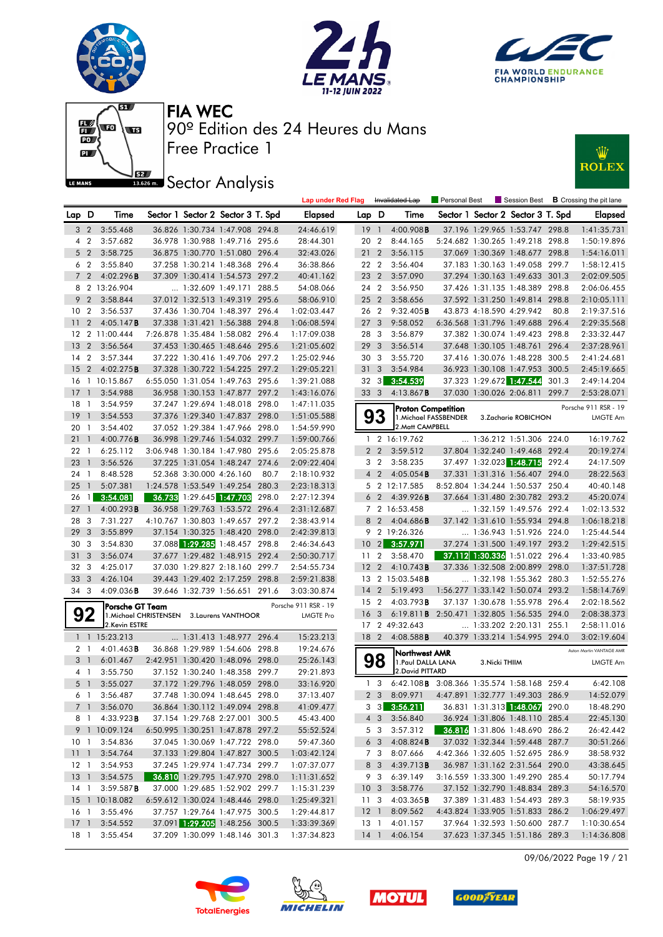











|                 |                |                        |                                            |                          |                                   |       | <b>Lap under Red Flag</b> |                 |                | Invalidated Lap                                    | Personal Best         |                          |                                   |       | $\blacksquare$ Session Best $\blacksquare$ Crossing the pit lane |
|-----------------|----------------|------------------------|--------------------------------------------|--------------------------|-----------------------------------|-------|---------------------------|-----------------|----------------|----------------------------------------------------|-----------------------|--------------------------|-----------------------------------|-------|------------------------------------------------------------------|
| Lap D           |                | Time                   |                                            |                          | Sector 1 Sector 2 Sector 3 T. Spd |       | <b>Elapsed</b>            | Lap D           |                | Time                                               |                       |                          | Sector 1 Sector 2 Sector 3 T. Spd |       | <b>Elapsed</b>                                                   |
| 3 <sub>2</sub>  |                | 3:55.468               |                                            |                          | 36.826 1:30.734 1:47.908 294.8    |       | 24:46.619                 | 19              | $\overline{1}$ | 4:00.908B                                          |                       |                          | 37.196 1:29.965 1:53.747 298.8    |       | 1:41:35.731                                                      |
|                 | 4 2            | 3:57.682               |                                            |                          | 36.978 1:30.988 1:49.716 295.6    |       | 28:44.301                 | 20 2            |                | 8:44.165                                           |                       |                          | 5:24.682 1:30.265 1:49.218 298.8  |       | 1:50:19.896                                                      |
| 5 <sub>2</sub>  |                | 3:58.725               |                                            |                          | 36.875 1:30.770 1:51.080 296.4    |       | 32:43.026                 | $21 \t2$        |                | 3:56.115                                           |                       |                          | 37.069 1:30.369 1:48.677 298.8    |       | 1:54:16.011                                                      |
|                 | 6 2            | 3:55.840               |                                            |                          | 37.258 1:30.214 1:48.368 296.4    |       | 36:38.866                 | 22 2            |                | 3:56.404                                           |                       |                          | 37.183 1:30.163 1:49.058 299.7    |       | 1:58:12.415                                                      |
| $7^{\circ}$     | 2              | 4:02.296B              |                                            |                          | 37.309 1:30.414 1:54.573 297.2    |       | 40:41.162                 | 23 2            |                | 3:57.090                                           |                       |                          | 37.294 1:30.163 1:49.633 301.3    |       | 2:02:09.505                                                      |
|                 |                | 8 2 13:26.904          |                                            |                          | 1:32.609 1:49.171 288.5           |       | 54:08.066                 | 24 2            |                | 3:56.950                                           |                       |                          | 37.426 1:31.135 1:48.389 298.8    |       | 2:06:06.455                                                      |
| 9               | $\overline{2}$ | 3:58.844               |                                            |                          | 37.012 1:32.513 1:49.319 295.6    |       | 58:06.910                 | 25 2            |                | 3:58.656                                           |                       |                          | 37.592 1:31.250 1:49.814 298.8    |       | 2:10:05.111                                                      |
| 10              | $\overline{2}$ | 3:56.537               |                                            |                          | 37.436 1:30.704 1:48.397 296.4    |       | 1:02:03.447               | 26 2            |                | 9:32.405B                                          |                       | 43.873 4:18.590 4:29.942 |                                   | 80.8  | 2:19:37.516                                                      |
| 11              | $\overline{2}$ | 4:05.147B              |                                            |                          | 37.338 1:31.421 1:56.388          | 294.8 | 1:06:08.594               | 27              | 3              | 9:58.052                                           |                       |                          | 6:36.568 1:31.796 1:49.688 296.4  |       | 2:29:35.568                                                      |
|                 |                | 12 2 11:00.444         |                                            |                          | 7:26.878 1:35.484 1:58.082 296.4  |       | 1:17:09.038               | 28 3            |                | 3:56.879                                           |                       |                          | 37.382 1:30.074 1:49.423 298.8    |       | 2:33:32.447                                                      |
| 13              | $\overline{2}$ | 3:56.564               |                                            |                          | 37.453 1:30.465 1:48.646 295.6    |       | 1:21:05.602               | 29 3            |                | 3:56.514                                           |                       |                          | 37.648 1:30.105 1:48.761          | 296.4 | 2:37:28.961                                                      |
| 14              | $\overline{2}$ | 3:57.344               |                                            |                          | 37.222 1:30.416 1:49.706 297.2    |       | 1:25:02.946               | 30 3            |                | 3:55.720                                           |                       |                          | 37.416 1:30.076 1:48.228 300.5    |       | 2:41:24.681                                                      |
| 15              | $\overline{2}$ | 4:02.275B              |                                            |                          | 37.328 1:30.722 1:54.225 297.2    |       | 1:29:05.221               | 31              | 3              | 3:54.984                                           |                       |                          | 36.923 1:30.108 1:47.953 300.5    |       | 2:45:19.665                                                      |
| 16              |                | 1 10:15.867            |                                            |                          | 6:55.050 1:31.054 1:49.763 295.6  |       | 1:39:21.088               | 32 3            |                | 3:54.539                                           |                       |                          | 37.323 1:29.672 1:47.544          | 301.3 | 2:49:14.204                                                      |
| 17              | $\mathbf{1}$   | 3:54.988               |                                            |                          | 36.958 1:30.153 1:47.877 297.2    |       | 1:43:16.076               | 33 3            |                | 4:13.867 <b>B</b>                                  |                       | 37.030 1:30.026 2:06.811 |                                   | 299.7 | 2:53:28.071                                                      |
| 18              | $\overline{1}$ | 3:54.959               |                                            |                          | 37.247 1:29.694 1:48.018          | 298.0 | 1:47:11.035               |                 |                | <b>Proton Competition</b>                          |                       |                          |                                   |       | Porsche 911 RSR - 19                                             |
| 19              | $\mathbf{1}$   | 3:54.553               |                                            |                          | 37.376 1:29.340 1:47.837 298.0    |       | 1:51:05.588               |                 | 3              |                                                    | 1. Michael FASSBENDER |                          | 3.Zacharie ROBICHON               |       | <b>LMGTE Am</b>                                                  |
| 20              | -1             | 3:54.402               |                                            |                          | 37.052 1:29.384 1:47.966 298.0    |       | 1:54:59.990               |                 |                | 2. Matt CAMPBELL                                   |                       |                          |                                   |       |                                                                  |
| 21              | $\mathbf{1}$   | 4:00.776B              |                                            |                          | 36.998 1:29.746 1:54.032 299.7    |       | 1:59:00.766               |                 |                | 1 2 16:19.762                                      |                       |                          | $\ldots$ 1:36.212 1:51.306 224.0  |       | 16:19.762                                                        |
| 22              | $\overline{1}$ | 6:25.112               |                                            |                          | 3:06.948 1:30.184 1:47.980 295.6  |       | 2:05:25.878               |                 | 2 <sub>2</sub> | 3:59.512                                           |                       |                          | 37.804 1:32.240 1:49.468 292.4    |       | 20:19.274                                                        |
| 23              | $\mathbf{1}$   | 3:56.526               |                                            |                          | 37.225 1:31.054 1:48.247 274.6    |       | 2:09:22.404               |                 | 3 <sub>2</sub> | 3:58.235                                           |                       |                          | 37.497 1:32.023 1:48.715          | 292.4 | 24:17.509                                                        |
| 24              | $\overline{1}$ | 8:48.528               |                                            | 52.368 3:30.000 4:26.160 |                                   | 80.7  | 2:18:10.932               |                 | 4 <sub>2</sub> | 4:05.054B                                          |                       |                          | 37.331 1:31.316 1:56.407 294.0    |       | 28:22.563                                                        |
| 25              | $\mathbf{1}$   | 5:07.381               |                                            |                          | 1:24.578 1:53.549 1:49.254 280.3  |       | 2:23:18.313               |                 |                | 5 2 12:17.585                                      |                       |                          | 8:52.804 1:34.244 1:50.537 250.4  |       | 40:40.148                                                        |
| 26              | $\mathbf{1}$   | 3:54.081               |                                            |                          | 36.733 1:29.645 1:47.703          | 298.0 | 2:27:12.394               | 6               | $\overline{2}$ | 4:39.926B                                          |                       |                          | 37.664 1:31.480 2:30.782 293.2    |       | 45:20.074                                                        |
| 27              | $\mathbf{1}$   | 4:00.293B              |                                            |                          | 36.958 1:29.763 1:53.572 296.4    |       | 2:31:12.687               |                 |                | 7 2 16:53.458                                      |                       |                          | 1:32.159 1:49.576 292.4           |       | 1:02:13.532                                                      |
| 28              | 3              | 7:31.227               |                                            |                          | 4:10.767 1:30.803 1:49.657 297.2  |       | 2:38:43.914               |                 | 8 2            | 4:04.686B                                          |                       |                          | 37.142 1:31.610 1:55.934 294.8    |       | 1:06:18.218                                                      |
| 29              | 3              | 3:55.899               |                                            |                          | 37.154 1:30.325 1:48.420 298.0    |       | 2:42:39.813               |                 |                | 9 2 19:26.326                                      |                       |                          | 1:36.943 1:51.926 224.0           |       | 1:25:44.544                                                      |
| 30              | 3              | 3:54.830               |                                            |                          | 37.088 1:29.285 1:48.457 298.8    |       | 2:46:34.643               | 10              | $\overline{2}$ | 3:57.971                                           |                       |                          | 37.274 1:31.500 1:49.197 293.2    |       | 1:29:42.515                                                      |
| 31              | 3              | 3:56.074               |                                            |                          | 37.677 1:29.482 1:48.915 292.4    |       | 2:50:30.717               | 11              | $\overline{2}$ | 3:58.470                                           |                       |                          | 37.112 1:30.336 1:51.022 296.4    |       | 1:33:40.985                                                      |
| 32              | 3              | 4:25.017               |                                            |                          | 37.030 1:29.827 2:18.160 299.7    |       | 2:54:55.734               | 12              | $\overline{2}$ | 4:10.743B                                          |                       |                          | 37.336 1:32.508 2:00.899 298.0    |       | 1:37:51.728                                                      |
| 33              | 3              | 4:26.104               |                                            |                          | 39.443 1:29.402 2:17.259          | 298.8 | 2:59:21.838               |                 |                | 13 2 15:03.548 <b>B</b>                            |                       |                          | 1:32.198 1:55.362 280.3           |       | 1:52:55.276                                                      |
| 34 3            |                | $4:09.036$ <b>B</b>    |                                            |                          | 39.646 1:32.739 1:56.651          | 291.6 | 3:03:30.874               | 14              | $\overline{2}$ | 5:19.493                                           |                       |                          | 1:56.277 1:33.142 1:50.074 293.2  |       | 1:58:14.769                                                      |
|                 |                | lPorsche GT Team       |                                            |                          |                                   |       | Porsche 911 RSR - 19      | 15 <sub>2</sub> |                | 4:03.793B                                          |                       |                          | 37.137 1:30.678 1:55.978 296.4    |       | 2:02:18.562                                                      |
|                 | 92             |                        | 1. Michael CHRISTENSEN 3. Laurens VANTHOOR |                          |                                   |       | <b>LMGTE Pro</b>          | 16 <sub>3</sub> |                | 6:19.811 <b>B</b> 2:50.471 1:32.805 1:56.535 294.0 |                       |                          |                                   |       | 2:08:38.373                                                      |
|                 |                | 2.Kevin ESTRE          |                                            |                          |                                   |       |                           |                 |                | 17 2 49:32.643                                     |                       |                          | 1:33.202 2:20.131 255.1           |       | 2:58:11.016                                                      |
|                 |                | 1 1 15:23.213          |                                            |                          | 1:31.413 1:48.977 296.4           |       | 15:23.213                 | 18 2            |                | 4:08.588B                                          |                       |                          | 40.379 1:33.214 1:54.995 294.0    |       | 3:02:19.604                                                      |
| 2 1             |                | $4:01.463$ B           |                                            |                          | 36.868 1:29.989 1:54.606 298.8    |       | 19:24.676                 |                 |                | Northwest AMR                                      |                       |                          |                                   |       | Aston Martin VANTAGE AMR                                         |
| 3               | $\mathbb{J}$   | 6:01.467               |                                            |                          | 2:42.951 1:30.420 1:48.096 298.0  |       | 25:26.143                 |                 | 98             | 1. Paul DALLA LANA                                 |                       | 3. Nicki THIIM           |                                   |       | <b>LMGTE Am</b>                                                  |
| 4 1             |                | 3:55.750               |                                            | 37.152 1:30.240 1:48.358 |                                   | 299.7 | 29:21.893                 |                 |                | 2. David PITTARD                                   |                       |                          |                                   |       |                                                                  |
| 5 <sub>1</sub>  |                | 3:55.027               |                                            |                          | 37.172 1:29.796 1:48.059 298.0    |       | 33:16.920                 | $\mathbf{1}$    | 3              | 6:42.108 B 3:08.366 1:35.574 1:58.168 259.4        |                       |                          |                                   |       | 6:42.108                                                         |
|                 |                | 6 1 3:56.487           |                                            |                          | 37.748 1:30.094 1:48.645 298.0    |       | 37:13.407                 |                 |                | 2 3 8:09.971                                       |                       |                          | 4:47.891 1:32.777 1:49.303 286.9  |       | 14:52.079                                                        |
|                 | 7 1            | 3:56.070               |                                            |                          | 36.864 1:30.112 1:49.094 298.8    |       | 41:09.477                 |                 |                | $3\quad 3\quad 3:56.211$                           |                       |                          | 36.831 1:31.313 1:48.067 290.0    |       | 18:48.290                                                        |
|                 | 8 1            | 4:33.923B              |                                            |                          | 37.154 1:29.768 2:27.001 300.5    |       | 45:43.400                 |                 | $4 \quad 3$    | 3:56.840                                           |                       |                          | 36.924 1:31.806 1:48.110 285.4    |       | 22:45.130                                                        |
|                 |                | 9 1 10:09.124          |                                            |                          | 6:50.995 1:30.251 1:47.878 297.2  |       | 55:52.524                 |                 | 5 3            | 3:57.312                                           |                       |                          | 36.816 1:31.806 1:48.690 286.2    |       | 26:42.442                                                        |
|                 |                | 10 1 3:54.836          |                                            |                          | 37.045 1:30.069 1:47.722 298.0    |       | 59:47.360                 |                 | 6 3            | 4:08.824B                                          |                       |                          | 37.032 1:32.344 1:59.448 287.7    |       | 30:51.266                                                        |
|                 |                | 11 1 3:54.764          |                                            |                          | 37.133 1:29.804 1:47.827 300.5    |       | 1:03:42.124               |                 | 7 3            | 8:07.666                                           |                       |                          | 4:42.366 1:32.605 1:52.695 286.9  |       | 38:58.932                                                        |
| $12-1$          |                | 3:54.953               |                                            |                          | 37.245 1:29.974 1:47.734 299.7    |       | 1:07:37.077               |                 |                | 8 3 4:39.713 <b>B</b>                              |                       |                          | 36.987 1:31.162 2:31.564 290.0    |       | 43:38.645                                                        |
|                 |                | 13 1 3:54.575          |                                            |                          | 36.810 1:29.795 1:47.970 298.0    |       | 1:11:31.652               |                 | 9 3            | 6:39.149                                           |                       |                          | 3:16.559 1:33.300 1:49.290 285.4  |       | 50:17.794                                                        |
|                 |                | 14 1 3:59.587 <b>B</b> |                                            |                          | 37.000 1:29.685 1:52.902 299.7    |       | 1:15:31.239               | 10 <sub>3</sub> |                | 3:58.776                                           |                       |                          | 37.152 1:32.790 1:48.834 289.3    |       | 54:16.570                                                        |
|                 |                | 15 1 10:18.082         |                                            |                          | 6:59.612 1:30.024 1:48.446 298.0  |       | 1:25:49.321               | 11 3            |                | $4:03.365$ <b>B</b>                                |                       |                          | 37.389 1:31.483 1:54.493 289.3    |       | 58:19.935                                                        |
| 16 <sub>1</sub> |                | 3:55.496               |                                            |                          | 37.757 1:29.764 1:47.975 300.5    |       | 1:29:44.817               | 12 <sup>1</sup> |                | 8:09.562                                           |                       |                          | 4:43.824 1:33.905 1:51.833 286.2  |       | 1:06:29.497                                                      |
| $17-1$          |                | 3:54.552               |                                            |                          | 37.091 1:29.205 1:48.256 300.5    |       | 1:33:39.369               | 13 1            |                | 4:01.157                                           |                       |                          | 37.964 1:32.593 1:50.600 287.7    |       | 1:10:30.654                                                      |
|                 |                | 18 1 3:55.454          |                                            |                          | 37.209 1:30.099 1:48.146 301.3    |       | 1:37:34.823               |                 |                | 14 1 4:06.154                                      |                       |                          | 37.623 1:37.345 1:51.186 289.3    |       | 1:14:36.808                                                      |

09/06/2022 Page 19 / 21







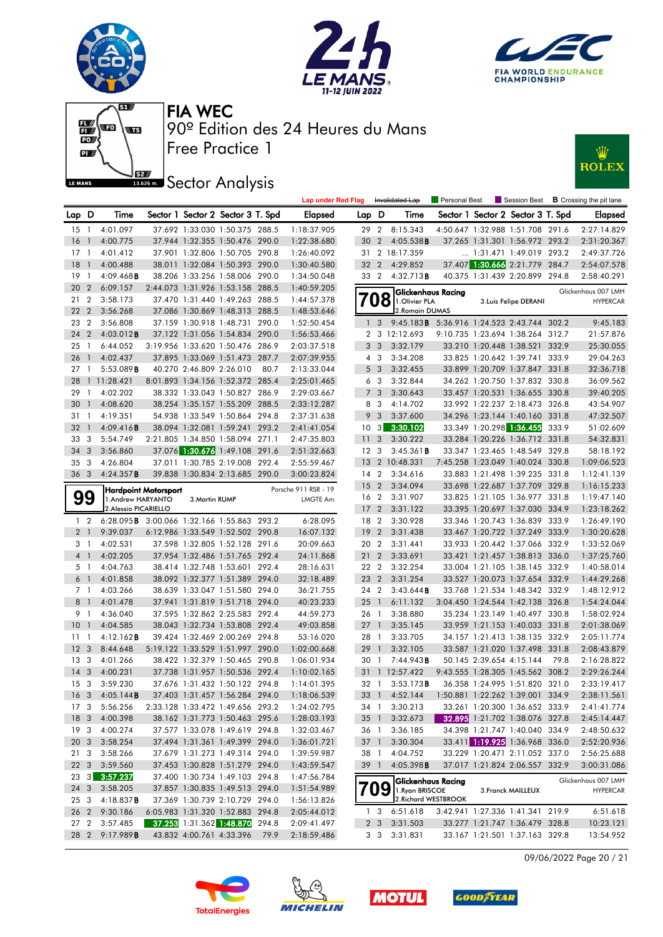











|                 |                |                                            |                          |                                   |       | <b>Lap under Red Flag</b> |                 |                 | Invalidated Lap                                | Personal Best |                                   |       | Session Best <b>B</b> Crossing the pit lane |
|-----------------|----------------|--------------------------------------------|--------------------------|-----------------------------------|-------|---------------------------|-----------------|-----------------|------------------------------------------------|---------------|-----------------------------------|-------|---------------------------------------------|
| Lap D           |                | Time                                       |                          | Sector 1 Sector 2 Sector 3 T. Spd |       | <b>Elapsed</b>            | Lap D           |                 | Time                                           |               | Sector 1 Sector 2 Sector 3 T. Spd |       | <b>Elapsed</b>                              |
| 15 1            |                | 4:01.097                                   |                          | 37.692 1:33.030 1:50.375 288.5    |       | 1:18:37.905               | 29 2            |                 | 8:15.343                                       |               | 4:50.647 1:32.988 1:51.708 291.6  |       | 2:27:14.829                                 |
| $16-1$          |                | 4:00.775                                   |                          | 37.944 1:32.355 1:50.476 290.0    |       | 1:22:38.680               | 30              | $\overline{2}$  | 4:05.538B                                      |               | 37.265 1:31.301 1:56.972 293.2    |       | 2:31:20.367                                 |
| 17 1            |                | 4:01.412                                   |                          | 37.901 1:32.806 1:50.705 290.8    |       | 1:26:40.092               | 31              |                 | 2 18:17.359                                    |               | $\ldots$ 1:31.471 1:49.019 293.2  |       | 2:49:37.726                                 |
| $18-1$          |                | 4:00.488                                   |                          | 38.011 1:32.084 1:50.393 290.0    |       | 1:30:40.580               | 32 2            |                 | 4:29.852                                       |               | 37.407 1:30.666 2:21.779 284.7    |       | 2:54:07.578                                 |
| 19 1            |                | 4:09.468B                                  |                          | 38.206 1:33.256 1:58.006 290.0    |       | 1:34:50.048               | 33 2            |                 | 4:32.713B                                      |               | 40.375 1:31.439 2:20.899 294.8    |       | 2:58:40.291                                 |
| 20 2            |                | 6:09.157                                   |                          | 2:44.073 1:31.926 1:53.158 288.5  |       | 1:40:59.205               |                 |                 | Glickenhaus Racing                             |               |                                   |       | Glickenhaus 007 LMH                         |
| 212             |                | 3:58.173                                   |                          | 37.470 1:31.440 1:49.263 288.5    |       | 1:44:57.378               |                 | Ό8              | 1.Olivier PLA                                  |               | 3. Luis Felipe DERANI             |       | <b>HYPERCAR</b>                             |
| 22 2            |                | 3:56.268                                   |                          | 37.086 1:30.869 1:48.313 288.5    |       | 1:48:53.646               |                 |                 | 2. Romain DUMAS                                |               |                                   |       |                                             |
| 23 2            |                | 3:56.808                                   |                          | 37.159 1:30.918 1:48.731 290.0    |       | 1:52:50.454               | 1               | 3               | 9:45.183B 5:36.916 1:24.523 2:43.744 302.2     |               |                                   |       | 9:45.183                                    |
| 24 2            |                | 4:03.012B                                  |                          | 37.122 1:31.056 1:54.834 290.0    |       | 1:56:53.466               |                 |                 | 2 3 12:12.693                                  |               | 9:10.735 1:23.694 1:38.264        | 312.7 | 21:57.876                                   |
| $25-1$          |                | 6:44.052                                   |                          | 3:19.956 1:33.620 1:50.476 286.9  |       | 2:03:37.518               |                 | 3 <sub>3</sub>  | 3:32.179                                       |               | 33.210 1:20.448 1:38.521          | 332.9 | 25:30.055                                   |
| 26 <sub>1</sub> |                | 4:02.437                                   |                          | 37.895 1:33.069 1:51.473 287.7    |       | 2:07:39.955               |                 | 4 3             | 3:34.208                                       |               | 33.825 1:20.642 1:39.741 333.9    |       | 29:04.263                                   |
| $27-1$          |                | 5:53.089B                                  | 40.270 2:46.809 2:26.010 |                                   | 80.7  | 2:13:33.044               |                 | 5 <sub>3</sub>  | 3:32.455                                       |               | 33.899 1:20.709 1:37.847 331.8    |       | 32:36.718                                   |
|                 |                | 28 1 11:28.421                             |                          | 8:01.893 1:34.156 1:52.372 285.4  |       | 2:25:01.465               |                 | 6 3             | 3:32.844                                       |               | 34.262 1:20.750 1:37.832 330.8    |       | 36:09.562                                   |
| 29 1            |                | 4:02.202                                   |                          | 38.332 1:33.043 1:50.827 286.9    |       | 2:29:03.667               |                 | 7 <sup>3</sup>  | 3:30.643                                       |               | 33.457 1:20.531 1:36.655 330.8    |       | 39:40.205                                   |
| 30 <sub>1</sub> |                | 4:08.620                                   |                          | 38.254 1:35.157 1:55.209 288.5    |       | 2:33:12.287               |                 | 8 3             | 4:14.702                                       |               | 33.992 1:22.237 2:18.473 326.8    |       | 43:54.907                                   |
| 311             |                | 4:19.351                                   |                          | 54.938 1:33.549 1:50.864 294.8    |       | 2:37:31.638               |                 | 9 <sup>3</sup>  | 3:37.600                                       |               | 34.296 1:23.144 1:40.160 331.8    |       | 47:32.507                                   |
| 32 <sub>1</sub> |                | 4:09.416B                                  |                          | 38.094 1:32.081 1:59.241 293.2    |       | 2:41:41.054               | $10 \quad 3$    |                 | 3:30.102                                       |               | 33.349 1:20.298 1:36.455          | 333.9 | 51:02.609                                   |
| 33 3            |                | 5:54.749                                   |                          | 2:21.805 1:34.850 1:58.094 271.1  |       | 2:47:35.803               | 11              | 3               | 3:30.222                                       |               | 33.284 1:20.226 1:36.712 331.8    |       | 54:32.831                                   |
| 34 3            |                | 3:56.860                                   |                          | 37.076 1:30.676 1:49.108 291.6    |       | 2:51:32.663               | 12 <sup>3</sup> |                 | 3:45.361B                                      |               | 33.347 1:23.465 1:48.549 329.8    |       | 58:18.192                                   |
| 35 <sub>3</sub> |                | 4:26.804                                   |                          | 37.011 1:30.785 2:19.008 292.4    |       | 2:55:59.467               |                 |                 | 13 2 10:48.331                                 |               | 7:45.258 1:23.049 1:40.024 330.8  |       | 1:09:06.523                                 |
| 36 <sub>3</sub> |                | 4:24.357B                                  |                          | 39.838 1:30.834 2:13.685 290.0    |       | 3:00:23.824               | 14 <sup>2</sup> |                 | 3:34.616                                       |               | 33.883 1:21.498 1:39.235 331.8    |       | 1:12:41.139                                 |
|                 |                | <b>Hardpoint Motorsport</b>                |                          |                                   |       | Porsche 911 RSR - 19      | 15 <sub>2</sub> |                 | 3:34.094                                       |               | 33.698 1:22.687 1:37.709 329.8    |       | 1:16:15.233                                 |
|                 | 99             | 1.Andrew HARYANTO                          | 3. Martin RUMP           |                                   |       | LMGTE Am                  | 16 <sub>2</sub> |                 | 3:31.907                                       |               | 33.825 1:21.105 1:36.977 331.8    |       | 1:19:47.140                                 |
|                 |                | 2. Alessio PICARIELLO                      |                          |                                   |       |                           | 17 <sub>2</sub> |                 | 3:31.122                                       |               | 33.395 1:20.697 1:37.030 334.9    |       | 1:23:18.262                                 |
|                 | $1\quad 2$     | 6:28.095B 3:00.066 1:32.166 1:55.863 293.2 |                          |                                   |       | 6:28.095                  | 18 2            |                 | 3:30.928                                       |               | 33.346 1:20.743 1:36.839 333.9    |       | 1:26:49.190                                 |
|                 | 2 <sub>1</sub> | 9:39.037                                   |                          | 6:12.986 1:33.549 1:52.502 290.8  |       | 16:07.132                 | 19              | $\overline{2}$  | 3:31.438                                       |               | 33.467 1:20.722 1:37.249 333.9    |       | 1:30:20.628                                 |
| 3 1             |                | 4:02.531                                   |                          | 37.598 1:32.805 1:52.128 291.6    |       | 20:09.663                 | 20 2            |                 | 3:31.441                                       |               | 33.933 1:20.442 1:37.066 332.9    |       | 1:33:52.069                                 |
|                 | 4 <sup>1</sup> | 4:02.205                                   |                          | 37.954 1:32.486 1:51.765 292.4    |       | 24:11.868                 | 21 <sub>2</sub> |                 | 3:33.691                                       |               | 33.421 1:21.457 1:38.813 336.0    |       | 1:37:25.760                                 |
| 5 1             |                | 4:04.763                                   |                          | 38.414 1:32.748 1:53.601          | 292.4 | 28:16.631                 | 22 2            |                 | 3:32.254                                       |               | 33.004 1:21.105 1:38.145 332.9    |       | 1:40:58.014                                 |
|                 | 6 1            | 4:01.858                                   |                          | 38.092 1:32.377 1:51.389 294.0    |       | 32:18.489                 | 23 2            |                 | 3:31.254                                       |               | 33.527 1:20.073 1:37.654 332.9    |       | 1:44:29.268                                 |
| 7 1             |                | 4:03.266                                   |                          | 38.639 1:33.047 1:51.580 294.0    |       | 36:21.755                 | 24 2            |                 | 3:43.644B                                      |               | 33.768 1:21.534 1:48.342 332.9    |       | 1:48:12.912                                 |
|                 | 8 <sup>1</sup> | 4:01.478                                   |                          | 37.941 1:31.819 1:51.718 294.0    |       | 40:23.233                 | $25 \quad 1$    |                 | 6:11.132                                       |               | 3:04.450 1:24.544 1:42.138 326.8  |       | 1:54:24.044                                 |
| 9 1             |                | 4:36.040                                   |                          | 37.595 1:32.862 2:25.583 292.4    |       | 44:59.273                 | 26 1            |                 | 3:38.880                                       |               | 35.234 1:23.149 1:40.497          | 330.8 | 1:58:02.924                                 |
| $10-1$          |                | 4:04.585                                   |                          | 38.043 1:32.734 1:53.808 292.4    |       | 49:03.858                 | $27-1$          |                 | 3:35.145                                       |               | 33.959 1:21.153 1:40.033 331.8    |       | 2:01:38.069                                 |
| $11-1$          |                | 4:12.162B                                  |                          | 39.424 1:32.469 2:00.269 294.8    |       | 53:16.020                 | 28 1            |                 | 3:33.705                                       |               | 34.157 1:21.413 1:38.135 332.9    |       | 2:05:11.774                                 |
| 12 <sup>3</sup> |                | 8:44.648                                   |                          | 5:19.122 1:33.529 1:51.997 290.0  |       | 1:02:00.668               | 29              | $\overline{1}$  | 3:32.105                                       |               | 33.587 1:21.020 1:37.498 331.8    |       | 2:08:43.879                                 |
| 13 <sub>3</sub> |                | 4:01.266                                   |                          | 38.422 1:32.379 1:50.465 290.8    |       | 1:06:01.934               | 30              | $\mathbf{1}$    | 7:44.943B                                      |               | 50.145 2:39.654 4:15.144          | 79.8  | 2:16:28.822                                 |
| 14 <sup>3</sup> |                | 4:00.231                                   |                          | 37.738 1:31.957 1:50.536 292.4    |       | 1:10:02.165               | 31              |                 | 1 12:57.422                                    |               | 9:43.555 1:28.305 1:45.562 308.2  |       | 2:29:26.244                                 |
| 15 <sub>3</sub> |                | 3:59.230                                   |                          | 37.676 1:31.432 1:50.122 294.8    |       | 1:14:01.395               | 32 1            |                 | 3:53.173B                                      |               | 36.358 1:24.995 1:51.820 321.0    |       | 2:33:19.417                                 |
|                 |                | 16 3 4:05.144 <b>B</b>                     |                          | 37.403 1:31.457 1:56.284 294.0    |       | 1:18:06.539               |                 |                 | 33 1 4:52.144 1:50.881 1:22.262 1:39.001 334.9 |               |                                   |       | 2:38:11.561                                 |
| 17 3            |                | 5:56.256                                   |                          | 2:33.128 1:33.472 1:49.656 293.2  |       | 1:24:02.795               |                 |                 | 34 1 3:30.213                                  |               | 33.261 1:20.300 1:36.652 333.9    |       | 2:41:41.774                                 |
| 18 <sup>3</sup> |                | 4:00.398                                   |                          | 38.162 1:31.773 1:50.463 295.6    |       | 1:28:03.193               |                 | 35 <sup>1</sup> | 3:32.673                                       |               | 32.895 1:21.702 1:38.076 327.8    |       | 2:45:14.447                                 |
| 19 <sup>3</sup> |                | 4:00.274                                   |                          | 37.577 1:33.078 1:49.619 294.8    |       | 1:32:03.467               |                 | 36 1            | 3:36.185                                       |               | 34.398 1:21.747 1:40.040 334.9    |       | 2:48:50.632                                 |
| 20 3            |                | 3:58.254                                   |                          | 37.494 1:31.361 1:49.399 294.0    |       | 1:36:01.721               |                 | 37 1            | 3:30.304                                       |               | 33.411 1:19.925 1:36.968 336.0    |       | 2:52:20.936                                 |
| 21 3            |                | 3:58.266                                   |                          | 37.679 1:31.273 1:49.314 294.0    |       | 1:39:59.987               |                 | 38 1            | 4:04.752                                       |               | 33.229 1:20.471 2:11.052 337.0    |       | 2:56:25.688                                 |
| 22 <sub>3</sub> |                | 3:59.560                                   |                          | 37.453 1:30.828 1:51.279 294.0    |       | 1:43:59.547               |                 | 39 1            | 4:05.398B                                      |               | 37.017 1:21.824 2:06.557 332.9    |       | 3:00:31.086                                 |
| $23 \quad 3$    |                | 3:57.237                                   |                          | 37.400 1:30.734 1:49.103 294.8    |       | 1:47:56.784               |                 |                 | Glickenhaus Racing                             |               |                                   |       | Glickenhaus 007 LMH                         |
| $24 \quad 3$    |                | 3:58.205                                   |                          | 37.857 1:30.835 1:49.513 294.0    |       | 1:51:54.989               | 709             |                 | 1. Ryan BRISCOE                                |               | 3. Franck MAILLEUX                |       | <b>HYPERCAR</b>                             |
| 253             |                | 4:18.837B                                  |                          | 37.369 1:30.739 2:10.729 294.0    |       | 1:56:13.826               |                 |                 | 2. Richard WESTBROOK                           |               |                                   |       |                                             |
| 26 2            |                | 9:30.186                                   |                          | 6:05.983 1:31.320 1:52.883 294.8  |       | 2:05:44.012               |                 | 13              | 6:51.618                                       |               | 3:42.941 1:27.336 1:41.341 219.9  |       | 6:51.618                                    |
| 27 2            |                | 3:57.485                                   |                          | 37.253 1:31.362 1:48.870 294.8    |       | 2:09:41.497               |                 |                 | 2 3 3:31.503                                   |               | 33.277 1:21.747 1:36.479 328.8    |       | 10:23.121                                   |
|                 | 28 2           | 9:17.989B                                  |                          | 43.832 4:00.761 4:33.396          | 79.9  | 2:18:59.486               |                 |                 | 3 3 3:31.831                                   |               | 33.167 1:21.501 1:37.163 329.8    |       | 13:54.952                                   |

09/06/2022 Page 20 / 21